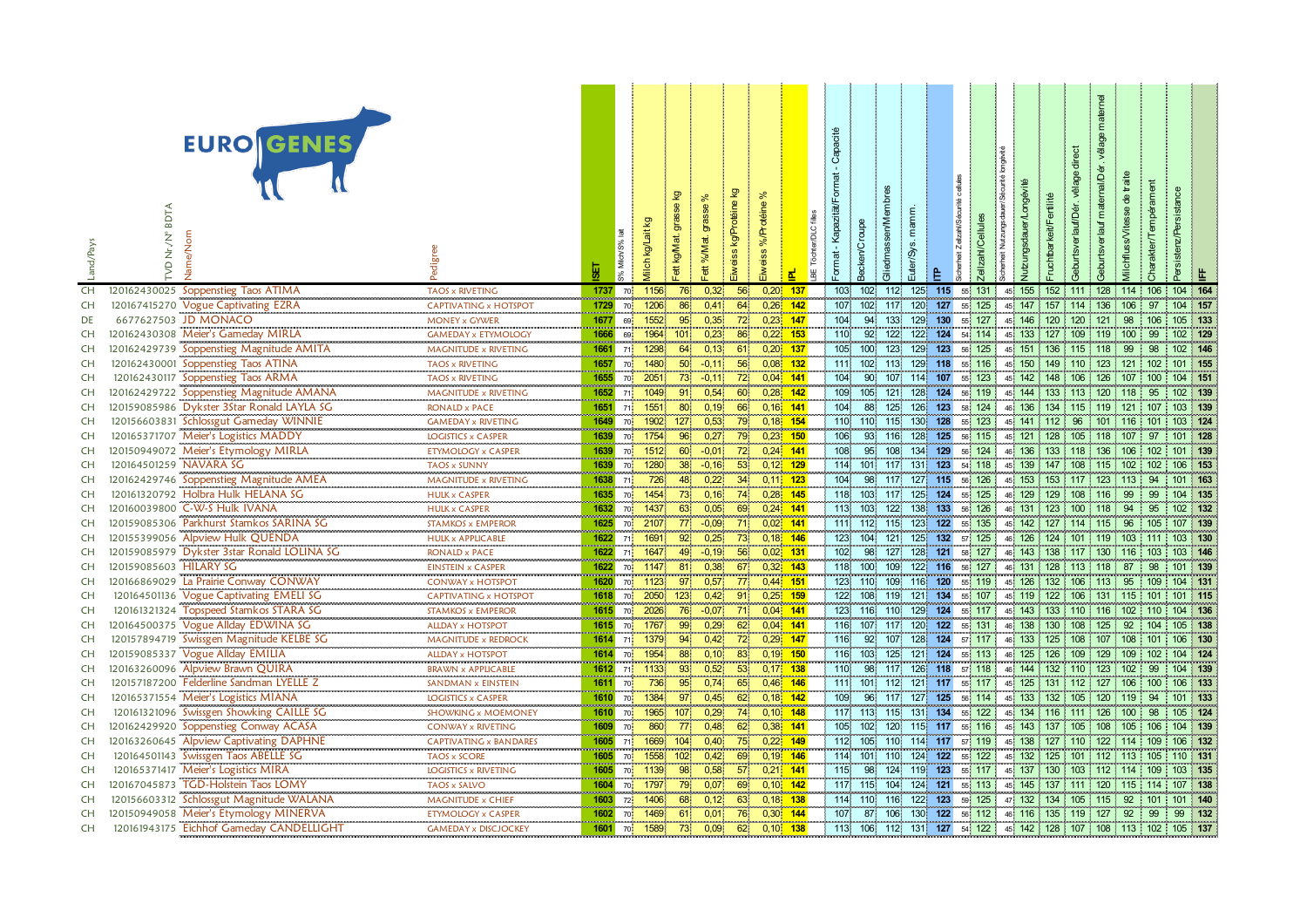| .and/Pays | EURO GENES<br>Jame/Non<br>ż<br>ę                                                   | adigr                                                    | 동                         | % Milch/S       | lilch                | 制               | ਨ<br>ಕ<br>ett %M; | ତୁ<br>kg/Protéi<br>weiss                             | ৯<br>%/Protéine<br>iweiss |                          | er/DLC<br>BE Töcht |            | <b>iliedmasse</b><br>acken/ | ø<br><u>uter</u> | $\mathbf{a}$          | alzah/Cel        | utzungsdau<br>erheit | ு                                                | <b>Burtsverlar</b> |         | ilchfl              | harakter/Tem | $s$ istenz $P$ |     |
|-----------|------------------------------------------------------------------------------------|----------------------------------------------------------|---------------------------|-----------------|----------------------|-----------------|-------------------|------------------------------------------------------|---------------------------|--------------------------|--------------------|------------|-----------------------------|------------------|-----------------------|------------------|----------------------|--------------------------------------------------|--------------------|---------|---------------------|--------------|----------------|-----|
| CH        | 120162430025 Soppenstieg Taos ATIMA                                                | TAOS x RIVETING                                          | 1737                      | 70              | 1156                 | 76              | 0,32              | 56                                                   | 0,20                      | 137                      |                    | 103        | 102                         | 112 <sub>1</sub> | 125<br>115            | 55 131           | 45 155               |                                                  | 152 111 128        |         | 114 106             |              | 104 164        |     |
| CH        | 120167415270 Vogue Captivating EZRA                                                | CAPTIVATING x HOTSPOT                                    | 1729                      | 70              | 1206                 | 86              | 0,41              | 64                                                   | 0,26                      | 142                      |                    | 107        | 102                         | 117              | 127<br>120            | 125              | 147<br>45.           | 157                                              | 114                | 136     | 106                 | 97           | 104 157        |     |
| DE        | 6677627503 JD MONACO                                                               | <b>MONEY x GYWER</b>                                     | 1677                      | 69              | 1552                 | 95 <sup>°</sup> | 0,35              | $\frac{1}{72}$                                       |                           | $0,23$ 147               |                    | 104        | 94                          | 133 <sub>2</sub> | 129<br>130            | 55 127           |                      | 45 146 120 120 121                               |                    |         | 98                  | 106          | 105 133        |     |
| CH        | 120162430308 Meier's Gameday MIRLA                                                 | <b>GAMEDAY x ETYMOLOGY</b>                               | 1666                      | 69              | 1964                 | 101             | 0,23              | 86                                                   | 0,22                      | 153                      |                    | 110        | 92                          | 122              | 124<br>122            | 54 114           | 45 133               |                                                  | 127 109 119        |         | 100                 | 99           | 102 129        |     |
| <b>CH</b> | 120162429739 Soppenstieg Magnitude AMITA                                           | MAGNITUDE x RIVETING                                     | 1661                      | 71              | 1298                 | 64              | 0,13              | 61                                                   |                           | $0,20$ 137               |                    | 105        | 100                         | 123              | 129<br>123            | 56 125           | 45 151               |                                                  | 136 115 118        |         | 99                  | 98           | 102 146        |     |
| CH        | Soppenstieg Taos ATINA<br>120162430001                                             | <b>TAOS x RIVETING</b>                                   | 1657                      | 70              | 1480                 | 50 <sub>1</sub> | $-0,11$           | 56                                                   |                           | $0.08$ 132               |                    | 111        | 102                         | 113              | 129<br>118            | 55 116           | 45 150               |                                                  |                    |         | 149 110 123 121 102 |              | 101 155        |     |
| <b>CH</b> | 120162430117 Soppenstieg Taos ARMA                                                 | <b>TAOS x RIVETING</b>                                   | 1655                      | 70 <sup>1</sup> | 2051                 | 73 <sup>°</sup> | $-0,11$           | $\begin{array}{c c} \hline 72 \\ \hline \end{array}$ |                           | $0,04$ 141               |                    | 104        | 90                          | 107              | 114<br>107            | 55 123           | 45 142               |                                                  | 148 106 126 107    |         |                     | 100          | 104 151        |     |
| CH        | 120162429722 Soppenstieg Magnitude AMANA                                           | MAGNITUDE x RIVETING                                     | 1652                      | 71              | 1049                 | 91              | 0,54              | 60 <sup>2</sup>                                      |                           | $0.28$ 142               |                    | 109        | 105                         | 121              | 128<br>124            | 56 119           | 45 144               |                                                  | 133 113 120        |         | $ 118\rangle$       | 95           | 102 139        |     |
| CH        | 120159085986 Dykster 3Star Ronald LAYLA SG                                         | <b>RONALD x PACE</b>                                     | 1651                      | 71              | 1551                 | 80              | 0,19              | 66                                                   | $0,16$ 141                |                          |                    | 104        | 88                          | 125              | 126<br>123            | 58 124           | 46 136               |                                                  |                    |         | 134 115 119 121 107 |              | 103 139        |     |
| CH        | 120156603831 Schlossgut Gameday WINNIE                                             | <b>GAMEDAY x RIVETING</b>                                | 1649                      | 70              | 1902                 | 127.            | 0,53              | 79                                                   |                           | $0,18$ 154               |                    | 110        | 110 115                     |                  | 130<br>128            | 55 123           |                      | 45 141 112 96                                    |                    | 101     | $116$ 101           |              | 103 124        |     |
| CH        | 120165371707 Meier's Logistics MADDY                                               | <b>LOGISTICS x CASPER</b>                                | 1639                      | 70              | 1754                 | $96^{\circ}$    | 0,27              | 79                                                   |                           | $0.23$ 150               |                    | 106        | 93 116                      |                  | 128<br>125            | 56 115           | 45 121               |                                                  | 128 105 118        |         | 107                 | 97           | 101 128        |     |
| CH        | 120150949072 Meier's Etymology MIRLA                                               | ETYMOLOGY x CASPER                                       | 1639                      | 70              | 1512                 | 60              | $-0,01$           | 72 <sub>1</sub>                                      |                           | $0,24$ 141               |                    | 108        | 95                          | 108              | 129<br>134            | 56 124           | 46 136               |                                                  | 133 118 136        |         | 106                 | 102          | 101 139        |     |
| CH        | 120164501259 NAVARA SG                                                             | <b>TAOS x SUNNY</b>                                      | 1639                      | 70 <sub>1</sub> | 1280                 | 38              | $-0,16$           | 53 <sup>°</sup>                                      |                           | $0,12$ 129               |                    | 114        | 101 117                     |                  | 123<br>131            | 54 118           | 45 139               |                                                  | 147 108 115        |         | 102                 | 102          | 106 153        |     |
| CH        | 120162429746 Soppenstieg Magnitude AMEA                                            | MAGNITUDE x RIVETING                                     | 1638                      | 71              | 726                  | 48              | 0,22              | 34                                                   |                           | $0,11$ 123               |                    | 104        | 98                          | 117              | 127 115               | 56 126           |                      | 45 153 153 117 123                               |                    |         | 113                 | 94           | 101 163        |     |
| CH        | 120161320792 Holbra Hulk HELANA SG                                                 | <b>HULK x CASPER</b>                                     | 1635                      | 70              | 1454                 | 73              | 0,16              | 74                                                   |                           | $0,28$ 145               |                    | 118        | 103                         | 117              | 125<br>124            | 55 125           | 46 129               |                                                  | 129 108 116        |         | 99                  | 99           | 104 135        |     |
| CH        | 120160039800 C-W-S Hulk IVANA                                                      | <b>HULK x CASPER</b>                                     | 1632                      | 70              | 1437                 | 63              | 0,05              | 69                                                   |                           | $0,24$ 141               |                    | $113$      | 103                         | 122              | 138 133               | 56 126           | 46 131               |                                                  | 123 100 118        |         | 94                  | 95           | 102 132        |     |
| CH        | 120159085306 Parkhurst Stamkos SARINA SG                                           | <b>STAMKOS x EMPEROR</b>                                 | 1625                      | 70              | 2107                 | 77              | $-0,09$           | 71                                                   |                           | $0,02$ 141               |                    | 111        | 112                         | 115              | 123<br>122            | 55 135           | 45 142               |                                                  | 127 114 115        |         | 96                  | 105          | 107 139        |     |
| CH        | 120155399056 Alpview Hulk QUENDA                                                   | <b>HULK x APPLICABLE</b>                                 | 1622<br><b>CONTRACTOR</b> | 71              | 1691                 |                 | 0,25              | 73                                                   |                           | $0,18$ 146               |                    | 123        | 104                         | 121              | 132<br>125            | 57 125           | 46 126               | 124                                              |                    | 101 119 | 103                 | 111          | 103            | 130 |
| <b>CH</b> | 120159085979 Dykster 3star Ronald LOLINA SG                                        | RONALD x PACE                                            | 1622                      | 71              | 1647                 | 49              | $-0,19$           | 56                                                   | $0,02$ 131                |                          |                    | 102        | 98                          | 127              | 121<br>128            | 58 127           | 46 143               |                                                  |                    |         | 138 117 130 116 103 |              | 103 146        |     |
| <b>CH</b> | 120159085603 HILARY SG                                                             | <b>EINSTEIN x CASPER</b>                                 | 1622                      | 70              | 1147                 | 81              | 0,38              | 67                                                   |                           | $0.32$ 143               |                    |            | 118 100                     | 109              | 122 116               | 56 127           | 46 131               |                                                  | 128 113 118        |         | 87                  | 98           | 101 139        |     |
| CH        | 120166869029 La Prairie Conway CONWAY                                              | <b>CONWAY x HOTSPOT</b>                                  | 1620                      |                 | 1123                 | 97              | 0.57              | 77                                                   |                           | $0,44$ 151               |                    | 123        | 110                         | 109              | 116<br>120            | 55 119           | 45 126               |                                                  | 132 106 113        |         | 95                  | 109          | 104 131        |     |
| CH        | <b>Vogue Captivating EMELI SG</b><br>120164501136                                  | CAPTIVATING x HOTSPOT                                    | 1618                      | 70              | 2050                 | 123.            | 0,42              | 91                                                   |                           | $0.25$ 159               |                    | 122        | 108                         | 119              | 121<br>134            | 55 107           | 45 119               |                                                  | 122 106 131        |         | 115 101             |              | 101 115        |     |
| CH        | Topspeed Stamkos STARA SG<br>120161321324                                          | <b>STAMKOS x EMPEROR</b>                                 | 1615                      | 70 <sub>1</sub> | 2026<br><b>COLOR</b> | 76.             | $-0,07$           | 71                                                   |                           | $0,04$ 141               |                    | 123        | 116                         | 110              | 129<br>124            | 55 117           |                      | 45 143 133 110 116 102                           |                    |         |                     | 110          | 104 136        |     |
| CH        | 120164500375 Vogue Allday EDWINA SG                                                | ALLDAY x HOTSPOT                                         | 1615                      | 70              | 1767                 | 99              | 0,29              | 62 <sup>°</sup>                                      |                           | $0,04$ 141               |                    | 116        | 107                         | 117.             | 120<br>122            | 55 131           | 46 138               |                                                  | 130 108 125        |         | 92                  | 104          | 105 138        |     |
| CH        | 120157894719 Swissgen Magnitude KELBE SG                                           | MAGNITUDE x REDROCK                                      | 1614                      | 71              | 1379                 | 94 <sup>1</sup> | 0,42              | 72                                                   |                           | $0.29$ 147               |                    | 116        | 92                          | 107              | 128<br>124            | 57 117           |                      | 46 133 125 108 107                               |                    |         | 108                 | 101          | 106 130        |     |
| CH        | 120159085337 Vogue Allday EMILIA                                                   | <b>ALLDAY x HOTSPOT</b>                                  | 1614                      | 70              | 1954                 |                 | 0, 10             | 83                                                   |                           | $0,19$ 150               |                    | 116        | 103                         | 125              | 121<br>124            | 55 113           | 46 125               |                                                  | 126 109 129        |         | 109                 | 102          | 104 124        |     |
| CH        | 120163260096 Alpview Brawn QUIRA                                                   | <b>BRAWN x APPLICABLE</b>                                | 1612                      | 71              | 1133                 |                 | 0,52              | 53                                                   |                           | $0,17$ 138               |                    | 110        | 98                          | 117              | 126 118               | 57 118           | 46 144               |                                                  | 132 110 123        |         | 102                 | 99           | 104 139        |     |
| CH        | 120157187200 Felderline Sandman LYELLE Z                                           | SANDMAN x EINSTEIN                                       | 1611                      | 70              | 736                  | 95              | 0,74              | 65                                                   |                           | $0,46$ 146               |                    | 111        | 101 112                     |                  | 121 117               | 55 117           | 45 125               |                                                  | 131 112 127        |         | 106                 | 100          | 106 133        |     |
| CH        | 120165371554 Meier's Logistics MIANA                                               | <b>LOGISTICS x CASPER</b>                                | 1610                      | 70              | 1384                 | 97              | 0,45              | 62                                                   |                           | $0,18$ 142               |                    | 109        | 96                          | 117              | 127<br>125            | 56 114           | 45 133               | 132                                              | 105                | 120     | 119                 | 94           | 101 133        |     |
| CH        | 120161321096 Swissgen Showking CAILLE SG                                           | SHOWKING x MOEMONEY                                      | 1610                      | 70 <sub>1</sub> | 1965                 | 107             | 0,29              | 74                                                   |                           | $0,10$ 148               |                    | 117        | 113                         | 115              | 134<br>$131$          | 55 122           |                      | 45 134 116 111 126                               |                    |         | 100                 | 98           | 105 124        |     |
| CH        | 120162429920 Soppenstieg Conway ACASA                                              | CONWAY x RIVETING                                        | 1609                      | 70              | 860                  | 77              | 0,48              | 62                                                   |                           | $0,38$ 141               |                    | 105        | 102                         | 120              | 115<br>117            | 55 116           | 45 143               |                                                  | 137 105 108        |         | 105                 | 106          | 104 139        |     |
| <b>CH</b> | 120163260645 Alpview Captivating DAPHNE                                            | <b>CAPTIVATING x BANDARES</b>                            | 1605                      | 71              | 1669                 | 104             | 0,40              | 75                                                   |                           | $0.22$ 149               |                    | 112        | 105                         | 110              | 114<br>117            | 57 119           | 45 138               |                                                  | 127 110 122 114    |         |                     | 109          | 106 132        |     |
| CH        | 120164501143 Swissgen Taos ABELLE SG                                               | <b>TAOS x SCORE</b>                                      | 1605                      | 70              | 1558                 | 102             | 0,42              | 69                                                   |                           | $0,19$ 146               |                    | 114        | 101                         | 110              | 124<br>122            | 55 122           | 45 132               |                                                  | 125 101 112        |         | 113                 | 105          | 110 131        |     |
| CH        | 120165371417 Meier's Logistics MIRA<br><b>TGD-Holstein Taos LOMY</b>               | LOGISTICS x RIVETING                                     | 1605                      | 70              | 1139                 | 98              | 0,58              | 57                                                   |                           | $0,21$ 141               |                    | 115        | 98.                         | 124              | 123<br>119<br>$121$   | 55 117           | 45 137               |                                                  | 130 103 112        |         | 114                 | 109          | 103 135        |     |
| CH        | 120167045873<br>120156603312 Schlossgut Magnitude WALANA                           | TAOS x SALVO                                             | 1604                      | 70              | 1797                 | 79              | 0,07              | 69<br>63 <sup>°</sup>                                |                           | $0,10$ 142               |                    |            | 117 115                     | 104              | 124                   | 55 113           | 45 145               | 137                                              | $1111$ 120         |         | 115 114             | 1101         | 107            | 138 |
| CH        |                                                                                    | MAGNITUDE x CHIEF                                        | 1603                      | 72              | 1406                 | 68.             | 0,12              |                                                      | 0,18                      | 138                      |                    |            | 114 110                     | 116              | 122 123               | 59 125           |                      | 47 132 134 105 115                               |                    |         | 92                  |              | 101 140        | 132 |
| CH        | 120150949058 Meier's Etymology MINERVA<br>120161943175 Eichhof Gameday CANDELLIGHT | <b>ETYMOLOGY x CASPER</b><br><b>GAMEDAY x DISCJOCKEY</b> | 1602<br>1601              | 70              | 1469<br>1589         | 61.<br>73       | 0,01<br>0,09      | 76.<br>62                                            |                           | $0,30$ 144<br>$0,10$ 138 |                    | 107<br>113 | 87.<br>106 112              | 106.             | 130<br>122<br>131 127 | 56 112<br>54 122 |                      | 46 116 135 119 127<br>45 142 128 107 108 113 102 |                    |         | 92                  | 99           | 99<br>105 137  |     |
| CH        |                                                                                    |                                                          |                           | 70              |                      |                 |                   |                                                      |                           |                          |                    |            |                             |                  |                       |                  |                      |                                                  |                    |         |                     |              |                |     |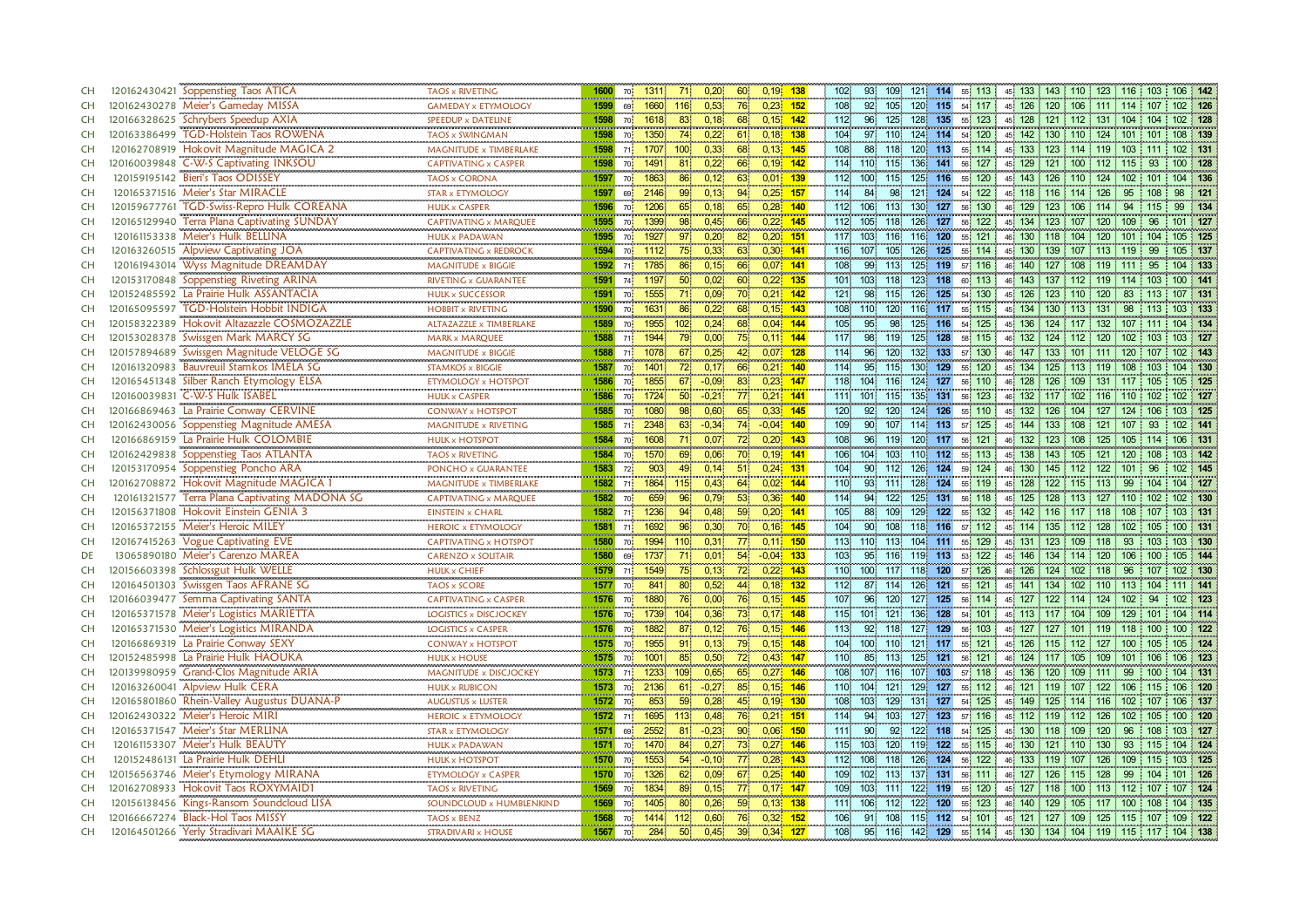| CH        | 120162430421 Soppenstieg Taos ATICA                 | TAOS x RIVETING                          | 1600                            | 70.               | 1311 | 71                      | 0,20    | 60              | $0,19$ 138   | 102<br>93               | 109              | 121 114          |         | 55 113                 | 45 133 143 110 123 116 103 106 142 |      |                     |         |            |           |
|-----------|-----------------------------------------------------|------------------------------------------|---------------------------------|-------------------|------|-------------------------|---------|-----------------|--------------|-------------------------|------------------|------------------|---------|------------------------|------------------------------------|------|---------------------|---------|------------|-----------|
| <b>CH</b> | 120162430278 Meier's Gameday MISSA                  | <b>GAMEDAY x ETYMOLOGY</b>               | 1599                            | 69                | 1660 | 116                     | 0,53    | 76.             | $0.23 - 152$ | 108<br>92               | 105              |                  |         | 120 115 54 117         | 45 126 120 106 111 114 107         |      |                     |         |            | 102 126   |
| <b>CH</b> | 120166328625 Schrybers Speedup AXIA                 | SPEEDUP x DATELINE                       | 1598                            | 70                | 1618 |                         | 0,18    | 68              | $0,15$ 142   | 112.<br>96              | 125              | 128              | 135     | 55 123                 | 45 128 121 112 131 104             |      |                     |         | 104        | 102 128   |
| <b>CH</b> | 120163386499 TGD-Holstein Taos ROWENA               | TAOS x SWINGMAN                          | 1598                            | 70 <sub>1</sub>   | 1350 | 74                      | 0,22    | 61              | $0,18$ 138   | 104                     | 97 110           |                  | 124 114 | 54 120                 | 45 142 130 110 124 101 101         |      |                     |         |            | 108 139   |
| <b>CH</b> | 120162708919 Hokovit Magnitude MAGICA 2             | MAGNITUDE x TIMBERLAKE                   | 1598                            | 71                | 1707 | 100                     | 0,33    | 68              | $0,13$ 145   | 108<br>88               | 118              |                  | 120 113 | 55 114                 | 45 133 123 114 119 103             |      |                     |         | 1111       | 102 131   |
| <b>CH</b> | 120160039848 C-W-S Captivating INKSOU               | CAPTIVATING x CASPER                     | 1598                            | 70                | 1491 | 81                      | 0,22    | 66              | $0,19$ 142   | 114<br>110              | 115              | 136              | 141     | 56 127                 | 45 129 121 100 112 115             |      |                     |         | 93         | 100 128   |
| CH        | 120159195142 Bieri's Taos ODISSEY                   | <b>TAOS x CORONA</b>                     | 1597                            | 70                | 1863 | 86.                     | 0,12    | 63              | $0.01$ 139   | 112<br>100 <sub>1</sub> | 115.             | 125              | 116     | 55 120                 | 45 143 126 110 124 102 101         |      |                     |         |            | 104 136   |
| <b>CH</b> | 120165371516 Meier's Star MIRACLE                   | <b>STAR x ETYMOLOGY</b>                  | 1597                            | 69                | 2146 | 99.                     | 0,13    | 94              | $0,25$ 157   | 114<br>84.              | 98               | 121              | 124     | 122<br>54              | 45 118 116 114 126                 |      |                     | 95      | 98<br>108  | 121       |
| <b>CH</b> | 120159677761<br><b>TGD-Swiss-Repro Hulk COREANA</b> | HULK x CASPER                            | 1596                            | 70 <sub>1</sub>   | 1206 | 65 <sup>1</sup>         | 0,18    | 65.             | 0.28<br>140  | 112<br>106              | 113.             | 130 <sub>1</sub> | 127     | 56 130                 | 129<br>46                          | 123  | 106 114             | 94      | 99<br>115  | 134       |
| <b>CH</b> | Terra Plana Captivating SUNDAY<br>120165129940      | CAPTIVATING x MARQUEE                    | <b>Service Contract</b><br>1595 | 70                | 1399 | <b>CONTRACTOR</b><br>98 | 0,45    | 66              | $0,22$ 145   | 105<br>112              | 118              | 126              | 127     | 56 122                 | 45 134 123 107 120 109             |      |                     |         | 96         | 101 127   |
| <b>CH</b> | 120161153338 Meier's Hulk BELLINA                   | <b>HULK x PADAWAN</b>                    | 1595                            | 70                | 1927 | 97                      | 0,20    | 82              | $0.20$ 151   | 117<br>103              | 116              | 116              | 120     | 55 121                 | 130<br>46                          |      | 118 104 120         | 101     | 104        | 105 125   |
| <b>CH</b> | 120163260515 Alpview Captivating JOA                | <br>CAPTIVATING x REDROCK                | 1594                            | 70                | 1112 |                         | 0,33    | 63              | $0,30$ 141   | 116<br>107              | 105              | 126              | 125     | 55 114                 | 45 130 139 107 113 119             |      |                     |         | 99         | 105 137   |
| <b>CH</b> | 120161943014 Wyss Magnitude DREAMDAY                | MAGNITUDE x BIGGIE                       | 1592                            | 71                | 1785 | 86.                     | 0,15    | 66              | $0,07$ 141   | 108<br>99               | 113.             | 125              | 119     | 57 116                 | 46 140                             | 127  | $108$ 119 111       |         | 95         | 104 133   |
| <b>CH</b> | 120153170848 Soppenstieg Riveting ARINA             | RIVETING x GUARANTEE                     | 1591                            | 74                | 1197 | $50^{\circ}$            | 0,02    | 60              | $0,22$ 135   | 101<br>$103 -$          | 118              | 123              | 118     | 60 113                 | 46 143 137                         |      | $112$ 119 114       |         | 103        | 100 141   |
| CH        | 120152485592 La Prairie Hulk ASSANTACIA             | <b>HULK x SUCCESSOR</b>                  | 1591                            | 70                | 1555 |                         | 0,09    | 70.             | $0,21$ 142   | 98<br>121.              | 115.             | 126              | 125     | 54 130                 | 45.                                |      | 126 123 110 120     | 83      |            | 107 131   |
| CH        | TGD-Holstein Hobbit INDIGA<br>120165095597          | <br><b>HOBBIT x RIVETING</b>             | 1590                            | 70 <mark>i</mark> | 1631 | 86.                     | 0,22    | 68.             | $0,15$ 143   | 108                     | 110 120          | 116 117          |         | 55 115                 | 45 134 130                         |      | 113 131             | -98     |            | 103 133   |
| CH        | 120158322389 Hokovit Altazazzle COSMOZAZZLE         | ALTAZAZZLE x TIMBERLAKE                  | 1589                            | 70                | 1955 | 102 <sub>1</sub>        | 0,24    | 68              | $0,04$ 144   | 95<br>105               | 98               | 125              | 116     | 54 125                 | 45 136 124 117 132 107             |      |                     |         | 1111       | 104 134   |
| <b>CH</b> | Swissgen Mark MARCY SG<br>120153028378              | MARK x MARQUEE                           | 1588                            | 71                | 1944 |                         | 0,00    | 75 <sup>°</sup> | $0.11$ 144   | 98<br>117               | 119              | 125              | 128     | 58 115                 | 46 132 124                         |      | 112 120             | -102    | - 103      | 103 127   |
| <b>CH</b> | 120157894689 Swissgen Magnitude VELOGE SG           | <b>MAGNITUDE x BIGGIE</b>                | 1588                            | 71                | 1078 |                         | 0.25    | 42              | $0.07$ 128   | 96<br>114.              | 120              | 132 <sub>1</sub> | 133     | 57 130                 | 46 147                             | 133  | 101 111             | 120     | 107        | 102 143   |
| <b>CH</b> | 120161320983 Bauvreuil Stamkos IMELA SG             | <b>STAMKOS x BIGGIE</b>                  | 1587                            | 70                | 1401 | 72.                     | 0.17    | 66              | $0.21$ 140   | 114<br>95               | 115              | 130              | 129     | 55 120                 | 45 134 125 113 119                 |      |                     | 108     | 103        | 104 130   |
| <b>CH</b> | 120165451348 Silber Ranch Etymology ELSA            | ETYMOLOGY x HOTSPOT                      | 1586                            | 70 <mark>i</mark> | 1855 | 67                      | $-0.09$ | 83              | $0,23$ 147   | 118<br>104              | 116              | 124              | 127     | 56 110                 | 128<br>46                          | 126  | 109 131 117         |         | 105        | 105 125   |
| CH        | 120160039831 C-W-S Hulk ISABEL                      | .<br><b>HULK x CASPER</b>                | an ann a<br>1586                | 70                | 1724 | $50^{\circ}$            | $-0,21$ | 77              | $0,21$ 141   | 111                     | 101 115          | 135              | 131     | 56 123                 | 46                                 |      | 132 117 102 116 110 |         | 102        | 102 127   |
| <b>CH</b> | 120166869463 La Prairie Conway CERVINE              |                                          | 1585                            | 70                | 1080 | 98                      | 0,60    | 65              | 0.33<br>145  | 120 <sup>1</sup><br>92. | 120              | 124              | 126     | 110<br>55              | 132<br>45 <sup>1</sup>             | 126  | 104<br>127          | 124     | 106        | 103 125   |
| <b>CH</b> | 120162430056 Soppenstieg Magnitude AMESA            | CONWAY x HOTSPOT<br>MAGNITUDE x RIVETING | 1585                            | 71.               | 2348 | 63.                     | $-0,34$ | 74              | $-0.04$ 140  | 90<br>109               | 107              | 114              | 113     | 125<br>57 <sub>1</sub> | 45<br>144                          |      | 133 108 121         | 107     | 93         | 102 141   |
| CH        | 120166869159 La Prairie Hulk COLOMBIE               | <b>HULK x HOTSPOT</b>                    | 1584                            | 70                | 1608 |                         | 0,07    | 72              | $0,20$ 143   | 108                     | 96 119           | 120 117          |         | 56 121                 | 46 132 123                         |      | 108 125 105         |         | 114        | 106 131   |
| <b>CH</b> | 120162429838 Soppenstieg Taos ATLANTA               | <b>TAOS x RIVETING</b>                   | 1584                            | 70                | 1570 | 69                      | 0.06    | 70              | $0.19$ 141   | 106 <sup>1</sup><br>104 | 103              | 110              | 112     | 55 113                 | 138<br>45                          | 143. | 105 121             | 120     | 108        | 103 142   |
| <b>CH</b> | 120153170954 Soppenstieg Poncho ARA                 | <br>PONCHO x GUARANTEE                   | 1583                            | 72 <sup>1</sup>   | 903  |                         | 0,14    | 51              | $0,24$ 131   | 104<br>90 <sup>°</sup>  | 112.             | 126              | 124     | 59 124                 | 46 130 145 112 122 101             |      |                     |         | 96         | 102 145   |
| <b>CH</b> | 120162708872 Hokovit Magnitude MAGICA 1             | MAGNITUDE x TIMBERLAKE                   | 1582                            | 71                | 1864 | 115.                    | 0,43    | 64              | $0.02$ 144   | 110                     | 93 111           | 128              | 124     | 55 119                 | 45 128 122 115 113 99              |      |                     |         | 104        | 104 127   |
| <b>CH</b> | 120161321577 Terra Plana Captivating MADONA SG      | CAPTIVATING x MARQUEE                    | 1582                            | 70                | 659  | 96                      | 0,79    | 53 <sup>°</sup> | $0,36$ 140   | 114.<br>94              | 122              | 125              | 131     | 56 118                 | 45 125 128 113 127 110 102         |      |                     |         |            | 102 130   |
| <b>CH</b> | 120156371808 Hokovit Einstein GENIA 3               | <b>EINSTEIN x CHARL</b>                  | 1582                            | 71                | 1236 | 94 <sup>°</sup>         | 0,48    | 59              | $0,20$ 141   | 105<br>88               | 109              |                  | 129 122 | 55 132                 | 45 142 116 117 118 108 107         |      |                     |         |            | 103 131   |
| <b>CH</b> | 120165372155 Meier's Heroic MILEY                   | <b>HEROIC x ETYMOLOGY</b>                | 1581                            | 71                | 1692 | 96                      | 0,30    | 70              | $0,16$ 145   | 104<br>90               | 108              | 118              | 116     | 57 112                 | 45 114 135 112 128                 |      |                     | 102     | 105        | 100 131   |
| <b>CH</b> | 120167415263 Vogue Captivating EVE                  | <b>CAPTIVATING x HOTSPOT</b>             | 1580                            | 70                | 1994 | 110                     | 0,31    | 77              | $0,11$ 150   | 113                     | 110 113          | 104              | 111     | 55 129                 | 45 131 123 109 118                 |      |                     | 93      | 103        | 103 130   |
| DE        | 13065890180 Meier's Carenzo MAREA                   | <b>CARENZO x SOLITAIR</b>                | 1580                            | 69                | 1737 | 71.                     | 0,01    | 54              | $-0,04$ 133  | 103                     | 95 116           | 119              | 113     | 53 122                 | 45 146 134 114 120                 |      |                     | 106     | 100        | 105 144   |
| <b>CH</b> | 120156603398 Schlossgut Hulk WELLE                  | <b>HULK x CHIEF</b>                      | 1579                            | 71                | 1549 | 75 <sub>1</sub>         | 0,13    | 72              | $0,22$ 143   | 110                     | 100 117          | 118              | 120     | 126<br>57              | 46 126                             | 124  | 102 118 96          |         | 107        | 102 130   |
| <b>CH</b> | 120164501303 Swissgen Taos AFRANE SG                | TAOS x SCORE                             | 1577                            | 70                | 841  | 80 <sup>1</sup>         | 0,52    | 44              | $0,18$ 132   | 112.                    | 87 114           | 126 121          |         | 55 121                 | 45 141 134                         |      | 102 110 113         |         | 104        | $111$ 141 |
| <b>CH</b> | 120166039477 Semma Captivating SANTA                | <b>CAPTIVATING x CASPER</b>              | 1576                            | 70                | 1880 | -761                    | 0,00    | 76              | $0,15$ 145   | 107<br>96               | 120              | 127              | 125     | 56 114                 | 45 127 122 114 124 102             |      |                     |         | 94         | 102 123   |
| CH        | 120165371578 Meier's Logistics MARIETTA             | LOGISTICS x DISCJOCKEY                   | 1576                            | 70                | 1739 | 104                     | 0,36    | 73              | $0,17$ 148   | 115<br>101              | 121.             | 136              | 128     | 54 101                 | 45 113 117 104 109 129 101         |      |                     |         |            | 104 114   |
| CH        | 120165371530 Meier's Logistics MIRANDA              | <b>LOGISTICS x CASPER</b>                | 1576                            | 70 <sub>1</sub>   | 1882 | 87                      | 0,12    | 76.             | $0,15$ 146   | 113                     | 92 118           | 127              | 129     | 56 103                 | 45 127 127 101 119 118 100         |      |                     |         |            | 100 122   |
| CH        | 120166869319 La Prairie Conway SEXY                 | <b>CONWAY x HOTSPOT</b>                  | 1575                            | 70 <mark>.</mark> | 1955 | -911                    | 0,13    | 79.             | $0,15$ 148   | 104<br>100              | 110              |                  | 121 117 | 55 121                 | 45 126 115 112 127 100 105         |      |                     |         |            | 105 124   |
| CH        | 120152485998 La Prairie Hulk HAOUKA                 | <b>HULK x HOUSE</b>                      | 1575                            | 70 <mark>.</mark> | 1001 | 85 <sub>1</sub>         | 0,50    | 72 <sup>°</sup> | $0,43$ 147   | 110<br>85               | 113              | 125              | 121     | 121<br>56.             | 46 124 117 105 109                 |      |                     | 101     | 106        | 106 123   |
| CH        | 120139980959 Grand-Clos Magnitude ARIA              | MAGNITUDE x DISCJOCKEY                   | 1573                            | 71                | 1233 | 109                     | 0,65    | 65              | $0.27$ 146   | 108                     | 107 116          | 107              | 103     | 57 118                 | 45 136 120                         |      | $109$ 111           | 99      | 100        | 104 131   |
| <b>CH</b> | 120163260041 Alpview Hulk CERA                      | <b>HULK x RUBICON</b><br>                | 1573<br><b>CONTRACTOR</b>       | 70 <sup>1</sup>   | 2136 | 61                      | $-0.27$ | 85              | $0,15$ 146   | 110<br>104              | 121 <sup>2</sup> | 129              | 127     | 55 112                 | 46 <sup>1</sup>                    |      | 121 119 107 122     | 106     | 115        | 106 120   |
| CH        | 120165801860 Rhein-Valley Augustus DUANA-P          | <b>AUGUSTUS x LUSTER</b>                 | 1572                            | 70                | 853  | 59                      | 0,28    | 45              | $0,19$ 130   | 108<br>103              | 129              | 131              | 127     | 54 125                 | 45 149 125 114 116 102 107         |      |                     |         |            | 106 137   |
| CH        | 120162430322 Meier's Heroic MIR                     | <b>HEROIC x ETYMOLOGY</b>                | 1572                            | 71                | 1695 | 113                     | 0.48    | 76              | $0.21$ 151   | 114.<br>94              | 103              | 127              | 123     | 57 116                 | 45 112 119 112 126                 |      |                     | 102     | 105        | 100 120   |
| CH        | 120165371547 Meier's Star MERLINA                   | <b>STAR x ETYMOLOGY</b>                  | 1571                            | 69                | 2552 | 81                      | $-0.23$ | 90              | $0.06$ 150   | 90<br>111               | 92               | 122              | 118     | 54 125                 | 45 130 118 109 120                 |      |                     | 96      | 108        | 103 127   |
| CH        | 120161153307 Meier's Hulk BEAUTY                    | <b>HULK x PADAWAN</b>                    | 1571                            | 70                | 1470 | 84                      | 0,27    | 73              | $0,27$ 146   | 103<br>115              | 120              | 119              | 122     | 55 115                 | 46 130 121 110 130 93              |      |                     |         | 115        | 104 124   |
| <b>CH</b> | 120152486131 La Prairie Hulk DEHLI                  | <b>HULK x HOTSPOT</b>                    | 1570                            | 70                | 1553 | 54                      | $-0,10$ | 77              | $0.28$ 143   | 112.<br>108             | 118              | 126              | 124     | 56 122                 | 46 133 119 107 126                 |      |                     | 109 115 |            | 103 125   |
| <b>CH</b> | 120156563746 Meier's Etymology MIRANA               | ETYMOLOGY x CASPER                       | 1570                            | 70                | 1326 | 62                      | 0,09    | 67              | $0.25 - 140$ | 109<br>102 <sub>2</sub> | 113              | 137              | 131     | 56 111                 | 127<br>46                          | 126  | 115 128             | 99      | 104<br>101 | 126       |
| <b>CH</b> | 120162708933 Hokovit Taos ROXYMAID1                 | TAOS x RIVETING                          | 1569                            | 70                | 1834 | 89                      | 0, 15   | 77              | $0,17$ 147   | 103<br>109              | 111.             | 122              | 119     | 55 120                 | 45 127 118 100 113 112             |      |                     |         | 107        | 107 124   |
| <b>CH</b> | 120156138456 Kings-Ransom Soundcloud LISA           | SOUNDCLOUD x HUMBLENKIND                 | 1569                            | 70                | 1405 | 80                      | 0,26    | 59              | $0.13$ 138   | 111<br>106              | 112.             | 122              | 120     | 55 123                 | 46 140 129                         |      | 105 117 100         |         | 108        | 104 135   |
| <b>CH</b> | 120166667274 Black-Hol Taos MISSY                   | <b>TAOS x BENZ</b>                       | 1568                            | 70                | 1414 | 112 <sub>1</sub>        | 0.60    | 76              | 0.32<br>152  | 106<br>91               | 108              |                  |         | 115 112 54 101         | 45 121 127 109 125 115 107         |      |                     |         |            | 109 122   |
| <b>CH</b> | 120164501266 Yerly Stradivari MAAIKE SG             | <b>STRADIVARI x HOUSE</b>                |                                 | 1567 70           | 284  | $50^{\circ}$            | 0.45    | 39              | $0.34$ 127   | 108                     |                  |                  |         | 95 116 142 129 55 114  | 45 130 134 104 119 115 117 104 138 |      |                     |         |            |           |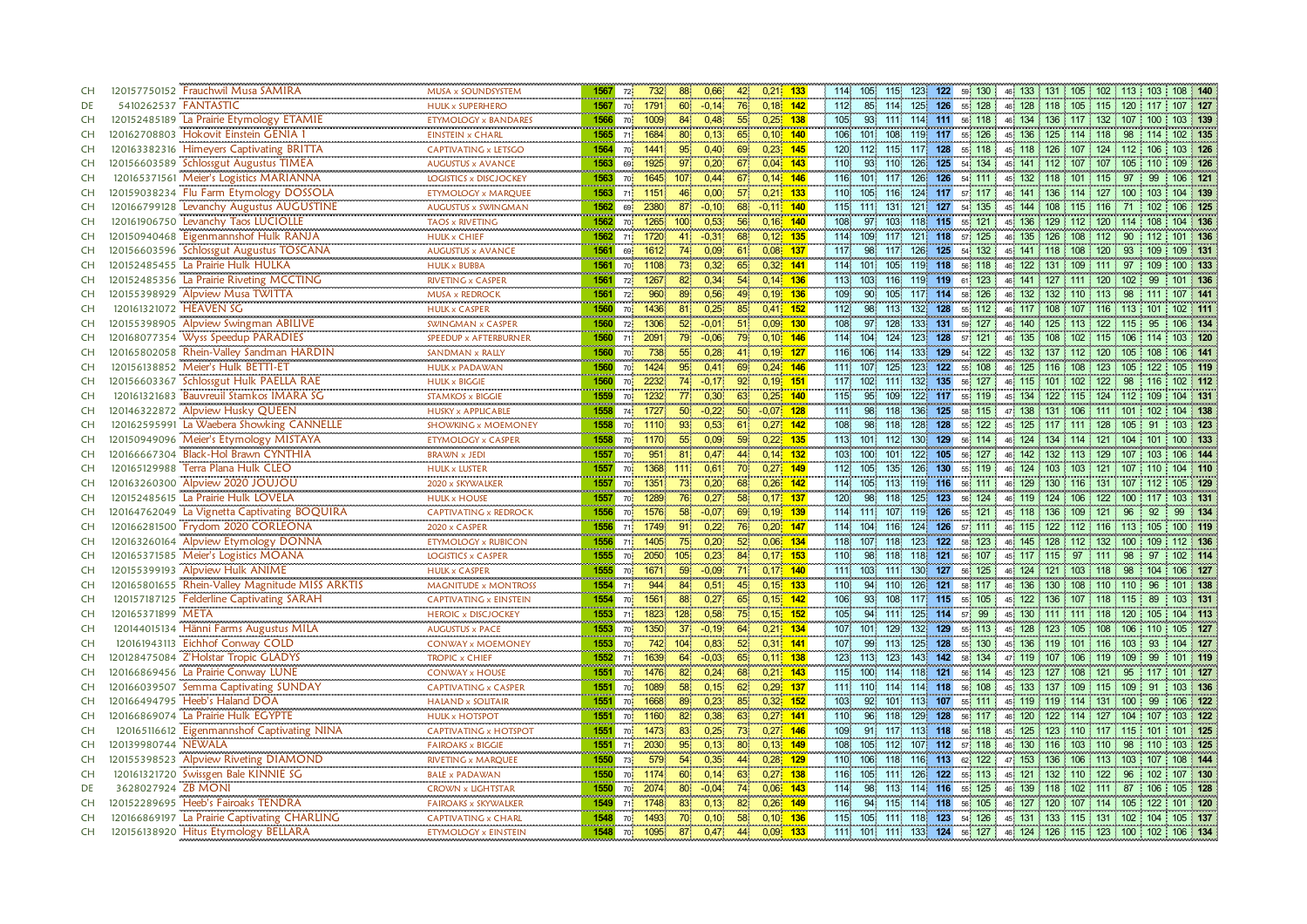| CH        |                      | 120157750152 Frauchwil Musa SAMIRA                                         | MUSA x SOUNDSYSTEM<br>                      | 1567                      | 72 <sub>1</sub>       | 732                 | 88              | 0,66              | 42              | $0,21$ 133               |             | 114.             | 105 115 |                  | 123<br>122                |                  | 59 130                 |            |                    |             | 46 133 131 105 102 113 103       |     | 108 140                            |
|-----------|----------------------|----------------------------------------------------------------------------|---------------------------------------------|---------------------------|-----------------------|---------------------|-----------------|-------------------|-----------------|--------------------------|-------------|------------------|---------|------------------|---------------------------|------------------|------------------------|------------|--------------------|-------------|----------------------------------|-----|------------------------------------|
| DE        | 5410262537 FANTASTIC |                                                                            | <b>HULK x SUPERHERO</b>                     | 1567                      | 70                    | 1791                | 60              | $-0,14$           | 76              | $0,18$ 142               |             | 112              |         | 85 114 125       | 126                       |                  | 55 128                 |            |                    |             | 46 128 118 105 115 120           |     | 107 127                            |
| <b>CH</b> |                      | 120152485189 La Prairie Etymology ETAMIE                                   | <b>ETYMOLOGY x BANDARES</b>                 | 1566                      | 70                    | 1009                | 84              | 0.48              | 55 <sub>o</sub> | 0.25%                    | 138         | 105 <sub>1</sub> |         | 93 111 114       | 111                       | 56 118           |                        |            | 46 134 136 117 132 |             | 107                              | 100 | 103 139                            |
| <b>CH</b> |                      | 120162708803 Hokovit Einstein GENIA 1                                      | <b>EINSTEIN x CHARL</b>                     | 1565                      | 71                    | 1684                | 80              | 0.13              | 65              | 0.10                     | 140         | 106              | 101 108 |                  | 119<br>117                | 55 126           |                        | 45 136     |                    |             | 125 114 118 98                   | 114 | 102 135                            |
| <b>CH</b> |                      | 120163382316 Himeyers Captivating BRITTA                                   | CAPTIVATING x LETSGO                        | 1564                      | 70                    | $1441$              | 95 <sup>°</sup> | 0,40              | 69              | $0.23$ 145               |             | 120              | 112 115 |                  | 128<br>117                |                  | 55 118                 |            |                    |             | 45 118 126 107 124 112 106       |     | 103 126                            |
| <b>CH</b> | 120156603589         | Schlossgut Augustus TIMEA                                                  | AUGUSTUS x AVANCE<br>                       | 1563                      | 69                    | 1925                | 97              | 0,20              | 67              | $0,04$ 143               | <b>DOM:</b> | 110              |         | 93 110           | 126<br>125                |                  | 54 134                 |            |                    |             | 45 141 112 107 107 105 110       |     | 109 126                            |
| <b>CH</b> |                      | 120165371561 Meier's Logistics MARIANNA                                    | LOGISTICS x DISCJOCKEY                      | 1563                      | 70                    | 1645                | 107             | 0,44              | 67              | $0,14$ 146               |             | 116              | 101 117 |                  | 126 126 54 111            |                  |                        |            |                    |             | 45 132 118 101 115 97            | 99  | 106 121                            |
| CH        |                      | 120159038234 Flu Farm Etymology DOSSOLA                                    | ETYMOLOGY x MARQUEE                         | 1563                      | 71                    | 1151                | 46.             | 0,00              | 57              | $0.21 - 133$             |             | 110              | 105 116 |                  | 124                       | 117 57 117       |                        |            |                    |             | 46 141 136 114 127 100 103       |     | 104 139                            |
| <b>CH</b> | 120166799128         | Levanchy Augustus AUGUSTINE                                                | AUGUSTUS x SWINGMAN<br>                     | 1562                      | 69                    | 2380                | 87              | $-0.10$           | 68              | $-0.11$                  | 140         | 115              | 111     | 131.             | 121<br>127                |                  | 54 135                 | 45 144     | 108                | 115 116     | 71                               | 102 | 106 125                            |
| <b>CH</b> |                      | 120161906750 Levanchy Taos LUCIOLLE                                        | TAOS x RIVETING                             | 1562                      | 70 <mark> </mark>     | 1265                | 100             | 0,53              | 56              | 0,16                     | 140         | 108              |         | 97 103           | 118<br>115                | 55 121           |                        |            |                    |             | 45 136 129 112 120 114           | 108 | 104 136                            |
| <b>CH</b> |                      | 120150940468 Eigenmannshof Hulk RANJA                                      | <b>HULK x CHIEF</b>                         | 1562                      | 71                    | 1720                | 41.             | $-0.31$           | 68              | 0.12                     | 135         | 114              | 109 117 |                  | 121<br>118                | 57               | 125<br>46 <sup>1</sup> | 135        | 126                | 108 112     | 90                               |     | 101 136                            |
| <b>CH</b> |                      | 120156603596 Schlossgut Augustus TOSCANA                                   | <b>AUGUSTUS x AVANCE</b>                    | 1561                      | 69                    | 1612                |                 | 0.09 <sub>1</sub> | 61              | $0,08$ 137               |             | 117              | 98      | 117 <sup>°</sup> | 125<br>126                |                  | 54 132                 |            | 45 141 118 108 120 |             | 93                               | 109 | 109 131                            |
| <b>CH</b> |                      | 120152485455 La Prairie Hulk HULKA                                         | <b>HULK x BUBBA</b>                         | 1561                      | 70                    | 1108                | 73              | 0.32              | 65              | $0,32$ 141               |             | 114              | 101     | 105              | 119<br>118                |                  | 56 118                 | 46 122     |                    |             | 131 109 111 97                   | 109 | 100 133                            |
| <b>CH</b> |                      | 120152485356 La Prairie Riveting MCCTING                                   | RIVETING x CASPER                           | 1561                      | 72.                   | 1267                | 82              | 0,34              | 54              | $0,14$ 136               |             | 113.             |         | 103 116 119      | 119                       | 61 123           |                        |            |                    |             | 46 141 127 111 120 102           | 99  | 101 136                            |
| <b>CH</b> |                      | 120155398929 Alpview Musa TWITTA                                           | MUSA x REDROCK                              | <b>CONTRACTOR</b><br>1561 | 72                    | <b>COLOR</b><br>960 | 89              | 0,56              | 49              | $0,19$ 136               |             | 109 <sup>1</sup> | 90.     | 105.             | 117<br>114                | 58 126           |                        |            |                    |             | 46 132 132 110 113 98            |     | 107 141                            |
| <b>CH</b> |                      | 120161321072 HEAVEN SG                                                     | <br><b>HULK x CASPER</b>                    | 1560 70                   |                       | 1436                | 81              | 0,25              | 85              | $0,41$ 152               |             | 112.             |         | 98 113           | 132<br>128                | 55 112           |                        |            |                    |             | 46 117 108 107 116 113           | 101 | 102 111                            |
| <b>CH</b> |                      | 120155398905 Alpview Swingman ABILIVE                                      | <b>SWINGMAN x CASPER</b>                    | 1560                      | 72 <sup>1</sup>       | 1306                | 52              | $-0.01$           | 51              | $0.09$ 130               |             | 108              |         | 97 128           | 133<br>131                | 59 127           |                        |            |                    |             | 46 140 125 113 122 115           | 95  | 106 134                            |
| <b>CH</b> |                      | 120168077354 Wyss Speedup PARADIES                                         | SPEEDUP x AFTERBURNER                       | 1560                      | 71.                   | 2091                | 79.             | $-0.06$           |                 | $0,10$ 146               |             | 114              | 104     | 124 <sup>2</sup> | 123<br>128                | 57 121           |                        | 46 135 108 |                    | 102 115     | -106                             |     | 103 120                            |
| <b>CH</b> |                      | 120165802058 Rhein-Valley Sandman HARDIN                                   | SANDMAN x RALLY                             | 1560                      | 70                    | 738                 | 55 <sub>1</sub> | 0.28              | 41              | 0.19                     | 127         | 116              | 106 114 |                  | 133<br>129                | 54 122           |                        | 45 132     | 137                | $112 \t120$ | 105                              | 108 | 106 141                            |
| <b>CH</b> |                      | 120156138852 Meier's Hulk BETTI-ET                                         | <b>HULK x PADAWAN</b>                       | 1560                      | 70                    | 1424                | 95 <sup>°</sup> | 0.41              | 69              | $0.24 - 146$             |             | 111.             | 107     | 125              | 123<br>122                |                  | 55 108                 |            | 46 125 116 108 123 |             | 105                              | 122 | 105 119                            |
| <b>CH</b> | 120156603367         | Schlossgut Hulk PAELLA RAE                                                 | <b>HULK x BIGGIE</b>                        | 1560                      | 70                    | 2232                | 74              | $-0,17$           | 92              | 0.19                     | 151         | 117.             | 102 111 |                  | 132<br>135                |                  | 56 127                 |            | 46 115 101 102 122 |             | 98                               | 116 | 102 112                            |
| <b>CH</b> |                      | 120161321683 Bauvreuil Stamkos IMARA SG                                    | <br><b>STAMKOS x BIGGIE</b>                 | <b>CONTRACT</b><br>1559   | 70                    | 1232                | 77              | 0,30              | 63              | 0.25                     | 140         | 115.             | 95      | 109              | 122                       | 117 55 119       |                        | 45 134     |                    |             | 122 115 124 112                  | 109 | 104 131                            |
| <b>CH</b> |                      | 120146322872 Alpview Husky QUEEN                                           | <b>HUSKY x APPLICABLE</b>                   | 1558                      | 74 <sup>1</sup>       | 1727                | 50 <sup>°</sup> | $-0.22$           | 50 <sup>°</sup> | $-0.07$                  | 128         | 1111             | 98.     | 118              | 136<br>125                |                  | 58 115                 | 47 138     | 131                | 106 111     | 101                              |     | 104 138                            |
| <b>CH</b> |                      | 120162595991 La Waebera Showking CANNELLE                                  | SHOWKING x MOEMONEY                         | 1558                      | 70                    | 1110                | 93.             | 0,53              | 61              | 0,27                     | 142         | 108              | 98      | 118              | 128<br>128                |                  | 55 122<br>45.          | 125        | 117 111 128        |             | 105                              | -91 | 103 123                            |
| <b>CH</b> |                      | 120150949096 Meier's Etymology MISTAYA                                     | ETYMOLOGY x CASPER                          | 1558                      | 70                    | 1170                | 55              | 0,09              | 59              | 0,22                     | 135         | 113              | 101 112 |                  | 129<br>130                |                  | 56 114                 |            | 46 124 134 114 121 |             | 104                              | 101 | 100 133                            |
| <b>CH</b> |                      | 120166667304 Black-Hol Brawn CYNTHIA                                       | <b>BRAWN x JEDI</b>                         | 1557                      | 70                    | $951 -$             | 81              | 0.47              | 44              | $0.14$ 132               |             | 103 <sub>1</sub> | $100 -$ | 101 <sup>1</sup> | 122<br>105                | 56 127           |                        | 46 142     | 132 113 129        |             | 107                              | 103 | 106 144                            |
| <b>CH</b> |                      | 120165129988 Terra Plana Hulk CLEO                                         | <br><b>HULK x LUSTER</b>                    | 1557                      | 70                    | 1368                | 1111            | 0,61              | 70.             | 0,27                     | 149         | 112              | 105     | 135.             | 126<br>130                | 55 119           |                        |            |                    |             | 46 124 103 103 121 107           |     | 104 110                            |
| <b>CH</b> |                      | 120163260300 Alpview 2020 JOUJOU                                           | 2020 x SKYWALKER                            | 1557                      | 70                    | 1351                | 73.             | 0,20              | 68              | $0.26$ 142               |             | 114              |         | 105 113 119      | 116                       |                  | 56 111                 |            |                    |             | 46 129 130 116 131 107           | 112 | 105 129                            |
| <b>CH</b> |                      | 120152485615 La Prairie Hulk LOVELA                                        |                                             | 1557                      |                       | 1289                | 76              | 0,27              | 58              | $0,17$ 137               |             | 120              | 98      | 118              | 125<br>123                |                  |                        |            |                    |             |                                  |     | 103 131                            |
| <b>CH</b> |                      | 120164762049 La Vignetta Captivating BOQUIRA                               | <b>HULK x HOUSE</b>                         | 1556                      | 70                    |                     | 58.             |                   |                 |                          |             | 114              |         | 111 107 119      | 126                       | 56 124           |                        |            |                    |             | 46 119 124 106 122 100 117<br>96 | 92  | 99 134                             |
| <b>CH</b> |                      | 120166281500 Frydom 2020 CORLEONA                                          | CAPTIVATING x REDROCK                       | 1556                      | 70                    | 1576<br>1749        |                 | $-0,07$<br>0,22   | 69<br>76        | 0,19 139<br>0,20         | 147         | 114              | 104     |                  | 124<br>126                | 55 121<br>57 111 |                        |            | 45 118 136 109 121 |             | 46 115 122 112 116 113           | 105 | 100 119                            |
| <b>CH</b> |                      | 120163260164 Alpview Etymology DONNA                                       | 2020 x CASPER<br><b>ETYMOLOGY x RUBICON</b> | 1556                      | 71.                   | 1405                | 91<br>75        | 0,20              | 52              | 0,06                     | 134         | 118              | 107 118 | 116              | 123<br>122                | 58 123           |                        |            | 46 145 128 112 132 |             | 100                              | 109 | 112 136                            |
| <b>CH</b> |                      | 120165371585 Meier's Logistics MOANA                                       |                                             |                           | 71<br>70 <sup>1</sup> |                     | 105             |                   | 84              | $0,17$ 153               |             | 110              |         | 98 118           | 121<br>118                | 56 107           |                        |            |                    | 97 111      | 98                               | 97  | 102 114                            |
|           |                      | 120155399193 Alpview Hulk ANIME                                            | <b>LOGISTICS x CASPER</b>                   | 1555<br>1555              |                       | 2050                | 59              | 0,23              | 71              |                          | 140         |                  | 103 111 |                  |                           |                  |                        | 45 117 115 |                    |             |                                  |     | 106 127                            |
| <b>CH</b> |                      |                                                                            | <b>HULK x CASPER</b>                        |                           | 70                    | 1671<br>944         |                 | $-0.09$           |                 | 0,17                     |             | 1111             |         |                  | $130^\circ$<br>127<br>121 | 56 125           |                        |            |                    |             | 46 124 121 103 118 98            | 104 |                                    |
| <b>CH</b> |                      | 120165801655 Rhein-Valley Magnitude MISS ARKTIS                            | <b>MAGNITUDE x MONTROSS</b>                 | 1554                      | 71                    |                     | 84              | 0,51              | 45              | $0,15$ 133               |             | 110              |         | 94 110           | 126                       | 58 117           |                        |            |                    |             | 46 136 130 108 110 110           | 96  | 101 138                            |
| <b>CH</b> | 120165371899 META    | 120157187125 Felderline Captivating SARAH                                  | <b>CAPTIVATING x EINSTEIN</b>               | 1554<br>1553              | 70                    | 1561                | 88              | 0,27              | 65              | $0,15$ 142               |             | 106<br>105       | 93      | 108<br>94 111    | 115<br>117<br>114         |                  | 55 105                 |            |                    |             | 45 122 136 107 118 115           | 89  | 103 131                            |
| <b>CH</b> |                      |                                                                            | <b>HEROIC x DISCJOCKEY</b>                  |                           | 71                    | 1823                | 128             | 0,58              | 75              | $0,15$ 152               |             | 107              |         |                  | 125                       | 57 99            |                        |            |                    |             | 45 130 111 111 118 120           | 105 | 104 113                            |
| <b>CH</b> |                      | 120144015134 Hänni Farms Augustus MILA<br>120161943113 Eichhof Conway COLD | <b>AUGUSTUS x PACE</b>                      | 1553<br>1553              | 70                    | 1350                | 37 <sup>2</sup> | $-0,19$           | 64<br>52        | $0,21$ 134<br>$0,31$ 141 |             |                  | 101 129 |                  | 132<br>129<br>125         |                  | 55 113                 |            |                    |             | 45 128 123 105 108 106 110       |     | 105 127                            |
| <b>CH</b> |                      |                                                                            | <b>CONWAY x MOEMONEY</b>                    |                           | 70                    | 742                 | 104.            | 0,83              |                 |                          |             | 107              |         | 99 113           | 128<br>142                | 55 130           |                        | 45 136     |                    |             | 119 101 116 103                  | 93  | 104 127                            |
| <b>CH</b> |                      | 120128475084 Z'Holstar Tropic GLADYS                                       | <b>TROPIC x CHIEF</b>                       | 1552                      | 71                    | 1639                | 64              | $-0.03$           | 65              | $0,11$ 138               |             | 123              | 113     | 123.             | 143                       |                  | 58 134                 | 47 119 107 |                    | 106 119     | 109                              | 99  | 101 119                            |
| <b>CH</b> |                      | 120166869456 La Prairie Conway LUNE                                        | <b>CONWAY x HOUSE</b>                       | 1551                      | 70                    | 1476                | 82              | 0,24              | 68              | 0,21                     | 143         | 115              | 100 114 |                  | 121<br>118                | 56 114           |                        | 45 123 127 |                    | $108$ 121   | 95                               | 117 | 101 127                            |
| <b>CH</b> |                      | 120166039507 Semma Captivating SUNDAY                                      | <b>CAPTIVATING x CASPER</b>                 | 1551                      | 70 <sup>1</sup>       | 1089                | 58              | 0.15              | 62              | 0,29                     | 137         | 1111             | 110     | 114.             | 114<br>118                | 56 108           |                        | 45 133     | 137                | $109$ 115   | 109                              | 91  | 103 136                            |
| <b>CH</b> |                      | 120166494795 Heeb's Haland DOA                                             | <b>HALAND x SOLITAIR</b>                    | 1551                      | 70                    | 1668                | 89              | 0.23              | 85.             | 0,32.                    | 152         | 103 <sub>1</sub> | 92      | 101.             | 113<br>107                |                  | 55 111                 |            |                    |             | 45 119 119 114 131 100           | -99 | 106 122                            |
| <b>CH</b> |                      | 120166869074 La Prairie Hulk EGYPTE                                        | <b>HULK x HOTSPOT</b>                       | 1551                      | 70                    | 1160                | 82              | 0,38              | 63              | 0,27                     | 141         | 110              | 96      | 118              | 129<br>128                | 56 117           |                        |            |                    |             | 46 120 122 114 127 104           | 107 | 103 122                            |
| <b>CH</b> |                      | 120165116612 Eigenmannshof Captivating NINA                                | CAPTIVATING x HOTSPOT                       | 1551                      | 70                    | 1473                | 83              | 0,25              | 73              | 0,27                     | 146         | 109              |         | 91 117 113       | 118                       |                  | 56 118                 |            |                    |             | 45 125 123 110 117 115 101       |     | 101 125                            |
| <b>CH</b> | 120139980744 NEWALA  |                                                                            | <b>FAIROAKS x BIGGIE</b>                    | 1551                      | 71                    | 2030                | $95^{\circ}$    | 0,13              | 80.             | $0,13$ 149               |             | 108              | 105 112 |                  | 107<br>112                | 57 118           |                        |            | 46 130 116 103 110 |             | 98                               | 110 | 103 125                            |
| <b>CH</b> |                      | 120155398523 Alpview Riveting DIAMOND                                      | RIVETING x MARQUEE                          | 1550                      | 73                    | 579                 | 54              | 0,35              | 44              | 0,28                     | 129         | 110              | 106     | 118              | 113<br>116                | 62 122           |                        | 47 153 136 |                    | 106 113     | 103                              | 107 | 108 144                            |
| <b>CH</b> |                      | 120161321720 Swissgen Bale KINNIE SG                                       | <b>BALE x PADAWAN</b>                       | 1550                      | 70 <sub>1</sub>       | 1174                | 60              | 0,14              | 63              | 0,27                     | 138         | 116              | 105     | 1111             | 126<br>122                |                  | 55 113                 | 45 121     | 132                | 110         | 122<br>96                        | 102 | 107 130                            |
| DE        | 3628027924 ZB MONI   |                                                                            | CROWN x LIGHTSTAR                           | 1550                      | 70                    | 2074                | 80              | $-0,04$           | 74              | 0,06                     | 143         | 114              | 98      | 113.             | 114<br>116                | 55 125           |                        | 46 139 118 |                    | 102 111     | 87                               | 106 | 105 128                            |
| <b>CH</b> |                      | 120152289695 Heeb's Fairoaks TENDRA                                        | <b>FAIROAKS x SKYWALKER</b>                 | 1549                      | 71                    | 1748                | 83              | 0.13              | 82              | 0,26                     | 149         | 116              |         | 94 115           | 114<br>118                |                  | 56 105                 | 46 127 120 |                    | $107$ 114   | 105                              | 122 | 101 120                            |
| <b>CH</b> |                      | 120166869197 La Prairie Captivating CHARLING                               | <b>CAPTIVATING x CHARL</b>                  | 1548                      | 70                    | 1493                | 70.             | 0.10              | 58              | 0,10                     | 136         | 115              |         | 105 111 118      | 123                       | 54 126           |                        |            |                    |             | 45 131 133 115 131 102           | 104 | 105 137                            |
| <b>CH</b> |                      | 120156138920 Hitus Etymology BELLARA                                       | <b>ETYMOLOGY x EINSTEIN</b>                 |                           | 1548 70               | 1095                | 87              | 0,47              | 44              | $0.09$ 133               |             | 111              |         | 101 111 133 124  |                           |                  | 56 127                 |            |                    |             |                                  |     | 46 124 126 115 123 100 102 106 134 |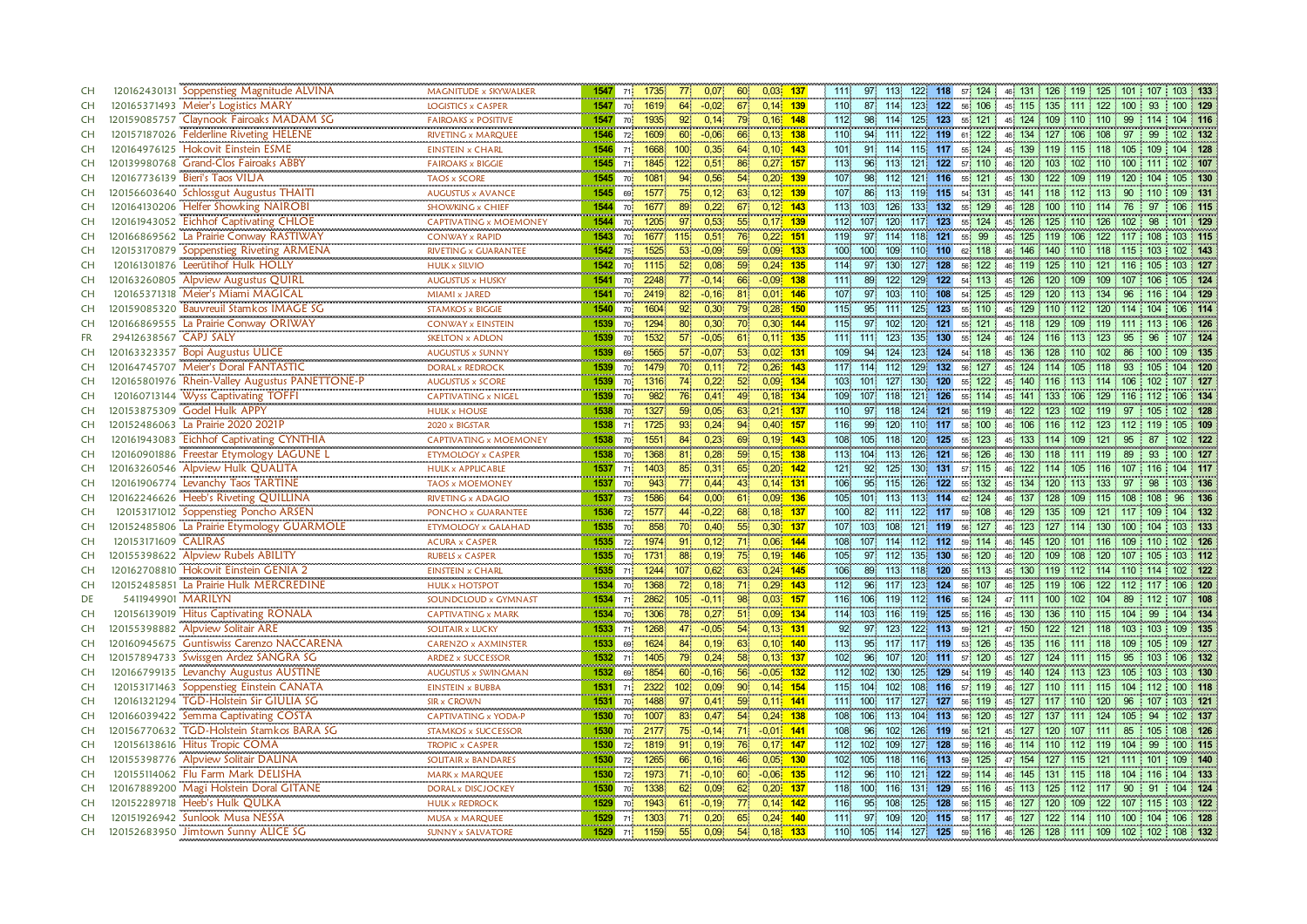| <b>CH</b> | 120162430131 Soppenstieg Magnitude ALVINA                                 | MAGNITUDE x SKYWALKER          | 1547            | 71                | 1735                      |                  | 0,07    | 60              | $0,03$ 137  | 1111<br>97.             | 113.                   | 122 118                 | 57 124         | 46 131 126 119 125 101             |                        |                 | 107 103 133 |            |
|-----------|---------------------------------------------------------------------------|--------------------------------|-----------------|-------------------|---------------------------|------------------|---------|-----------------|-------------|-------------------------|------------------------|-------------------------|----------------|------------------------------------|------------------------|-----------------|-------------|------------|
| <b>CH</b> | 120165371493 Meier's Logistics MARY                                       | <br><b>LOGISTICS x CASPER</b>  | 1547            | 70                | 1619                      | 64               | $-0.02$ | 67              | $0,14$ 139  | 110                     | 87 114                 | 123<br>122              | 56 106         | 45 115 135 111 122 100             |                        |                 | 93          | 100 129    |
| <b>CH</b> | 120159085757 Claynook Fairoaks MADAM SG                                   | <b>FAIROAKS x POSITIVE</b>     | 1547            | 701               | 1935                      |                  | 0,14    | 79              | $0,16$ 148  | 112.<br>98              | $114 -$                | 125<br>123              | 55 121         | 45 124 109 110 110                 |                        | 99              | 114         | 104 116    |
| <b>CH</b> | 120157187026 Felderline Riveting HELENE                                   | RIVETING x MARQUEE             | 1546            | 72 <sub>1</sub>   | 1609                      | 60               | $-0.06$ | 66              | $0,13$ 138  | 110                     | 94 111                 | 122<br>119              | 61 122         | 46 134 127 106 108                 |                        | 97              | 99          | 102 132    |
| <b>CH</b> | 120164976125 Hokovit Einstein ESME                                        | EINSTEIN x CHARL               | 1546            | 71                | 1668                      | 100              | 0,35    | 64              | $0,10$ 143  | 101                     | 91 114                 | 115 117                 | 55 124         | 45 139 119 115 118 105 109         |                        |                 |             | 104 128    |
| <b>CH</b> | 120139980768 Grand-Clos Fairoaks ABBY                                     | FAIROAKS x BIGGIE              | 1545            | 71                | 1845                      | 122              | 0,51    | 86              | $0.27$ 157  | 113<br>96               | 113                    | 121<br>122              | 57 110         | 46 120 103                         | 102 110                | 100             | 111         | 102 107    |
| <b>CH</b> | 120167736139 Bieri's Taos VILJA                                           | <b>TAOS x SCORE</b>            | 1545            | 70                | 1081                      | 94               | 0,56    | 54              | $0,20$ 139  | $107$<br>98             | 112.                   | $121$<br>$116$          | 55 121         | 45 130 122                         |                        | 109 119 120 104 |             | 105 130    |
| <b>CH</b> | 120156603640 Schlossgut Augustus THAITI                                   | <b>AUGUSTUS x AVANCE</b>       | 1545            | 69                | 1577                      |                  | 0,12    | 63              | $0,12$ 139  | 107<br>86.              | 113.                   | 119 115                 | 54 131         | 45 141 118 112 113                 |                        | 90              | 110         | 109 131    |
| <b>CH</b> | 120164130206 Helfer Showking NAIROBI                                      | SHOWKING x CHIEF               | 1544            | 70 <sub>1</sub>   | 1677                      | 89               | 0,22    | 67<br>0,12      | 143         | 113<br>103              | 126                    | 133<br>132              | 129<br>55      | 128<br>46.                         | 100<br>$110$ 114       | 76              | 97          | 106 115    |
| <b>CH</b> | 120161943052 Eichhof Captivating CHLOE                                    | <br>CAPTIVATING x MOEMONEY     | 1544            | 70                | <b>CONTRACTOR</b><br>1205 |                  | 0,53    | 55              | $0,17$ 139  | 112<br>107              | 120 <sub>1</sub>       | 117<br>123              | 55 124         | 45 <sub>1</sub><br>126             | 125                    | $110$ 126 102   | 98          | 101 129    |
| <b>CH</b> | 120166869562 La Prairie Conway RASTIWAY                                   | <b>CONWAY x RAPID</b>          | 1543            | 70                | 1677                      | 115 <sup>1</sup> | 0,51    | 76              | $0.22$ 151  | 119.<br>97 114          |                        | 121<br>118              | 99<br>55       | 125<br>45                          | 119<br>106 122         | -117            | 108         | 103 115    |
| <b>CH</b> | 120153170879 Soppenstieg Riveting ARMENA                                  | <br>RIVETING x GUARANTEE       | 1542            | 75.               | 1525                      | 53 <sup>°</sup>  | $-0.09$ | 59              | $0.09$ 133  | 100<br>100              | 109                    | 110 110                 | 62 118         | 46 146 140 110 118 115             |                        |                 | 103         | 102 143    |
| <b>CH</b> | 120161301876 Leerütihof Hulk HOLLY                                        | <b>HULK x SILVIO</b>           | 1542            | 70                | 1115                      | 52 <sub>1</sub>  | 0,08    | 59              | $0,24$ 135  | 114<br>97.              | 130                    | 127<br>128              | 56 122         | 46 119 125 110 121 116             |                        |                 | 105         | 103 127    |
| <b>CH</b> |                                                                           | AUGUSTUS x HUSKY               | 1541            | 70                | 2248                      | $77^{\circ}$     | $-0,14$ | 66              | $-0.09$ 138 | 1111<br>89              | 122                    | 129<br>122              | 54 113         | 45 126 120                         | 109 109                | 107             | 106         | 105 124    |
| CH        | 120163260805 Alpview Augustus QUIRL<br>120165371318 Meier's Miami MAGICAL | MIAMI x JARED                  | 1541            | 70                | 2419                      | 82               | $-0,16$ | 81              | 0,01 146    | 107.<br>97              | 103.<br>110            | 108                     | 54 125         | 129 120<br>45.                     |                        | 113 134 96      |             | 104 129    |
| CH        | 120159085320 Bauvreuil Stamkos IMAGE SG                                   | <br><b>STAMKOS x BIGGIE</b>    | 1540            | 70 <mark>i</mark> | 1604                      | $92^\circ$       | 0,30    | 79.             | $0,28$ 150  | 95 111<br>115           |                        | 123<br>125              | 55 110         | 45 129 110 112 120 114             |                        |                 | 104         | 106 114    |
| CH        | 120166869555 La Prairie Conway ORIWAY                                     | <b>CONWAY x EINSTEIN</b>       | 1539            | 70                | 1294                      | 80               | 0,30    | 70              | $0,30$ 144  | 115                     | 97 102                 | 120<br>121              | 55 121         | 45 118 129 109 119 111             |                        |                 | 113         | 106 126    |
| <b>FR</b> | 29412638567 CAPJ SALY                                                     | SKELTON x ADLON                | 1539            | 70 <sup>1</sup>   | 1532                      |                  | $-0.05$ | 61.             | $0.11$ 135  | 111<br>111              | 123                    | 130<br>135 <sup>1</sup> | 55 124         | 46 124 116                         | 113 123                | 95              | 96          | 107 124    |
| <b>CH</b> | 120163323357 Bopi Augustus ULICE                                          | <b>AUGUSTUS x SUNNY</b>        | 1539            | 69                | 1565                      |                  | $-0.07$ | 53 <sup>°</sup> | $0.02$ 131  | 94<br>109               | 124                    | 124<br>123              | 54 118         | 45 136                             | 128<br>110 102         | 86              | 100         | 109 135    |
| <b>CH</b> | 120164745707 Meier's Doral FANTASTIC                                      | <b>DORAL x REDROCK</b>         | 1539            | 70 <sup>1</sup>   | 1479                      | 70.              | 0.11    | 72              | $0.26$ 143  | 117<br>114              | 112                    | 129<br>132              | 56 127         | 45 124 114 105 118                 |                        | 93              | 105         | 104 120    |
| <b>CH</b> | 120165801976 Rhein-Valley Augustus PANETTONE-P                            | <b>AUGUSTUS x SCORE</b>        | 1539            | $70 \frac{1}{2}$  | 1316                      | 74               | 0,22    | 52 <sub>2</sub> | $0.09$ 134  | 103 <sub>1</sub><br>101 | 127                    | 130<br>120              | 122<br>55.     | 140 116<br>45.                     |                        | 113 114 106     |             | 107 127    |
| <b>CH</b> | 120160713144 Wyss Captivating TOFFI                                       | <br><b>CAPTIVATING x NIGEL</b> | an anns<br>1539 | 70                | 982                       | 76               | 0,41    | 49              | $0,18$ 134  | 109<br>107 118          |                        | 121<br>126              | 55 114         | 45 141 133                         |                        | 106 129 116     | -112        | 106 134    |
| <b>CH</b> | 120153875309 Godel Hulk APPY                                              | <b>HULK x HOUSE</b>            | 1538            | 70                | 1327                      | 59               | 0,05    | 63<br>0.21      | 137         | 97<br>110               | 118                    | 124<br>121              | 56 119         | 122<br>46                          | 123<br>102 119         | 97              |             | 102 128    |
| <b>CH</b> | 120152486063 La Prairie 2020 2021P                                        | 2020 x BIGSTAR                 | 1538            | 71.               | 1725                      |                  | 0,24    | 94              | $0,40$ 157  | 99<br>116               | 120                    | 110 117                 | 58 100         | 46.                                | 106 116 112 123        |                 |             | 105 109    |
| <b>CH</b> | 120161943083 Eichhof Captivating CYNTHIA                                  | CAPTIVATING x MOEMONEY         | 1538            | 70                | 1551                      | 84.              | 0,23    | 69              | $0,19$ 143  | 108<br>105 118          |                        | 120 125                 | 55 123         | 45 133 114 109 121                 |                        | 95              | 87          | 102 122    |
| <b>CH</b> | 120160901886 Freestar Etymology LAGUNE L                                  | ETYMOLOGY x CASPER             | 1538            | 70                | 1368                      |                  | 0.28    | 59              | $0,15$ 138  | 113<br>104              | 113                    | 126<br>121              | 56 126         | 130 118<br>46                      | $111 \t119$            | 89              | 93          | 100<br>127 |
| <b>CH</b> | 120163260546 Alpview Hulk QUALITA                                         | <br><b>HULK x APPLICABLE</b>   | 1537            | 71                | 1403                      |                  | 0,31    | 65.             | $0,20$ 142  | 121.<br>92              | 125.                   | 131<br>130              | 57 115         | 46 122 114 105 116 107             |                        |                 |             | 104 117    |
| <b>CH</b> | 120161906774 Levanchy Taos TARTINE                                        | <b>TAOS x MOEMONEY</b>         | 1537            | 70                | 943                       | $77^{\circ}$     | 0,44    | 43              | $0,14$ 131  | 106                     | 95 115                 | 126<br>122              | 55 132         | 45 134 120 113 133 97              |                        |                 | 98          | 103 136    |
| <b>CH</b> | 120162246626 Heeb's Riveting QUILLINA                                     | RIVETING x ADAGIO              | 1537            | 73 <sub>1</sub>   | 1586                      | 64               | 0,00    | 61              | $0.09$ 136  | 105<br>101 113          |                        | 113<br>114              | 62 124         | 46 137 128 109 115 108             |                        |                 | 108         | 96 136     |
| <b>CH</b> | 120153171012 Soppenstieg Poncho ARSEN                                     | PONCHO x GUARANTEE             | 1536            | 72 <sup>1</sup>   | 1577                      | 44 <sup>1</sup>  | $-0,22$ | 68              | $0,18$ 137  | 100<br>82               | 111.                   |                         | 122 117 59 108 | 46 129 135 109 121 117 109         |                        |                 |             | 104 132    |
| <b>CH</b> | 120152485806 La Prairie Etymology GUARMOLE                                | ETYMOLOGY x GALAHAD            | 1535            | 70 <sup>1</sup>   | 858.                      |                  | 0,40    | 55 <sub>5</sub> | $0,30$ 137  | 107<br>103              | 108                    | 121<br>119              | 56 127         | 46 123 127 114 130                 |                        | 100             | 104         | 103 133    |
| <b>CH</b> | 120153171609 CALIRAS                                                      | <b>ACURA x CASPER</b>          | 1535            | 72                | 1974                      | 91               | 0,12    | 71              | $0,06$ 144  | 108<br>107 114          |                        | 112 112                 | 59 114         | 46 145 120 101 116 109             |                        |                 | 110         | 102 126    |
| <b>CH</b> | 120155398622 Alpview Rubels ABILITY                                       | <b>RUBELS x CASPER</b>         | 1535            | 70                | 1731                      | 88               | 0,19    | 75              | $0,19$ 146  | 105<br>97 112           |                        | 130<br>135              | 56 120         | 46 120 109 108 120                 |                        | 107             | 105         | 103 112    |
| <b>CH</b> | 120162708810 Hokovit Einstein GENIA 2                                     | <b>EINSTEIN x CHARL</b>        | 1535            | 71                | 1244                      | 107              | 0,62    | 63              | $0.24$ 145  | 106<br>89 113           |                        | 120<br>118              | 55 113         | 45 130 119 112 114 110             |                        |                 | 114         | 102 122    |
| <b>CH</b> | 120152485851 La Prairie Hulk MERCREDINE                                   | <b>HULK x HOTSPOT</b>          | 1534            | 70                | 1368                      |                  | 0,18    | 71              | $0,29$ 143  | 112                     | 96 117                 | 124<br>123              | 56 107         | 46 125 119                         |                        | 106 122 112     | : 117       | 106 120    |
| DE        | 5411949901 MARILYN                                                        | SOUNDCLOUD x GYMNAST           | 1534            | 71                | 2862                      | 105              | $-0,11$ | 98              | $0.03$ 157  | 116<br>106              | 119                    | 112 116                 | 56 124         | 47 111 100 102 104                 |                        | - 89            | 112         | 107 108    |
| CH        | 120156139019 Hitus Captivating RONALA                                     | <b>CAPTIVATING x MARK</b>      | 1534            | 70 <sub>1</sub>   | 1306                      | 78.              | 0,27    | 51              | $0,09$ 134  | 114.<br>103             | 116                    | 119<br>125              | 55 116         | 45 130 136 110 115 104             |                        |                 | 99          | 104 134    |
| CH        | 120155398882 Alpview Solitair ARE                                         | SOLITAIR x LUCKY               | 1533            | 71.               | 1268                      | 47.              | $-0,05$ | 54              | $0,13$ 131  | 92<br>97                | 123                    | 122<br>113              | 59 121         | 47 150 122 121 118 103             |                        |                 | 103         | 109 135    |
| <b>CH</b> | 120160945675 Guntiswiss Carenzo NACCARENA                                 | <b>CARENZO x AXMINSTER</b>     | 1533            | 69                | 1624                      | 84               | 0,19    | 63              | $0,10$ 140  | 95 <sup>°</sup><br>113. | 117                    | 117 119                 | 53 126         | 45 135 116 111 118 109             |                        |                 | 105         | 109 127    |
| CH        | Swissgen Ardez SANGRA SG<br>120157894733                                  | ARDEZ x SUCCESSOR              | 1532            | 71                | 1405                      |                  | 0,24    | 58              | $0,13$ 137  | 102<br>96               | 107                    | 120<br>$111$            | 120<br>57      | 45 127                             | 124<br>$111 \quad 115$ | 95              | 103         | 106 132    |
| CH        | 120166799135 Levanchy Augustus AUSTINE                                    | AUGUSTUS x SWINGMAN            | 1532            | 69                | 1854                      | 60               | $-0,16$ | 56              | $-0,05$ 132 | 112<br>102              | 130                    | 129<br>125              | 54 119         | 45 140 124                         |                        | 113 123 105     | 103         | 103 130    |
| <b>CH</b> | 120153171463 Soppenstieg Einstein CANATA                                  | <b>EINSTEIN x BUBBA</b>        | 1531            | 71                | 2322                      | 102 <sub>1</sub> | 0,09    | 90              | $0.14$ 154  | 115<br>104              | 102                    | 108<br>116              | 57 119         | 127 110<br>46 <sup>1</sup>         | $111$ 115              | 104             | 112         | 100 118    |
| CH        | 120161321294 TGD-Holstein Sir GIULIA SG                                   | <br><b>SIR x CROWN</b>         | 1531            | 70                | 1488                      | 97               | 0,41    | 59              | $0.11$ 141  | 111 100                 | 117                    | 127<br>127              | 56, 119        | 45 127 117 110 120                 |                        | 96              | 107         | 103 121    |
| <b>CH</b> | 120166039422 Semma Captivating COSTA                                      | <b>CAPTIVATING x YODA-P</b>    | 1530            | 701               | 1007                      |                  | 0.47    | 54              | $0.24$ 138  | 108<br>106              | 113                    | 104<br>113              | 56 120         | 45 127                             | $111$ 124<br>137       | 105             | 94          | 102 137    |
| CH        | 120156770632<br>TGD-Holstein Stamkos BARA SG                              | <b>STAMKOS x SUCCESSOR</b>     | 1530            | 70                | 2177                      | 75               | $-0,14$ | 71              | $-0.01$ 141 | 108<br>96               | 102                    | 126<br>119              | 56 121         | 45 127                             | 120 107 111            | 85              | 105         | 108 126    |
| CH        | 120156138616 Hitus Tropic COMA                                            | <b>TROPIC x CASPER</b>         | 1530            | 72 <sub>1</sub>   | 1819                      | 91               | 0,19    | 76              | $0,17$ 147  | 112<br>102              | 109                    | 127<br>128              | 59 116         | 46 114 110 112 119 104             |                        |                 | 99          | 100 115    |
| <b>CH</b> | 120155398776 Alpview Solitair DALINA                                      | <b>SOLITAIR x BANDARES</b>     | 1530            | 72                | 1265                      | 66               | 0,16    | 46              | $0,05$ 130  | 102<br>105              | 118                    | 116 113                 | 59 125         | 47 154 127 115 121                 |                        | 111 101         |             | 109 140    |
| CH        | 120155114062 Flu Farm Mark DELISHA                                        | <b>MARK x MARQUEE</b>          | 1530            | 72                | 1973                      |                  | $-0,10$ | $-0.06$<br>60   | 135         | 112<br>96               | 110                    | 121<br>122              | 59 114         | 46 145                             | 131<br>115 118         | 104             | 116         | 133<br>104 |
| <b>CH</b> | 120167889200 Magi Holstein Doral GITANE                                   | DORAL x DISCJOCKEY             | 1530            | 70                | 1338                      | 62.              | 0,09    | 62<br>0,20      | 137         | 100<br>118              | 116.                   | 131<br>129              | 55 116         | 45 113 125 112 117                 |                        | 90              | 91          | 104 124    |
| <b>CH</b> | 120152289718 Heeb's Hulk QULKA                                            | <b>HULK x REDROCK</b>          | 1529            | 70                | 1943                      | 61               | $-0,19$ | 77              | $0,14$ 142  | 116<br>95 <sup>°</sup>  | 108                    | 125<br>128              | 56 115         | 46 127                             | 120<br>109 122         | 107             | 115         | 103 122    |
| <b>CH</b> | 120151926942 Sunlook Musa NESSA                                           | <b>MUSA x MAROUEE</b>          | 1529            | 71                | 1303                      | 71.              | 0.20    | 65              | $0.24$ 140  | 1111<br>97              | 109                    |                         | 120 115 58 117 | 46 127 122 114 110 100 104         |                        |                 |             | 106 128    |
| <b>CH</b> | 120152683950 Jimtown Sunny ALICE SG                                       | <b>SUNNY x SALVATORE</b>       |                 |                   | 1529 71 1159              | 55               | 0.09    | 54              | $0,18$ 133  | 110                     | 105 114 127 125 59 116 |                         |                | 46 126 128 111 109 102 102 108 132 |                        |                 |             |            |
|           |                                                                           |                                |                 |                   |                           |                  |         |                 |             |                         |                        |                         |                |                                    |                        |                 |             |            |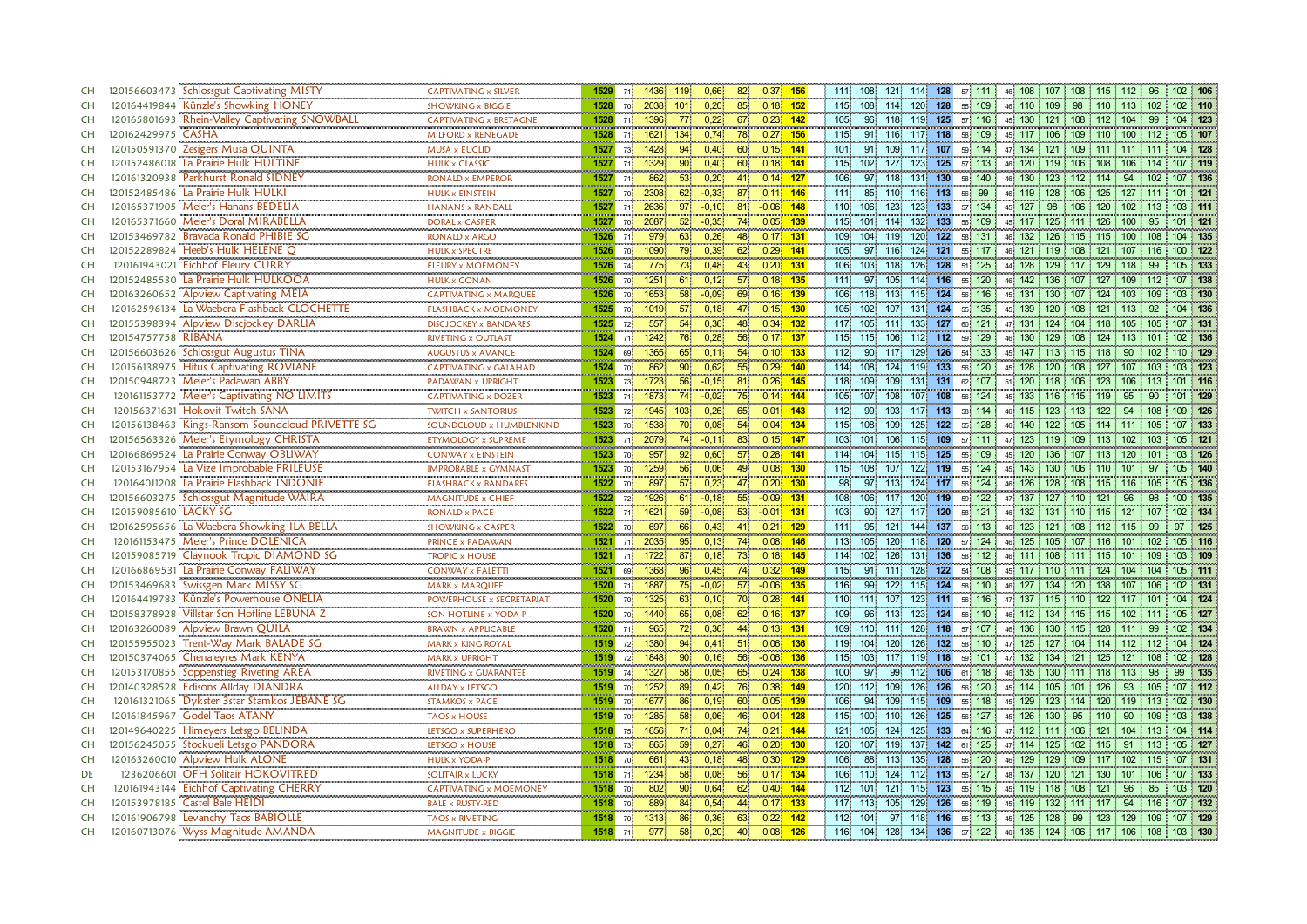| CH        | 120156603473 Schlossgut Captivating MISTY<br><b>CAPTIVATING x SILVER</b>        | 1529                      | 71                | 1436                     | 119              | 0,66    | 82              | $0,37$ 156  | 1111<br>108             | 121.                    | 114 128 | 57 111                 | 46 108 107 108 115 112             |                    |                   | 96       | $102$ 106 |
|-----------|---------------------------------------------------------------------------------|---------------------------|-------------------|--------------------------|------------------|---------|-----------------|-------------|-------------------------|-------------------------|---------|------------------------|------------------------------------|--------------------|-------------------|----------|-----------|
| <b>CH</b> | <br>120164419844 Künzle's Showking HONEY<br><b>SHOWKING x BIGGIE</b>            | 1528                      | 70                | 2038                     | 101              | 0,20    | 85.             | $0,18$ 152  | 115<br>108              | 114                     | 120 128 | 55 109                 | 46 110 109                         |                    | 98 110 113 102    |          | 102 110   |
| <b>CH</b> | 120165801693 Rhein-Valley Captivating SNOWBALL<br><b>CAPTIVATING x BRETAGNE</b> | 1528                      | 711               | 1396                     |                  | 0.22    | 67.             | $0.23$ 142  | 105<br>96               | 118 <sub>1</sub>        |         | 119 125 57 116         | 45 130 121 108 112                 |                    | 104               | 99       | 104 123   |
| <b>CH</b> | 120162429975 CASHA<br>MILFORD x RENEGADE                                        | 1528                      | 71                | 1621                     | 134              | 0,74    | 78              | $0.27$ 156  | 115<br>91 116           |                         | 117 118 | 58 109                 | 45 117<br>106                      |                    | 109 110 100 112   |          | 105 107   |
| <b>CH</b> | 120150591370 Zesigers Musa QUINTA<br>MUSA x EUCLID                              | 1527                      | 73 <sup>1</sup>   | 1428                     | 94               | 0,40    | 60              | $0,15$ 141  | 101<br>91 109           |                         | 117 107 | 59 114                 | 47 134 121 109 111 111 111         |                    |                   |          | 104 128   |
| <b>CH</b> | 120152486018 La Prairie Hulk HULTINE<br><b>HULK x CLASSIC</b>                   | 1527                      | 71                | 1329                     | 90 <sup>1</sup>  | 0,40    | $60^{\circ}$    | $0,18$ 141  | 115<br>102 <sub>1</sub> | 127<br>123              | 125     | 57 113                 | 46 120 119                         | 106 108            | 106               | 114      | 107 119   |
| <b>CH</b> | <br>120161320938 Parkhurst Ronald SIDNEY<br><b>RONALD x EMPEROR</b>             | 1527                      | 71.               | 862                      | 53 <sup>1</sup>  | 0,20    | 41              | $0,14$ 127  | 106<br>97 118           | $131$                   | $130$   | 58 140                 | 46 130 123 112 114                 |                    | 94                | 102      | 107 136   |
| <b>CH</b> | 120152485486 La Prairie Hulk HULKI<br><b>HULK x EINSTEIN</b>                    | 1527                      | 70                | 2308                     | 62.              | $-0,33$ | 87              | $0,11$ 146  | 85<br>1111              | 110                     | 116 113 | 99<br>56 <sup>1</sup>  | 46 119 128 106 125 127             |                    |                   | 111      | 101 121   |
| <b>CH</b> | 120165371905 Meier's Hanans BEDELIA<br><b>HANANS x RANDALL</b>                  | 1527                      | 71                | 2636                     |                  | $-0,10$ | 81<br>$-0,06$   | 148         | 110<br>106              | 123<br>123              | 133     | 134<br>57 <sup>1</sup> | 127<br>98<br>45                    | 106 120            | 102               | 113      | 103 111   |
| <b>CH</b> | 120165371660 Meier's Doral MIRABELLA<br><b>DORAL x CASPER</b>                   | .<br>1527                 | 70                | <b>CONTRACTO</b><br>2087 |                  | $-0,35$ | 74              | 0,05 139    | 115<br>101              | 114<br>132 <sub>1</sub> | 133     | 56 109                 | 45 117 125                         |                    | $111 \t126 \t100$ | 95       | $101$ 121 |
| <b>CH</b> | 120153469782 Bravada Ronald PHIBIE SG<br><b>RONALD x ARGO</b>                   | 1526                      | 713               | 979                      | 63               | 0,26    | 48              | $0,17$ 131  | 109<br>104              | 119<br>120              | 122     | 58 131                 | 132<br>126<br>46                   |                    | 115 115 100       | 108      | 104 135   |
| <b>CH</b> | <br>120152289824 Heeb's Hulk HELENE Q<br><b>HULK x SPECTRE</b>                  | 1526                      | 70                | 1090                     | 791              | 0,39    | 62 <sup>°</sup> | $0.29$ 141  | 105<br>97               | 116<br>124              | 121     | 55 117                 | 46 121 119 108 121 107             |                    |                   | 116.1    | 100 122   |
| <b>CH</b> | 120161943021 Eichhof Fleury CURRY<br>FLEURY x MOEMONEY                          | 1526                      | 74 <sup>1</sup>   | 775                      | 73               | 0,48    | 43              | $0,20$ 131  | 106<br>103 <sub>1</sub> | 118<br>126              | 128     | 51 125                 | 44 128                             | 129 117 129 118    |                   | 99       | 105 133   |
| <b>CH</b> | 120152485530 La Prairie Hulk HULKOOA<br><b>HULK x CONAN</b>                     | 1526                      | 70                | 1251                     | 61               | 0,12    | 57              | $0,18$ 135  | 1111<br>97              | 105<br>114              | 116     | 55 120                 | 46 142 136                         |                    | 107 127 109       | 112      | 107 138   |
| CH        | 120163260652 Alpview Captivating MEIA<br>CAPTIVATING x MARQUEE                  | <b>CONTRACTOR</b><br>1526 | 70                | 1653                     | 58               | $-0.09$ | 69.             | 0,16 139    | 106<br>118              | 113.<br>115             | 124     | 56 116                 | 45 131 130                         |                    | 107 124 103       | 109      | 103 130   |
| CH        | <br>120162596134 La Waebera Flashback CLOCHETTE<br><b>FLASHBACK x MOEMONEY</b>  | 1525                      | 70 <mark>i</mark> | 1019                     | 57 <sub>1</sub>  | 0,18    | 47              | $0,15$ 130  | 102 107<br>105          | $131$                   | 124     | 55 135                 | 45 139 120 108 121 113             |                    |                   | 92       | 104 136   |
| CH        | 120155398394 Alpview Discjockey DARLIA<br><b>DISCJOCKEY x BANDARES</b>          | 1525                      | 72                | 557                      | 54 <sup>°</sup>  | 0,36    | 48              | $0,34$ 132  | 117<br>105 111          | 133                     | 127     | 60 121                 | 47 131 124 104 118 105 105         |                    |                   |          | 107 131   |
| <b>CH</b> | 120154757758 RIBANA<br>RIVETING x OUTLAST                                       | 1524                      | 71                | 1242                     |                  | 0,28    | 56              | $0.17$ 137  | 115<br>115              | 112<br>106              | 112     | 59 129                 | 46 130 129                         | 108 124            |                   | : 101    | 102 136   |
| <b>CH</b> | .<br>120156603626 Schlossgut Augustus TINA<br><b>AUGUSTUS x AVANCE</b>          | 1524                      | 69                | 1365                     |                  | 0.11    | 54              | $0.10$ 133  | 90 <sup>°</sup><br>112. | 117.<br>129             | 126     | 54 133                 | 45 147 113                         | 115 118            | 90                |          | 110 129   |
| CH        | 120156138975 Hitus Captivating ROVIANE<br><b>CAPTIVATING x GALAHAD</b>          | 1524                      | 70                | 862                      | 90 <sup>1</sup>  | 0.62    | 55 <sub>5</sub> | $0.29$ 140  | 114<br>108              | 124<br>119              | 133     | 56 120                 | 45 128                             | 120<br>108 127     | 107               | 103      | 103 123   |
| CH        | 120150948723 Meier's Padawan ABBY<br>PADAWAN x UPRIGHT                          | 1523                      | 73 <sup>1</sup>   | 1723                     | 56               | $-0,15$ | 81              | $0.26$ 145  | 118<br>109              | 109<br>131              | 131     | 107<br>62              | 51 120 118                         | 106 123            | 106               | 113      | 101 116   |
| CH        | <br>120161153772 Meier's Captivating NO LIMITS<br><b>CAPTIVATING x DOZER</b>    | 1523                      | 71                | 1873                     | 74               | $-0.02$ | 75              | $0,14$ 144  | 105<br>107              | 108                     | 107 108 | 56 124                 | 45 <sup>1</sup>                    | 133 116 115 119 95 |                   | 90       | 101 129   |
| <b>CH</b> | 120156371631 Hokovit Twitch SANA<br><b>TWITCH x SANTORIUS</b>                   | 1523                      | 72 <sup>1</sup>   | 1945                     | 103 <sup>1</sup> | 0,26    | 65              | $0,01$ 143  | 112<br>99               | 103<br>117              | 113     | 114<br>58 <sup>1</sup> | 123<br>115<br>46                   | 113 122            | 94                | 108      | 109 126   |
| <b>CH</b> | 120156138463 Kings-Ransom Soundcloud PRIVETTE SG<br>SOUNDCLOUD x HUMBLENKIND    | 1523                      | 70                | 1538                     | $70^{\circ}$     | 0,08    | 54 <sup>°</sup> | $0,04$ 134  | 108<br>115              | 109<br>125              | 122     | 128<br>55.             | 140<br>46                          | 122 105 114 111    |                   |          | 107 133   |
| <b>CH</b> | 120156563326 Meier's Etymology CHRISTA<br>ETYMOLOGY x SUPREME                   | 1523                      | 71                | 2079                     | 74               | $-0,11$ | 83              | $0,15$ 147  | 103<br>101 106          | 115                     | 109     | 57 111                 | 47 123 119 109 113 102             |                    |                   | 103      | 105 121   |
| <b>CH</b> | 120166869524 La Prairie Conway OBLIWAY<br><b>CONWAY x EINSTEIN</b>              | 1523                      | 70                | 957                      | 92               | 0.60    | 57 <sup>°</sup> | $0.28$ 141  | 114.<br>104             | 115<br>115              | 125     | 55 109                 | 120<br>136<br>45                   | 107                | 120<br>$-113$     | 101      | 103 126   |
| <b>CH</b> | <br>120153167954 La Vize Improbable FRILEUSE<br><b>IMPROBABLE x GYMNAST</b>     | 1523                      | 70                | 1259                     | 56 <sub>1</sub>  | 0,06    | 49              | $0.08$ 130  | 115<br>108              | 107.<br>122%            | 119     | 55 124                 | 45 143 130 106 110 101             |                    |                   | -97      | 105 140   |
| <b>CH</b> | 120164011208 La Prairie Flashback INDONIE<br><b>FLASHBACK x BANDARES</b>        | 1522                      | 70                | 897                      | 57 <sup>°</sup>  | 0,23    | 47              | $0,20$ 130  | 98<br>97 113            | 124                     | 117     | 56 124                 | 46 126 128 108 115 116 105         |                    |                   |          | 105 136   |
| <b>CH</b> | 120156603275 Schlossgut Magnitude WAIRA<br>MAGNITUDE x CHIEF                    | 1522                      | 72 <sub>1</sub>   | 1926                     | 61               | $-0,18$ | 55              | $-0.09$ 131 | 108<br>106              | 117<br>120              | 119     | 59 122                 | 47 137 127 110 121                 |                    | 96                | 98       | 100 135   |
| <b>CH</b> | 120159085610 LACKY SG<br><b>RONALD x PACE</b>                                   | 1522                      | 71                | 1621                     | 59 <sub>1</sub>  | $-0,08$ | 53 -0,01 131    |             | 103<br>90               | 127                     | 117 120 | 58 121                 | 46 132 131 110 115 121 107         |                    |                   |          | 102 134   |
| <b>CH</b> | 120162595656 La Waebera Showking ILA BELLA<br><b>SHOWKING x CASPER</b>          | 1522                      | 70 <sup>1</sup>   | 697                      | 66               | 0,43    | 41              | $0,21$ 129  | 95<br>111               | 121.<br>144             | 137     | 56 113                 | 46 123 121 108 112 115             |                    |                   | 99<br>97 | 125       |
| <b>CH</b> | 120161153475 Meier's Prince DOLENICA<br>PRINCE x PADAWAN                        | 1521                      | 71                | 2035                     | 95               | 0,13    | 74              | $0,08$ 146  | 113<br>105              | 120<br>118              | 120     | 57 124                 | 46 125 105 107 116 101             |                    |                   | 102      | 105 116   |
| <b>CH</b> | 120159085719 Claynook Tropic DIAMOND SG<br><b>TROPIC x HOUSE</b>                | 1521                      | 71                | 1722                     |                  | 0,18    | 73              | $0,18$ 145  | 114<br>$102 -$          | 131<br>126              | 136     | 58 112                 | 46 111 108 111 115 101             |                    |                   | 109      | 103 109   |
| <b>CH</b> | 120166869531 La Prairie Conway FALIWAY<br><b>CONWAY x FALETTI</b>               | 1521                      | 69                | 1368                     | 96 <sup>1</sup>  | 0,45    | 74              | $0.32$ 149  | 115<br>91 111           | 128                     | 122     | 54 108                 | 45 117 110 111 124 104             |                    |                   | 104      | 105 111   |
| <b>CH</b> | 120153469683 Swissgen Mark MISSY SG<br><b>MARK x MARQUEE</b>                    | 1520                      | 71                | 1887                     | $75^{\circ}$     | $-0.02$ | 57              | $-0.06$ 135 | 116.<br>99              | 122.                    | 115 124 | 58 110                 | 46 127<br>134                      | 120 138            | -107              | 106      | 102 131   |
| <b>CH</b> | 120164419783 Künzle's Powerhouse ONELIA<br>POWERHOUSE x SECRETARIAT             | 1520                      | 70                | 1325                     | 63               | 0,10    | 70              | $0.28$ 141  | 110<br>111              | 107<br>123              | 111     | 56 116                 | 47 137 115 110 122 117             |                    |                   | 101      | 104 124   |
| CH        | Villstar Son Hotline LEBUNA Z<br>120158378928<br>SON HOTLINE x YODA-P           | 1520                      | 70 <sub>1</sub>   | 1440                     | 65               | 0,08    | 62              | $0,16$ 137  | 109<br>96.              | 113<br>123              | 124     | 56 110                 | 46 112 134 115 115 102 111         |                    |                   |          | 105 127   |
| CH        | 120163260089 Alpview Brawn QUILA<br><b>BRAWN x APPLICABLE</b>                   | 1520                      | 71                | 965                      | 72 <sub>1</sub>  | 0,36    | 44              | $0,13$ 131  | 109<br>110 111          | 128                     | 118     | 57 107                 | 46 136 130 115 128 111             |                    |                   | 99       | 102 134   |
| <b>CH</b> | 120155955023 Trent-Way Mark BALADE SG<br><b>MARK x KING ROYAL</b>               | 1519                      | 72 <sub>1</sub>   | 1380                     | 94               | 0,41    | 51              | $0,06$ 136  | 119<br>104              | 126<br>120              | 132     | 58 110                 | 47 125<br>127                      | 104                | $114$ 112 112     |          | 104 124   |
| CH        | 120150374065<br><b>Chenaleyres Mark KENYA</b><br><b>MARK x UPRIGHT</b>          | 1519                      | 72                | 1848                     | 90 <sup>1</sup>  | 0, 16   | 56              | $-0,06$ 136 | 115<br>103 <sub>1</sub> | 117<br>119              | 118     | 59 101                 | 134<br>47 132                      | 121 125            | 121               | 108      | 102 128   |
| CH        | 120153170855 Soppenstieg Riveting AREA<br>RIVETING x GUARANTEE                  | 1519                      | 74                | 1327                     | 58               | 0,05    | 65              | $0,24$ 138  | 100<br>97               | 99<br>112               | 106     | 61 118                 | 46 135 130                         |                    | $111$ 118 113     | 98<br>99 | 135       |
| <b>CH</b> | 120140328528 Edisons Allday DIANDRA<br><b>ALLDAY x LETSGO</b><br>               | 1519                      | 70 <sup>1</sup>   | 1252                     | 89               | 0.42    | 76              | $0.38$ 149  | 120<br>112              | 109<br>126              | 126     | 56 120                 | 114 105<br>45 <sup>1</sup>         | 101 126            | 93                | 105      | 107 112   |
| CH        | 120161321065 Dykster 3star Stamkos JEBANE SG<br><b>STAMKOS x PACE</b>           | 1519                      | 70                | 1677                     | 86               | 0,19    | 60              | $0.05$ 139  | 94<br>106               | 109                     | 115 109 | 55 118                 | 45 129 123 114 120 119 113         |                    |                   |          | 102 130   |
| <b>CH</b> | 120161845967 Godel Taos ATANY<br><b>TAOS x HOUSE</b>                            | 1519                      | 701               | 1285                     | 58.              | 0.06    | 46              | $0.04$ 128  | 115.<br>100             | 110<br>126              | 125     | 56 127                 | 45 126<br>130 <sub>1</sub>         | 95 110             | 90                | 109      | 103 138   |
| CH        | 120149640225 Himeyers Letsgo BELINDA<br>LETSGO x SUPERHERO                      | 1518                      | 75 <sub>1</sub>   | 1656                     | 71               | 0,04    | 74              | $0.21$ 144  | 121<br>105              | 124<br>125              | 133     | 64 116                 | 47 112 111 106 121                 |                    | 104 113           |          | 104 114   |
| CH        | 120156245055 Stockueli Letsgo PANDORA<br>LETSGO x HOUSE                         | 1518                      | 73                | 865                      | 59               | 0,27    | 46              | $0,20$ 130  | 107 119<br>120          | 137                     | 142     | 61 125                 | 47 114 125                         |                    | 102 115 91        | 113      | 105 127   |
| CH        | 120163260010 Alpview Hulk ALONE<br><b>HULK x YODA-P</b>                         | 1518                      | 70                | 661                      | 43               | 0,18    | 48              | $0,30$ 129  | 106<br>88               | 135<br>113              | 128     | 56 120                 | 46 129<br>129                      | 109 117            | 102               | 115      | 107 131   |
| DE        | 1236206601 OFH Solitair HOKOVITRED<br>SOLITAIR x LUCKY                          | 1518                      | 71                | 1234                     | 58 <sup>1</sup>  | 0,08    | 56              | $0,17$ 134  | 106<br>110              | 124<br>112              | 113     | 55 127                 | 48 137<br>120                      | 121                | 130<br>101        | 106      | 107 133   |
| <b>CH</b> | 120161943144 Eichhof Captivating CHERRY<br>CAPTIVATING x MOEMONEY               | 1518                      | 70                | 802                      | 90 <sub>1</sub>  | 0,64    | 62              | $0,40$ 144  | 101<br>112              | 121<br>115              | 123     | 55 115                 | 45 119 118 108 121                 |                    | 96                | 85       | 103 120   |
| <b>CH</b> | 120153978185 Castel Bale HEIDI<br><b>BALE x RUSTY-RED</b>                       | 1518                      | 70 <sub>1</sub>   | 889                      | 84               | 0,54    | 44              | $0.17$ 133  | 117 113                 | 105<br>129              | 126     | 56 119                 | 45 119 132                         | $111$ 117          | 94                | 116      | 107 132   |
| <b>CH</b> | 120161906798 Levanchy Taos BABIOLLE<br><b>TAOS x RIVETING</b>                   | 1518                      | 70                | 1313                     | 86               | 0,36    | 63<br>0.22      | 142         | 112<br>104              | 97                      |         | 118 116 55 113         | 45 125 128                         |                    | 99 123 129        | 109      | 107 129   |
| <b>CH</b> | 120160713076 Wyss Magnitude AMANDA<br>MAGNITUDE x BIGGIE                        | $1518$ 71                 |                   | 977                      | 58 <sup>°</sup>  | 0.20    | 40              | $0.08$ 126  | 116                     |                         |         | 104 128 134 136 57 122 | 46 135 124 106 117 106 108 103 130 |                    |                   |          |           |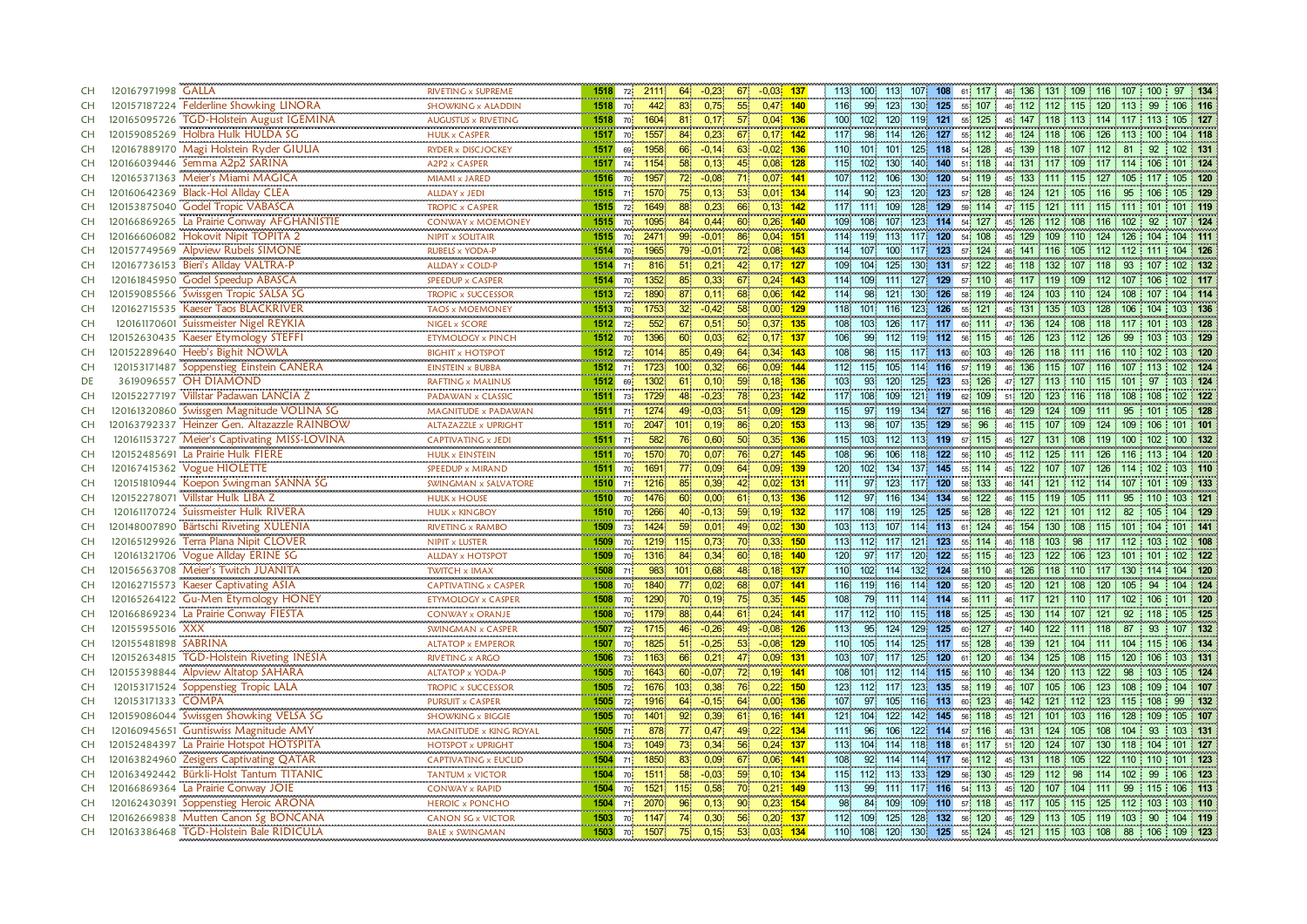| CH              | 120167971998 GALLA                                                              | RIVETING x SUPREME                                 | 1518 | 72 <sup>1</sup>                                              | 2111                 | 64               | $-0.23$<br>67              | $-0,03$ 137        |              | 113              | 100<br>113.              | 107              | 108     | 61 117         | 46 136 131 109 116 107                                                         |                             |                 | 100        | 97 134  |
|-----------------|---------------------------------------------------------------------------------|----------------------------------------------------|------|--------------------------------------------------------------|----------------------|------------------|----------------------------|--------------------|--------------|------------------|--------------------------|------------------|---------|----------------|--------------------------------------------------------------------------------|-----------------------------|-----------------|------------|---------|
| <b>CH</b>       | 120157187224 Felderline Showking LINORA                                         | <b>SHOWKING x ALADDIN</b>                          | 1518 | 70                                                           | 442                  | 83 <sup>1</sup>  | 55<br>0,75                 |                    | $0,47$ 140   | 116              | 99<br>123                |                  | 130 125 | 55 107         | 46 112 112 115 120 113                                                         |                             |                 | 99         | 106 116 |
| <b>CH</b>       | 120165095726<br><b>TGD-Holstein August IGEMINA</b>                              | AUGUSTUS x RIVETING                                | 1518 | 70                                                           | 1604                 |                  | 0,17<br>57                 | $0,04$ 136         |              | 100 <sub>1</sub> | 102<br>120               |                  | 119 121 | 55 125         | 45 147 118 113 114 117                                                         |                             |                 | 113        | 105 127 |
| <b>CH</b>       | 120159085269 Holbra Hulk HULDA SG                                               | <b>HULK x CASPER</b>                               | 1517 | 70                                                           | 1557                 | 84               | 0.23<br>67                 |                    | $0.17 - 142$ | 117              | 98<br>114.               | 126              | 127     | 55 112         | 46 124 118 106 126 113                                                         |                             |                 | 100        | 104 118 |
| <b>CH</b>       | 120167889170 Magi Holstein Ryder GIULIA                                         | RYDER x DISCJOCKEY                                 | 1517 | 69                                                           | 1958                 | 66               | 63<br>$-0,14$              | $-0.02$ 136        |              | 110              | 101 101                  |                  | 125 118 | 54 128         | 45 139 118 107 112 81                                                          |                             |                 | 92         | 102 131 |
| <b>CH</b>       | 120166039446 Semma A2p2 SARINA                                                  | A2P2 x CASPER                                      | 1517 | 74                                                           | 1154                 | 58               | 45<br>0,13                 |                    | $0,08$ 128   | 115              | 102<br>130.              | 140              | 140     | 51 118         | 44 131 117 109 117 114 106                                                     |                             |                 |            | 101 124 |
| <b>CH</b>       | 120165371363 Meier's Miami MAGICA                                               | .<br>MIAMI x JARED                                 | 1516 | $\begin{array}{ccc} \bullet & \bullet & \bullet \end{array}$ | 1957                 |                  | $-0.08$                    |                    |              |                  | 107 112 106              |                  | 130 120 | 54 119         |                                                                                |                             |                 |            | 105 120 |
|                 |                                                                                 |                                                    |      | 70                                                           |                      | 72 <sub>2</sub>  | 71                         | $0,07$ 141         |              |                  |                          |                  |         |                | 45 133 111 115 127 105 117                                                     |                             |                 |            |         |
| <b>CH</b>       | 120160642369 Black-Hol Allday CLEA                                              | <b>ALLDAY x JEDI</b>                               | 1515 | 71                                                           | 1570                 | 75 <sub>1</sub>  | 53<br>0,13                 |                    | $0,01$ 134   | 114              | 90<br>123                | 120              | 123     | 57 128         | 46 124 121 105 116                                                             |                             | 95              | 106        | 105 129 |
| <b>CH</b>       | 120153875040<br><b>Godel Tropic VABASCA</b><br>La Prairie Conway AFGHANISTIE    | <b>TROPIC x CASPER</b><br>                         | 1515 | 72                                                           | 1649                 | 88               | 0,23<br>66                 |                    | $0,13$ 142   | 117              | 109<br>111               | 128              | 129     | 59 114         | 47 115<br>121                                                                  |                             | $111$ 115 111   | 101        | 101 119 |
| <b>CH</b>       | 120166869265                                                                    | <b>CONWAY x MOEMONEY</b>                           | 1515 | <b>70</b>                                                    | 1095                 | 84               | 0,44<br>60                 | $0,26$ 140         |              | 109              | 108<br>107               |                  | 123 114 | 54 127         | 45 126 112 108 116 102                                                         |                             |                 | 92         | 107 124 |
| <b>CH</b>       | 120166606082 Hokovit Nipit TOPITA 2                                             | <b>NIPIT x SOLITAIR</b><br>                        | 1515 | 70                                                           | 2471                 | 99               | 86<br>$-0.01$              | $0.04$ 151         |              |                  | 114 119<br>113.          | 117              | 120     | 108<br>54      | 129<br>45 <sup>1</sup>                                                         | 109<br>$110 -$              | 124<br>126      | 104        | 104 111 |
| <b>CH</b>       | 120157749569 Alpview Rubels SIMONE                                              | <b>RUBELS x YODA-P</b>                             | 1514 | 70                                                           | 1965                 |                  | $-0.01$<br>72 <sub>1</sub> |                    | $0.08$ 143   | 114.             | 107<br>100               | 117 <sup>1</sup> | 123     | 57 124         | 46 141 116                                                                     | 105                         | $112$ 112       |            | 104 126 |
| <b>CH</b>       | 120167736153 Bieri's Allday VALTRA-P                                            | <b>ALLDAY x COLD-P</b>                             | 1514 | 71                                                           | 816                  | 51               | 42<br>0,21                 | $0,17$ 127         |              | 109              | 125<br>104               | 130 <sup>1</sup> | 131     | 57 122         | 46 118 132 107 118 93                                                          |                             |                 | 107        | 102 132 |
| <b>CH</b>       | 120161845950 Godel Speedup ABASCA<br>                                           | SPEEDUP x CASPER                                   | 1514 | 70                                                           | 1352                 | 85               | 0,33<br>67                 | $0,24$ 143         |              | 114.             | 109<br>111               | 127              | 129     | 57 110         | 46 117 119 109 112 107                                                         |                             |                 | 106        | 102 117 |
| <b>CH</b>       | 120159085566 Swissgen Tropic SALSA SG<br>120162715535 Kaeser Taos BLACKRIVER    | <b>TROPIC x SUCCESSOR</b><br>                      | 1513 | 72                                                           | 1890                 | 87               | 0.11<br>68.                |                    | $0,06$ 142   | 114.             | 98.<br>121.              | 130              | 126     | 58 119         | 46 124 103 110 124 108                                                         |                             |                 | 107        | 104 114 |
| <b>CH</b>       |                                                                                 | <b>TAOS x MOEMONEY</b>                             | 1513 | 70                                                           | 1753                 | 32 <sup>2</sup>  | $-0,42$<br>58 <sup>°</sup> | $0,00$ 129         |              |                  | 118 101 116              |                  | 123 126 | 55 121         | 45, 131, 135, 103, 128, 106, 104                                               |                             |                 |            | 103 136 |
| <b>CH</b>       | 120161170601 Suissmeister Nigel REYKIA                                          | NIGEL x SCORE                                      | 1512 | 72                                                           | 552                  | 67               | 50<br>0,51                 | $0,37$ 135         |              | 108              | 103 126                  |                  |         | 117 117 60 111 | 47 136 124 108 118 117                                                         |                             |                 | 101        | 103 128 |
| <b>CH</b>       | Kaeser Etymology STEFFI<br>120152630435                                         | <br>ETYMOLOGY x PINCH                              | 1512 | 70                                                           | 1396                 | 60               | 0,03<br>62                 | $0,17$ 137         |              | 106              | 99<br>112.               |                  | 119 112 | 56 115         | 126 123<br>46 <sup>1</sup>                                                     | 112 126                     | 99              |            | 103 129 |
| <b>CH</b>       | 120152289640 Heeb's Bighit NOWLA                                                | <b>BIGHIT x HOTSPOT</b>                            | 1512 | 72                                                           | 1014                 | 85 <sup>1</sup>  | 0.49<br>64                 |                    | $0,34$ 143   | 108              | 98<br>115                |                  | 117 113 | 60 103         | 49 126 118 111 116 110                                                         |                             |                 | 102        | 103 120 |
| <b>CH</b>       | 120153171487 Soppenstieg Einstein CANERA                                        | <b>EINSTEIN x BUBBA</b>                            | 1512 | 71                                                           | 1723                 | 100 <sub>1</sub> | 66<br>0,32                 |                    | $0.09$ 144   | 112              | 105<br>115               |                  | 114 116 | 57 119         | 46 136 115 107 116                                                             |                             | 107             | : 113      | 102 124 |
| DE              | 3619096557 OH DIAMOND                                                           | <b>RAFTING x MALINUS</b>                           | 1512 | 69                                                           | 1302                 | 61               | 59<br>0,10                 |                    | $0,18$ 136   | 103              | 120<br>93                | 125              | 123     | 53 126         | 47 127 113 110 115 101                                                         |                             |                 | -97        | 103 124 |
| <b>CH</b>       | 120152277197 Villstar Padawan LANCIA Z                                          | PADAWAN x CLASSIC                                  | 1511 | 73 <sub>1</sub>                                              | 1729                 | 48               | $-0,23$<br>78              |                    | $0,23$ 142   | 117              | 108<br>109               |                  | 121 119 | 62 109         | 51 120 123 116 118 108                                                         |                             |                 | 108        | 102 122 |
| <b>CH</b>       | 120161320860 Swissgen Magnitude VOLINA SG                                       |                                                    | 1511 | 71 <sup>1</sup>                                              | 1274                 | 49               | $-0.03$<br>51              | 0,09               | 129          | 115              | 97<br>119                | 134              | 127     | 116<br>56      | 129<br>46                                                                      | 124<br>109                  | 95<br>$-111$    | 101        | 105 128 |
| <b>CH</b>       | 120163792337 Heinzer Gen. Altazazzle RAINBOW                                    | MAGNITUDE x PADAWAN<br>ALTAZAZZLE x UPRIGHT        | 1511 | 70                                                           | 2047                 | 101.             | 0,19<br>86                 | $0,20$ 153         |              | $113$            | 98<br>107                | 135              | 129     | 96<br>56       | 115<br>46.                                                                     | 109 124<br>107 <sub>1</sub> | 109             | 106        | 101 101 |
| CH              | 120161153727 Meier's Captivating MISS-LOVINA                                    | <b>CAPTIVATING x JEDI</b>                          | 1511 | 71                                                           | 582                  | 76               | 50<br>0,60                 |                    | $0,35$ 136   | 115              | 103 112 113 119          |                  |         | 57 115         | 127 131<br>45 <sup>1</sup>                                                     |                             | 108 119 100     | 102        | 100 132 |
| <b>CH</b>       | 120152485691 La Prairie Hulk FIERE                                              |                                                    | 1511 | 70                                                           | 1570                 | 70               | 76<br>0,07                 |                    | $0.27$ 145   | 108              | 96<br>106                | 118              | 122     | 56 110         | 112<br>125<br>45.                                                              | 111 126                     | 116             |            | 104 120 |
| CH              | 120167415362 Vogue HIOLETTE                                                     | HULK x EINSTEIN<br>SPEEDUP x MIRAND                | 1511 | 70                                                           | 1691.                | 77               | 0,09<br>64                 | 0,09 139           |              | 120 <sub>1</sub> | 102 <sub>1</sub><br>134. | 137 <sub>1</sub> | 145     |                |                                                                                |                             |                 | 102        | 103 110 |
| CH              | 120151810944 Koepon Swingman SANNA SG                                           |                                                    |      |                                                              |                      |                  |                            |                    |              | 111              |                          |                  | 120     | 55 114         | 45 122 107 107 126 114                                                         |                             |                 |            |         |
|                 |                                                                                 | SWINGMAN x SALVATORE                               | 1510 | 71                                                           | 1216                 | 85               | 0,39<br>42                 | $0,02$ 131         |              |                  | 123<br>97                | 117              |         | 58 133         | 46 141 121 112 114 107                                                         |                             |                 | 101        | 109 133 |
| CH              | 120152278071 Villstar Hulk LIBA Z                                               | <b>HULK x HOUSE</b>                                | 1510 | 70 <sup>1</sup>                                              | 1476                 | 60               | 0,00<br>61                 | $0,13$ 136         |              | 112              | 97 116                   |                  | 134 134 | 56 122         | 46 115 119 105 111 95                                                          |                             |                 | 110        | 103 121 |
| CH              | 120161170724 Suissmeister Hulk RIVERA                                           | <b>HULK x KINGBOY</b>                              | 1510 | 70 <sup>1</sup>                                              | 1266                 | 40               | $-0,13$<br>59              | $0,19$ 132         |              | 117              | 108<br>119               |                  | 125 125 | 56 128         | 46 122 121 101 112 82                                                          |                             |                 | 105        | 104 129 |
| CH              | 120148007890 Bärtschi Riveting XULENIA                                          | <b>RIVETING x RAMBO</b>                            | 1509 | 73                                                           | 1424                 | 59               | 0,01<br>49                 |                    | $0,02$ 130   | 103              | 113<br>107               | 114              | 113     | 61 124         | 46 154 130                                                                     |                             | 108 115 101     | 104        | 101 141 |
| CH              | <b>Terra Plana Nipit CLOVER</b><br>120165129926                                 | NIPIT x LUSTER                                     | 1509 | 70                                                           | 1219                 | 115              | 70<br>0,73                 |                    | $0,33$ 150   |                  | 113 112 117              | 121              | 123     | 55 114         | 46 118                                                                         | 98<br>103                   | $117$ 112       | 103        | 102 108 |
| <b>CH</b>       | Vogue Allday ERINE SG<br>120161321706                                           | <b>ALLDAY x HOTSPOT</b>                            | 1509 | 70                                                           | 1316                 | 84               | 0,34<br>60                 | $0,18$ 140         |              | 120              | 97 117                   | 120              | 122     | 55 115         | 46 123 122 106 123 101                                                         |                             |                 | 101        | 102 122 |
| <b>CH</b>       | 120156563708 Meier's Twitch JUANITA                                             | <b>TWITCH x IMAX</b>                               | 1508 | 71                                                           | 983                  | 101              | 0,68<br>48                 | $0,18$ 137         |              |                  | 110 102 114              | 132              | 124     | 58 110         | 46 126 118 110 117 130                                                         |                             |                 | 114        | 104 120 |
| CH              | 120162715573 Kaeser Captivating ASIA                                            | <b>CAPTIVATING x CASPER</b>                        | 1508 | 70                                                           | 1840                 | 77               | 68<br>0.02                 | $0,07$ 141         |              | 116              | 119 116                  | 114              | 120     | 55 120         | 45 120                                                                         | 121 108 120                 | 105             | 94         | 104 124 |
| <b>CH</b>       | 120165264122 Gu-Men Etymology HONEY                                             | ETYMOLOGY x CASPER                                 | 1508 | 70                                                           | 1290                 | 70               | 75<br>0.19                 |                    | $0.35$ 145   | 108              | 79.<br>1111              | 114              | 114     | 56 111         | 46 117 121 110 117 102                                                         |                             |                 | 106        | 101 120 |
| CH              | 120166869234 La Prairie Conway FIESTA                                           | <b>CONWAY x ORANJE</b>                             | 1508 | 70 <sup>1</sup>                                              | 1179                 | 88               | 0.44<br>61                 | $0,24$ 141         |              | 117              | 112<br>110               |                  | 115 118 | 55 125         | 45 130 114 107 121 92                                                          |                             |                 | 118        | 105 125 |
| CH              | 120155955016 XXX                                                                | <b>SWINGMAN x CASPER</b>                           | 1507 | 72 <sup>1</sup>                                              | 1715                 | 46               | $-0.26$<br>49              | $-0.08$ 126        |              | 113              | 95<br>124.               | 129              | 125     | 60 127         | 47 140 122 111 118 87                                                          |                             |                 | 93         | 107 132 |
| CH              | 120155481898 SABRINA                                                            | <b>ALTATOP x EMPEROR</b>                           | 1507 | <b>70</b>                                                    | 1825                 | 51               | $-0.25$<br>53 <sub>1</sub> | $-0.08$ 129        |              | 110              | 105<br>114               |                  | 125 117 | 55 128         | 46 139 121                                                                     |                             | 104 111 104     | 115        | 106 134 |
| <b>CH</b>       | <b>TGD-Holstein Riveting INESIA</b><br>120152634815                             | RIVETING x ARGO                                    | 1506 | 73                                                           | 1163                 | 66               | 47<br>0,21                 | $0.09$ 131         |              | 103              | 107<br>117.              | 125              | 120     | 120<br>61      | 46 134                                                                         | 125                         | 108 115 120     | 106        | 103 131 |
| <b>CH</b>       |                                                                                 |                                                    |      | 70.                                                          |                      |                  |                            |                    |              |                  |                          |                  |         |                |                                                                                |                             |                 | 103        | 105 124 |
| <b>CH</b>       | 120155398844 Alpview Altatop SAHARA                                             | <b>ALTATOP x YODA-P</b>                            | 1505 |                                                              | 1643                 | 60               | 72<br>$-0.07$              |                    | $0,19$ 141   | 108              | 101<br>112.              |                  | 114 115 | 56 110         |                                                                                | 46 134 120 113 122          | 98              |            |         |
|                 |                                                                                 |                                                    | 1505 |                                                              |                      | 103              | 76<br>0,38                 | $0.22$ 150         |              | 123              | 112<br>117               | 123              | 135     | 58 119         | 107<br>105<br>46 <sup>1</sup>                                                  | 106 123                     | 108             | 109<br>104 | 107     |
| <b>CH</b>       | 120153171524 Soppenstieg Tropic LALA<br><b>COMPA</b>                            | <b>TROPIC x SUCCESSOR</b><br>                      |      | 72                                                           | 1676                 | 64               | 64                         |                    |              |                  | 97.                      |                  |         |                |                                                                                |                             |                 | 99         | 132     |
|                 | 120153171333                                                                    | <b>PURSUIT x CASPER</b>                            | 1505 | 72 <sup>1</sup>                                              | 1916                 | 92.              | $-0,15$                    | $0,00$ 136         |              | 107              | 105.                     |                  | 116 113 | 60 123         | 46 142 121 112 123 115 108                                                     |                             |                 |            |         |
| <b>CH</b>       | 120159086044 Swissgen Showking VELSA SG                                         | <b>SHOWKING x BIGGIE</b>                           | 1505 | 70                                                           | 1401                 |                  | 0,39<br>61.                | $0,16$ 141         |              | 121              | 104<br>122 <sub>2</sub>  | 142              | 145     | 56 118         | 45 121 101 103 116                                                             |                             | 128             | 109        | 105 107 |
| <b>CH</b>       | 120160945651<br><b>Guntiswiss Magnitude AMY</b>                                 | MAGNITUDE x KING ROYAL                             | 1505 | 71                                                           | 878                  | 77               | 49<br>0,47                 |                    | $0,22$ 134   | 111              | 96<br>106                | 122              | 114     | 57 116         | 46 131 124                                                                     |                             | 105 108 104     | 93         | 103 131 |
| <b>CH</b>       | La Prairie Hotspot HOTSPITA<br>120152484397                                     | <b>HOTSPOT x UPRIGHT</b>                           | 1504 | 73 <sup>1</sup>                                              | 1049                 | 73               | 0,34<br>56                 | $0.24$ 137         |              | 113              | 104 114                  |                  | 118 118 | 61 117         | 51 120 124                                                                     |                             | 107 130 118 104 |            | 101 127 |
| <b>CH</b>       | 120163824960 Zesigers Captivating QATAR                                         | <b>CAPTIVATING x EUCLID</b>                        | 1504 | 71.                                                          | 1850                 | 83               | 0,09<br>67                 | $0.06$ 141         |              | 108              | 92 114                   |                  |         | 114 117 56 112 | 45 131 118                                                                     |                             | 105 122 110 110 |            | 101 123 |
| <b>CH</b>       | 120163492442 Bürkli-Holst Tantum TITANIC                                        | <b>TANTUM x VICTOR</b>                             | 1504 | 70                                                           | 1511                 | 58               | 59<br>$-0.03$              |                    | $0,10$ 134   | 115              | 112 113                  | $133$            | 129     | 56 130         | 129<br>112<br>45.                                                              | 98                          | 102             | 99<br>106  | 123     |
| <b>CH</b>       | 120166869364 La Prairie Conway JOIE                                             | <b>CONWAY x RAPID</b>                              | 1504 | 70                                                           | 1521 115             |                  | 70<br>0,58                 | $0,21$ 149         |              | 113              | 99<br>111.               |                  | 117 116 | 54 113         | 45 120 107 104 111                                                             |                             | 99              | 115        | 106 113 |
| <b>CH</b>       | 120162430391 Soppenstieg Heroic ARONA                                           | <b>HEROIC x PONCHO</b>                             | 1504 | 71                                                           | 2070                 | 96               | 0,13<br>90                 | 0.231              | 154          | 98               | 84 109                   |                  | 109 110 | 57 118         | 45 117 105                                                                     |                             | 115 125 112     | 103        | 103 110 |
| <b>CH</b><br>CH | 120162669838 Mutten Canon Sg BONCANA<br>120163386468 TGD-Holstein Bale RIDICULA | <b>CANON SG x VICTOR</b><br><b>BALE x SWINGMAN</b> | 1503 | 70                                                           | 1147<br>1503 70 1507 | 74.<br>75        | 0.30<br>56<br>0.15<br>53   | 0.20<br>$0.03$ 134 | 137          | 112<br>110       | 109<br>125<br>108        | 128              |         | 132 56 120     | 46, 129 113 105 119 103<br>120 130 125 55 124 45 121 15 103 108 88 106 109 123 |                             |                 | 90         | 104 119 |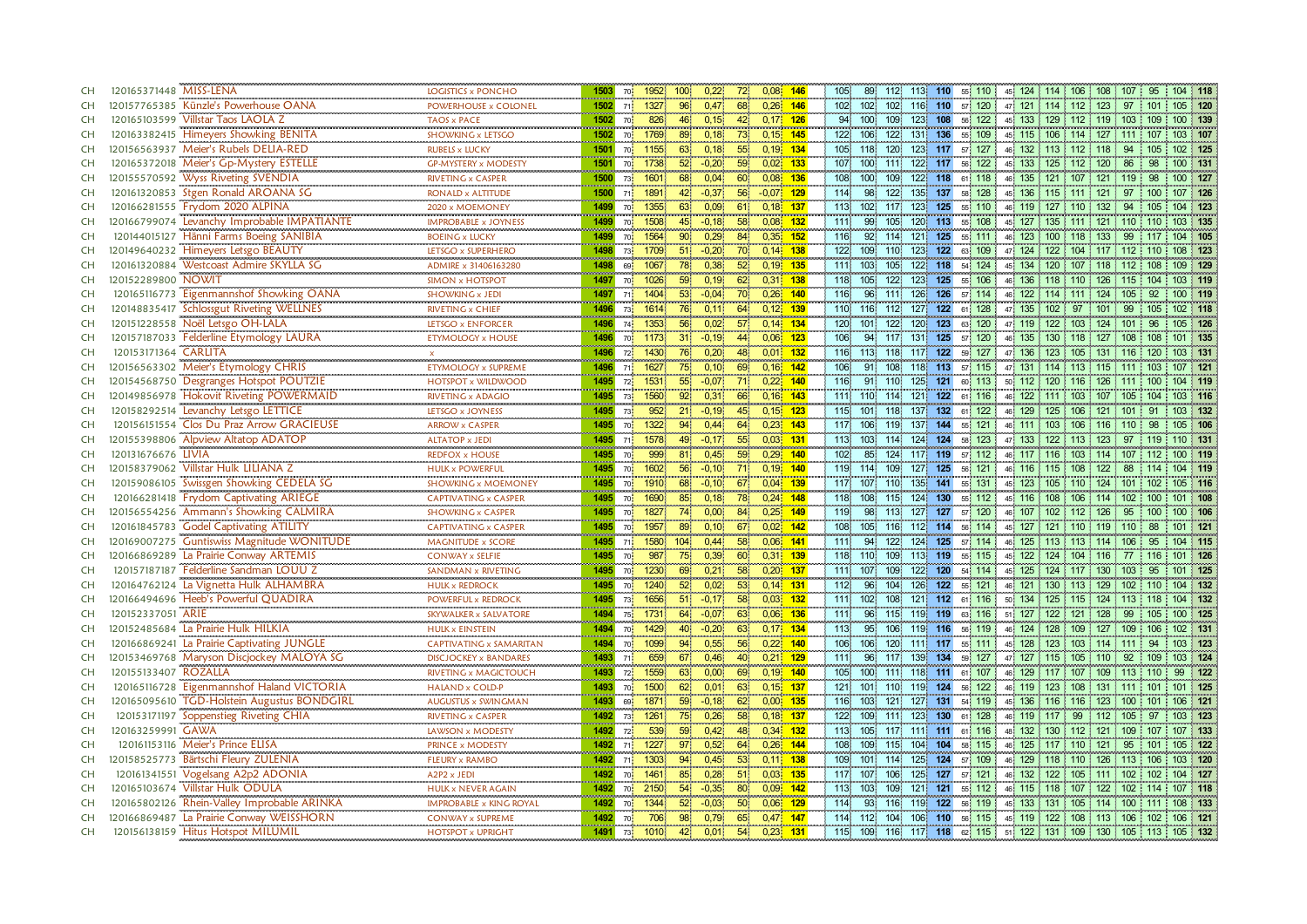| CH        | 120165371448 MISS-LENA<br>LOGISTICS x PONCHO                                                                            | 1503<br>70               | 1952                    | 100 <sup>°</sup> | 0,22              | $0.08$ 146<br>72              |        | 105<br>89               | 112                     | 113 110 | 55 110         | 45 124 114 106 108 107                                        |                             | 95               | 104 118    |
|-----------|-------------------------------------------------------------------------------------------------------------------------|--------------------------|-------------------------|------------------|-------------------|-------------------------------|--------|-------------------------|-------------------------|---------|----------------|---------------------------------------------------------------|-----------------------------|------------------|------------|
| <b>CH</b> | 120157765385 Künzle's Powerhouse OANA<br>POWERHOUSE x COLONEI                                                           | 1502<br>71               | 1327                    | $96^{\circ}$     | 0.47 <sup>°</sup> | 68.<br>$0,26$ 146             |        | 102<br>102              | 102.                    | 116 110 | 57 120         | 47 121 114 112                                                | 123                         | -97              | 105 120    |
| <b>CH</b> | 120165103599 Villstar Taos LAOLA Z<br>TAOS x PACE                                                                       | 1502                     | 826<br>70               | 46               | 0,15              | 42<br>$0,17$ 126              |        | 94<br>100               | 109<br>123              | 108     | 56 122         | 45 133 129 112 119 103                                        |                             | 109              | 100 139    |
| <b>CH</b> | 120163382415 Himeyers Showking BENITA<br>SHOWKING x LETSGO                                                              | 1502                     | 1769<br>70.             | 89               | 0,18              | 73<br>$0,15$ 145              |        | 122<br>106              | 122.                    | 131 136 | 55 109         | 45 115 106 114 127 111 107                                    |                             |                  | 103 107    |
| <b>CH</b> | 120156563937 Meier's Rubels DELIA-RED<br><b>RUBELS x LUCKY</b>                                                          | 1501                     | 1155<br>70              | 63               | 0,18              | 55<br>$0,19$ 134              |        | 105<br>118              | 120.                    |         | 123 117 57 127 | 46 132 113 112 118 94                                         |                             | 105              | 102 125    |
| <b>CH</b> | 120165372018 Meier's Gp-Mystery ESTELLE<br><b>GP-MYSTERY x MODESTY</b>                                                  | 1501<br>$70 \frac{1}{2}$ | 1738                    | 52 <sup>°</sup>  | $-0,20$           | 59<br>$0,02$ 133              |        | 100<br>107              | 122<br>111.             | 117     | 56 122         | 133 125 112 120<br>45                                         |                             | 98<br>86         | 100 131    |
| <b>CH</b> | <br>Wyss Riveting SVENDIA<br>120155570592<br>RIVETING x CASPER                                                          | 1500<br>73               | 1601                    | 68               | 0,04              | $0,08$ 136<br>60              |        | 100 <sup>°</sup><br>108 | 109                     | 122 118 | 61 118         | 46 135 121 107 121 119                                        |                             | 98               | 100 127    |
| <b>CH</b> | Stgen Ronald AROANA SG<br>120161320853<br>RONALD x ALTITUDE                                                             | 1500<br>713              | 1891                    | 42               | $-0,37$           | 56<br>$-0,07$ 129             |        | 114<br>98.              | 122.<br>135             | 137     | 58 128         | 136 115 111 121<br>45 <sup>1</sup>                            |                             | 97<br>100        | 107 126    |
| CH        | 120166281555 Frydom 2020 ALPINA<br>2020 x MOEMONEY                                                                      | 1499                     | 1355<br>70              | 63               | 0,09              | 61<br>0,18                    | $-137$ | 113<br>102              | 123<br>117              | 125     | 55 110         | 46.119<br>127                                                 | $110 -$<br>132 <sub>2</sub> | 94<br>105        | 104 123    |
| CH        | 120166799074 Levanchy Improbable IMPATIANTE<br><b>IMPROBABLE x JOYNESS</b>                                              | 1499<br>70               | 1508                    | 45               | $-0,18$           | 58<br>$0,08$ 132              |        | 99<br>1111              | 105                     | 120 113 | 55 108         | 45 127 135 111 121 110                                        |                             | 110              | 103 135    |
| <b>CH</b> | 120144015127 Hänni Farms Boeing SANIBIA<br><b>BOEING x LUCKY</b>                                                        | 1499                     | 1564<br>70              | 90 <sup>°</sup>  | 0.29              | 84<br>$0.35 - 152$            |        | 116<br>92               | 121<br>114              | 125     | 55 111         | 46 123 100 118 133 99                                         |                             |                  | 104 105    |
| CH        | 120149640232 Himeyers Letsgo BEAUTY<br>LETSGO x SUPERHERO                                                               | 1498                     | 1709<br>73 <sup>1</sup> | 51               | $-0,20$           | $0,14$ 138<br>70              |        | 109 110<br>122          |                         | 123 122 |                | 63 109 47 124 122 104 117 112 110                             |                             |                  | 108 123    |
| <b>CH</b> | 120161320884 Westcoast Admire SKYLLA SG<br>ADMIRE x 31406163280                                                         | 1498                     | 69<br>1067              | 78               | 0,38              | 52 <sub>2</sub><br>$0,19$ 135 |        | 111<br>103 <sub>1</sub> | 122<br>105              | 118     | 54 124         | 45 134 120 107 118 112                                        |                             | 108              | 109 129    |
| <b>CH</b> | 120152289800 NOWIT<br><b>SIMON x HOTSPOT</b>                                                                            | 1497<br>70               | 1026                    | 59               | 0,19              | 62<br>$0,31$ 138              |        | 105<br>118              | 123<br>122              | 125     | 106<br>55      | 46 136 118                                                    | 110 126                     | 115<br>104       | 103 119    |
| <b>CH</b> | 120165116773 Eigenmannshof Showking OANA<br><b>SHOWKING x JEDI</b>                                                      | 1497<br>71               | 1404                    | 53 <sup>°</sup>  | $-0.04$           | 70.<br>$0,26$ 140             |        | 96<br>116.              | 126<br>1111             | 126     | 57 114         | 122 114<br>46                                                 | $111 \t124 \t105$           | 92               | 100 119    |
| <b>CH</b> | ,,,,,,,,,,,,,,,,,,,,,,,,,<br>120148835417 Schlossgut Riveting WELLNES<br>RIVETING x CHIEF<br>,,,,,,,,,,,,,,,,,,,,,,,,,, | 1496<br>73.              | 1614                    | 76               | 0,11              | $0,12$ 139<br>64              |        | 110 116                 | 112                     | 127 122 | 61 128         | 47 135 102                                                    | 97 101 99                   | 105              | 102 118    |
| <b>CH</b> | 120151228558 Noël Letsgo OH-LALA<br>LETSGO x ENFORCER                                                                   | 1496<br>74               | an an a<br>1353         | 56               | 0,02              | 57 <sup>°</sup><br>$0.14$ 134 |        | 120 101                 | 122                     | 120 123 | 63 120         | 47 119 122 103 124 101                                        |                             | 96               | 105 126    |
| <b>CH</b> | 120157187033 Felderline Etymology LAURA<br><b>ETYMOLOGY x HOUSE</b>                                                     | 1496<br>70               | 1173                    | 31               | $-0.19$           | $0,06$ 123<br>44              |        | 94<br>106               | 117<br>131              | 125     | 57 120         | 46 135 130 118 127                                            |                             | 108<br>108       | 101 135    |
| <b>CH</b> | 120153171364 CARLITA<br>$\mathbf{x}$                                                                                    | 1496                     | 72 <sup>1</sup><br>1430 | 76               | 0.20              | 48<br>$0.01$ , 132            |        | 116<br>113              | 118<br>117.             | 122     | 59 127         | 47 136 123 105 131 116                                        |                             | 120              | 103 131    |
| <b>CH</b> | 120156563302 Meier's Etymology CHRIS<br>ETYMOLOGY x SUPREME                                                             | 1496                     | 1627<br>71              | 75               | 0,10              | $0,16$ 142<br>69              |        | 106<br>91               | 108                     | 118 113 | 57 115         | 47 131 114 113 115 111 103                                    |                             |                  | 107 121    |
| <b>CH</b> | 120154568750 Desgranges Hotspot POUTZIE<br>HOTSPOT x WILDWOOD                                                           | 1495                     | 1531<br>72              | 55 <sub>1</sub>  | $-0.07$           | 0,22<br>71                    | $-140$ | 116<br>91.              | 110<br>125              | 121     | 60 113         | 50 112 120                                                    | 116 126                     | -111<br>100      | 104 119    |
| <b>CH</b> | 120149856978 Hokovit Riveting POWERMAID<br><b>RIVETING x ADAGIO</b>                                                     | 1495<br>73               | 1560                    | 92 <sub>1</sub>  | 0,31              | $0,16$ 143<br>66              |        | 111<br>110 114          | 121                     | 122     | 61 116         | 46 122 111 103 107 105                                        |                             | 104              | 103 116    |
| <b>CH</b> | 120158292514 Levanchy Letsgo LETTICE<br>LETSGO x JOYNESS<br>                                                            | 1495<br>73               | 952                     |                  | $-0,19$           | 45<br>0,15                    | $-123$ | 115<br>101              | 137<br>118              | 132     | 122<br>61      | 125<br>129<br>46                                              | 106                         | 91<br>101        | 103 132    |
| <b>CH</b> | 120156151554 Clos Du Praz Arrow GRACIEUSE<br><b>ARROW x CASPER</b>                                                      | 1495<br>70               | 1322                    | 94               | 0,44              | 64<br>$0,23$ 143              |        | 106<br>117              | 119<br>137              | 144     | 55 121         | 46 111 103 106 116 110                                        |                             | 98               | 105 106    |
| CH        | 120155398806 Alpview Altatop ADATOP<br><b>ALTATOP x JEDI</b>                                                            | 1495<br>71.              | 1578                    | 49               | $-0,17$           | 55<br>0,03                    | 131    | 113 103                 | 114                     | 124 124 | 58 123         | 47 133 122 113 123                                            |                             | 97<br>119        | 110 131    |
| CH        | 120131676676 LIVIA<br><b>REDFOX x HOUSE</b>                                                                             | 1495<br>701              | 999                     | 81               | 0.45              | 59<br>$0.29 - 140$            |        | 102 <sub>1</sub><br>85  | 124<br>117              | 119     | 57 112         | 46 117 116                                                    | 103 114 107                 |                  | 100 119    |
| CH        | 120158379062 Villstar Hulk LILIANA Z<br><b>HULK x POWERFUL</b>                                                          | 1495<br>70 <b>i</b>      | 1602                    | 56               | $-0.10$           | $0.19 - 140$<br>-711          |        | 119<br>114              | 109<br>127 <sub>1</sub> | 125     | 56 121         | 46 116 115 108 122                                            |                             | -88              | 104 119    |
| CH        | 120159086105 Swissgen Showking CEDELA SG<br><b>SHOWKING x MOEMONEY</b>                                                  | 1495                     | 1910<br>70              | 68               | $-0,10$           | 0,04 139<br>67                |        | 117<br>107 110          | 135                     | 141     | 55 131         | 45 123 105 110 124 101                                        |                             | 102 <sub>2</sub> | 105 116    |
| <b>CH</b> | 120166281418 Frydom Captivating ARIEGE<br><b>CAPTIVATING x CASPER</b>                                                   | 1495                     | 1690<br><b>70</b>       | 85               | 0,18              | 78<br>$0.24 - 148$            |        | 118<br>108              | 115                     | 124 130 | 55 112         | 45 116 108 106 114 102                                        |                             | 100 <sub>1</sub> | 101 108    |
| <b>CH</b> | 120156554256 Ammann's Showking CALMIRA<br><b>SHOWKING x CASPER</b>                                                      | 1495                     | 1827<br><b>70</b>       | 74               | 0,00              | 84<br>0,25 149                |        | 119<br>98               | 113.                    |         | 127 127 57 120 | 46, 107, 102, 112, 126, 95                                    |                             | 100              | 100 106    |
| <b>CH</b> | 120161845783 Godel Captivating ATILITY<br><b>CAPTIVATING x CASPER</b>                                                   | 1495                     | 1957<br>70              | 89               | 0,10              | 67<br>$0,02$ 142              |        | 108<br>105              | 116                     | 112 114 | 56 114         | 45 127 121 110 119 110                                        |                             | 88               | 101 121    |
| <b>CH</b> | 120169007275 Guntiswiss Magnitude WONITUDE<br><b>MAGNITUDE x SCORE</b>                                                  | 1495<br>71               | 1580                    | 104              | 0,44              | 58<br>$0.06$ 141              |        | 111<br>94               | 122<br>124              | 125     | 57 114         | 46 125 113 113 114                                            |                             | 106<br>95        | 104 115    |
| <b>CH</b> | 120166869289 La Prairie Conway ARTEMIS<br><b>CONWAY x SELFIE</b>                                                        | 1495<br>70               | 987                     | 75               | 0,39              | 60<br>0,31 139                |        | 118 110                 | 113<br>109              | 119     | 55 115         | 45 122 124 104 116 77                                         |                             | 116              | 101 126    |
| <b>CH</b> | 120157187187 Felderline Sandman LOUU Z<br>SANDMAN x RIVETING                                                            | 1495<br>70               | 1230                    | 69               | 0,21              | 58<br>$0,20$ 137              |        | 111<br>107 109          | 122                     | 120     | 54 114         | 45 125 124                                                    | 117 130 103                 | 95               | 101 125    |
| <b>CH</b> | 120164762124 La Vignetta Hulk ALHAMBRA<br><b>HULK x REDROCK</b>                                                         | 1495<br>70               | 1240                    | 52 <sub>1</sub>  | 0.02              | 53<br>$0,14$ 131              |        | 112.<br>96              | 104<br>126              | 122     | 55 121         | 46 121 130 113 129                                            |                             | 102<br>110       | 104 132    |
| <b>CH</b> | 120166494696 Heeb's Powerful QUADIRA<br>POWERFUL x REDROCK                                                              | 1495                     | 1656<br>73 <sup>1</sup> | 51               | $-0,17$           | 58<br>$0,03$ 132              |        | 111<br>102 <sub>1</sub> | 108<br>121              | 112     | 61 116         | 50 134 125 115 124 113 118                                    |                             |                  | 104 132    |
| <b>CH</b> | 120152337051 ARIE<br>SKYWALKER x SALVATORE                                                                              | 1494                     | 1731<br>75              | 64               | $-0,07$           | 63<br>$0,06$ 136              |        | 96<br>111               | 115.                    | 119 119 | 63 116         | 51 127 122 121 128 99                                         |                             | 105              | 100 125    |
| <b>CH</b> | 120152485684 La Prairie Hulk HILKIA<br><b>HULK x EINSTEIN</b>                                                           | 1494                     | 70<br>1429              | 40               | $-0,20$           | $0,17$ 134<br>63              |        | 95<br>113.              | 106                     | 119 116 | 56 119         | 46 124 128                                                    | 109 127 109                 | 106              | 102 131    |
| <b>CH</b> | 120166869241 La Prairie Captivating JUNGLE<br>CAPTIVATING x SAMARITAN                                                   | 1494                     | 1099<br>70              | 94               | 0,55              | 56<br>$0.22$ 140              |        | 106<br>106              | 120.                    | 111 117 | 55 111         | 45 128 123                                                    | 103 114 111                 | 94               | 103 123    |
| <b>CH</b> | 120153469768 Maryson Discjockey MALOYA SG<br><b>DISCJOCKEY x BANDARES</b>                                               | 1493<br>71               | 659                     | 67               | 0,46              | 40<br>$0,21$ 129              |        | 111<br>96               | 117.<br>139             | 134     | 127<br>59.     | 47 127 115                                                    | 105 110                     | 92<br>109        | 103 124    |
| CH        | 120155133407 ROZALLA<br>RIVETING x MAGICTOUCH                                                                           | 1493                     | 1559<br>72              | 63               | 0,00              | 69<br>$0,19$ 140              |        | 105<br>100 111          |                         | 118 111 | 61 107         | 46 129 117 107 109 113                                        |                             | 110              | 99<br>122  |
| CH        | <b>Eigenmannshof Haland VICTORIA</b><br>120165116728<br>HALAND x COLD-P                                                 | 1493<br>70               | 1500                    | 62 <sup>1</sup>  | 0,01              | $0,15$ 137<br>63              |        | 121<br>101              | 110<br>119              | 124     | 56 122         | 46 119<br>123                                                 | 108 131                     | 111<br>101       | 125<br>101 |
| CH        | <b>TGD-Holstein Augustus BONDGIRL</b><br>120165095610<br>AUGUSTUS x SWINGMAN                                            | 1493<br>69               | 1871                    | 59 <sup>°</sup>  | $-0.18$           | 62.<br>$0,00$ 135             |        | 116 103                 | 121.                    | 127 131 | 54 119         | 45 136 116 116 123 100 101                                    |                             |                  | 106 121    |
| CH        | 120153171197 Soppenstieg Riveting CHIA<br><b>RIVETING x CASPER</b>                                                      | 1492                     | 73<br>1261              | $75^{\circ}$     | 0.26              | 58<br>0.181                   | 137    | 122<br>109              | 1111<br>123             | 130     | 61 128         | 46 119 117                                                    | 99 112 105                  | -97              | 103 123    |
| CH        | 120163259991 GAWA<br>LAWSON x MODESTY                                                                                   | 1492                     | 539<br>72 <sub>1</sub>  | 59               | 0,42              | $0,34$ 132<br>48              |        | 113<br>105              | 117                     | 111 111 | 61 116         | 48 132 130 112 121 109 107                                    |                             |                  | 107 133    |
| CH        | 120161153116 Meier's Prince ELISA<br>PRINCE x MODESTY                                                                   | 1492                     | 1227<br>71 <sup>1</sup> | 97               | 0,52              | 64<br>$0,26$ 144              |        | 109 115<br>108          | 104                     | 104     | 58 115         | 46 125 117 110 121 95                                         |                             | 101              | 105 122    |
| CH        | 120158525773 Bärtschi Fleury ZULENIA<br><b>FLEURY x RAMBO</b>                                                           | 1492<br>71.              | 1303                    | 94               | 0,45              | 53<br>$0,11$ 138              |        | 109<br>101 114          | 125                     | 124     | 57 109         | 46 129 118 110 126 113 106                                    |                             |                  | 103 120    |
| CH        | Vogelsang A2p2 ADONIA<br>120161341551<br>A2P2 x JEDI<br>                                                                | 1492                     | 1461<br>70              | 85               | 0,28              | 51<br>0,03                    | 135    | 117<br>107              | 106<br>125              | 127     | 57 121         | 46 132<br>122                                                 | 105 111                     | 102<br>102       | 127<br>104 |
| <b>CH</b> | 120165103674 Villstar Hulk ODULA<br><b>HULK x NEVER AGAIN</b>                                                           | 1492<br>70               | 2150                    | 54               | $-0,35$           | 80<br>0,09                    | 142    | 103<br>113              | 109<br>121              | 121     | 55 112         | 46 115 118 107 122                                            |                             | 102 114          | 107 118    |
| <b>CH</b> | 120165802126 Rhein-Valley Improbable ARINKA<br><b>IMPROBABLE x KING ROYAL</b>                                           | 1492<br>70               | 1344                    | 52 <sup>2</sup>  | $-0.03$           | 50 <sup>°</sup><br>0,06       | $-129$ | 114<br>93               | 116<br>119              | 122     | 56 119         | 45 133 131                                                    | 105 114 100                 | 111              | 108 133    |
| <b>CH</b> | 120166869487 La Prairie Conway WEISSHORN<br><b>CONWAY x SUPREME</b>                                                     | 1492<br>70               | 706                     | 98               | 0.79.             | 65<br>$0.47$ 147              |        | 114 112 104             |                         |         | 106 110 56 115 | 45 119 122 108 113 106 102                                    |                             |                  | 106 121    |
| CH        | 120156138159 Hitus Hotspot MILUMIL<br><b>HOTSPOT x UPRIGHT</b>                                                          | 1491 73 1010             |                         | 42               | 0,01              | 54<br>$0.23$ 131              |        |                         |                         |         |                | 115 109 116 117 118 62 115 51 122 131 109 130 105 113 105 132 |                             |                  |            |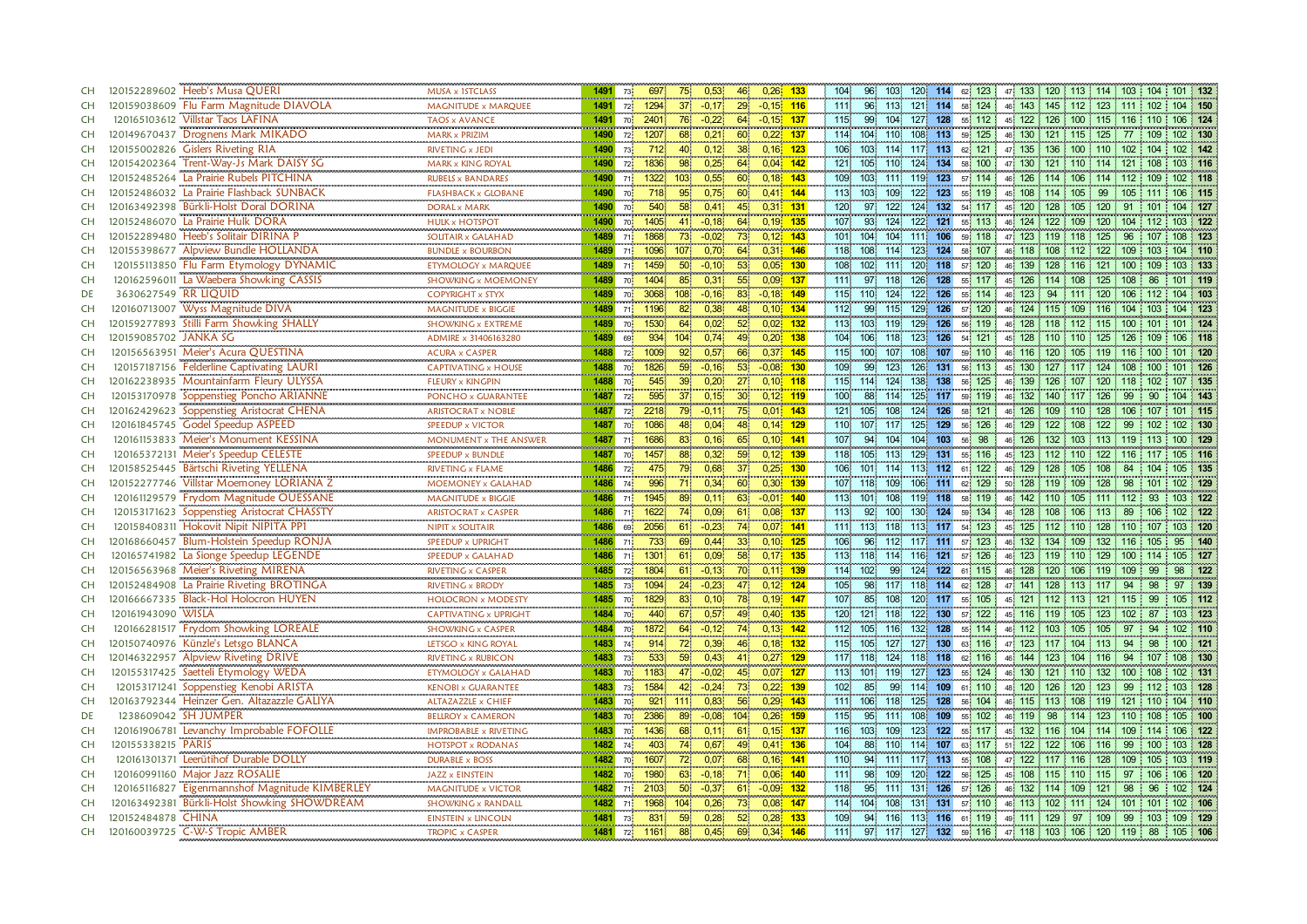| CH        | 120152289602 Heeb's Musa QUERI                                                 | MUSA x 1STCLASS               | 1491                            | 73.                               | 697                       | $75^{\circ}$     | 0,53              | 46              | $0,26$ 133   | 104              | 96.              | 103  | 120 114                 | 62 123         |                                                         |                    | 47 133 120 113 114 103           |      | $104$ 101 132 |           |
|-----------|--------------------------------------------------------------------------------|-------------------------------|---------------------------------|-----------------------------------|---------------------------|------------------|-------------------|-----------------|--------------|------------------|------------------|------|-------------------------|----------------|---------------------------------------------------------|--------------------|----------------------------------|------|---------------|-----------|
| CH        | 120159038609 Flu Farm Magnitude DIAVOLA                                        | MAGNITUDE x MARQUEE           | 1491                            | 72 <sup>1</sup>                   | 1294                      |                  | $-0,17$           | 29              | $-0.15$ 116  | 1111             | 96               | 113. |                         | 121 114 58 124 |                                                         |                    | 46 143 145 112 123 111 102       |      |               | 104 150   |
| <b>CH</b> | 120165103612 Villstar Taos LAFINA                                              | <b>TAOS x AVANCE</b>          | 1491                            | 701                               | 2401                      |                  | $-0,22$           | 64              | $-0.15$ 137  | 115.             | 99               | 104  | 128<br>127              | 55 112         |                                                         |                    | 45 122 126 100 115 116           | 110  |               | 106 124   |
| <b>CH</b> | 120149670437 Drognens Mark MIKADO                                              | <b>MARK x PRIZIM</b>          | 1490                            | 72 <sub>1</sub>                   | 1207                      | 68               | 0,21              | 60              | $0,22$ 137   | 114              | 104 110          |      | 108<br>113              | 59 125         |                                                         |                    | 46 130 121 115 125 77            |      | 109           | 102 130   |
| <b>CH</b> | 120155002826 Gislers Riveting RIA                                              | RIVETING x JEDI               | 1490                            | 73                                | 712                       | 40               | 0,12              | 38              | $0,16$ 123   | 106              | 103              | 114. | 117 113                 | 62 121         |                                                         |                    | 47 135 136 100 110 102 104       |      |               | 102 142   |
| <b>CH</b> | 120154202364 Trent-Way-Js Mark DAISY SG                                        | <b>MARK x KING ROYAL</b>      | 1490                            | $\begin{array}{c} 72 \end{array}$ | 1836                      | 98               | 0,25              | 64              | $0.04 - 142$ | 121              | 105              | 110  | 124<br>134              | 58 100         |                                                         |                    | 47 130 121 110 114 121           |      | 108           | 103 116   |
| <b>CH</b> | 120152485264 La Prairie Rubels PITCHINA                                        | <br><b>RUBELS x BANDARES</b>  | 1490                            | 71.                               | 1322                      | 103 <sub>1</sub> | 0,55              | 60              | $0,18$ 143   | 109              | 103              | 111. | $119$ 123               | 57 114         | 46 126 114                                              |                    | 106 114 112 109                  |      |               | 102 118   |
| <b>CH</b> | 120152486032 La Prairie Flashback SUNBACK                                      | <b>FLASHBACK x GLOBANE</b>    | 1490                            | 70                                | 718                       | 95 <sub>1</sub>  | 0,75              | 60              | $0,41$ 144   | 113              | 103              | 109  | 122<br>123              | 55 119         |                                                         | 45 108 114 105 99  |                                  | 105  | 111           | 106 115   |
| <b>CH</b> | 120163492398 Bürkli-Holst Doral DORINA                                         | <b>DORAL x MARK</b>           | 1490                            | 70 <mark>.</mark>                 | 540                       | 58.              | 0,41              | 45              | $0,31$ 131   | 120              | 97               | 122  | 124<br>132              | 54 117         | 45                                                      | 120 128            | 105 120                          | 91   | 101           | 104 127   |
| <b>CH</b> | 120152486070 La Prairie Hulk DORA                                              | <b>HULK x HOTSPOT</b>         | <b>Harakan Maria Ba</b><br>1490 | 70                                | <b>CONTRACTOR</b><br>1405 |                  | $-0,18$           | 64              | $0,19$ 135   | 107              | 93               | 124  | 122<br>121              | 55 113         |                                                         |                    | 46, 124, 122, 109, 120, 104, 112 |      |               | 103 122   |
| <b>CH</b> | 120152289480 Heeb's Solitair DIRINA P                                          | SOLITAIR x GALAHAD            | 1489                            | 711                               | 1868                      | 73.              | $-0.02$           | 73 <sup>°</sup> | $0,12$ 143   | 101              | 104              | 104  | 106<br>1111             | 59 118         | 47 <sup>1</sup>                                         | 123 119 118 125    |                                  | 96   |               | 108 123   |
| <b>CH</b> | 120155398677 Alpview Bundle HOLLANDA                                           | <br><b>BUNDLE x BOURBON</b>   | 1489                            | 71.                               | 1096                      | 107 <sup>1</sup> | 0,70              | 64              | $0,31$ 146   | 118              | 108              | 114  | 124<br>123              | 58 107         |                                                         |                    | 46 118 108 112 122 109           |      | 103           | 104 110   |
| <b>CH</b> | 120155113850 Flu Farm Etymology DYNAMIC                                        | ETYMOLOGY x MARQUEE           | 1489                            | 71                                | 1459                      | 50 <sub>1</sub>  | $-0,10$           | 53              | $0,05$ 130   | 108              | 102 <sub>1</sub> | 111. | 120<br>118              | 57 120         | 46 139                                                  |                    | 128 116 121 100                  |      | 109           | 103 133   |
| <b>CH</b> | 120162596011 La Waebera Showking CASSIS                                        | <b>SHOWKING x MOEMONEY</b>    | 1489                            | 70                                | 1404                      | 85               | 0,31              | 55              | $0,09$ 137   | 1111             | 97               | 118  | 126<br>128              | 55 117         | 45 126 114                                              |                    | 108 125                          | 108  | 86            | 101 119   |
| DE        | 3630627549 RR LIQUID                                                           | <b>COPYRIGHT x STYX</b>       | 1489                            | 70                                | 3068                      | 108              | $-0,16$           | 83.             | $-0,18$ 149  | 115              | 110              | 124  | 122<br>126              | 55 114         | 46                                                      | 123 94             | 111 120 106 112                  |      |               | 104 103   |
| CH        | Wyss Magnitude DIVA<br>120160713007                                            | <br>MAGNITUDE x BIGGIE        | 1489                            | 71                                | 1196                      | 82               | 0,38              | 48.             | $0,10$ 134   | 112              | 99               | 115  | 129 126                 | 57 120         |                                                         |                    | 46 124 115 109 116 104           | 103  |               | $104$ 123 |
| CH        | 120159277893 Stilli Farm Showking SHALLY                                       | <b>SHOWKING x EXTREME</b>     | 1489                            | 70                                | 1530                      | 64               | 0,02              | 52 <sub>2</sub> | $0,02$ 132   | 113              | 103              | 119  | 129<br>126              | 56, 119        |                                                         |                    | 46 128 118 112 115 100           | 101  |               | 101 124   |
| CH        | 120159085702 JANKA SG                                                          | ADMIRE x 31406163280          | 1489                            | 69                                | 934                       | 104 <sup>1</sup> | 0.74              | 49              | $0.20$ 138   |                  | 104 106          | 118  | 126<br>123 <sup>1</sup> | 54 121         | 45 128 110                                              |                    | 110 125                          | -126 |               | 106 118   |
| <b>CH</b> | 120156563951 Meier's Acura QUESTINA                                            | <b>ACURA x CASPER</b>         | 1488                            | 72                                | 1009                      |                  | 0.57              | 66              | $0.37$ 145   | 115.             | 100              | 107  | 108<br>107              | 59 110         | 46 116                                                  | 120                | 105 119                          | 116  | 100           | 101 120   |
| CH        | 120157187156 Felderline Captivating LAURI                                      | <b>CAPTIVATING x HOUSE</b>    | 1488                            | 70 <sub>1</sub>                   | 1826                      | 59 <sup>°</sup>  | $-0.16$           | 53              | $-0.08$ 130  | 109              | 99               | 123  | 126<br>131              | 56 113         | 45 130                                                  | 127 117 124        |                                  | 108  | 100           | 101 126   |
| CH        | 120162238935 Mountainfarm Fleury ULYSSA                                        | FLEURY x KINGPIN<br>          | 1488<br>an an an a              | $70\frac{1}{2}$                   | 545                       | 39 <sup>°</sup>  | 0,20              | 27 <sup>°</sup> | $0,10$ 118   | 115.             | 114              | 124  | 138<br>138              | 56 125         | 139<br>46                                               | 126                | 107 120 118                      |      | 102           | 107 135   |
| CH        | 120153170978 Soppenstieg Poncho ARIANNE                                        | PONCHO x GUARANTEE            | 1487                            | 72                                | 595                       | 37               | 0,15              | 30 <sup>°</sup> | $0,12$ , 119 | 100              | 88               | 114  | 125 117                 | 59 119         | 46 132                                                  |                    | 140 117 126                      | 99   | 90            | 104 143   |
| <b>CH</b> | 120162429623 Soppenstieg Aristocrat CHENA<br>120161845745 Godel Speedup ASPEED | <b>ARISTOCRAT x NOBLE</b>     | 1487                            | 72 <sup>1</sup>                   | 2218                      | 79               | $-0.11$           | 75<br>0.01      | 143          | 121              | 105              | 108  | 124<br>126              | 121<br>58.     | 126<br>46                                               | 109                | 110 128                          | 106  | 107           | 101 115   |
| CH        |                                                                                | <b>SPEEDUP x VICTOR</b>       | $\frac{1}{1487}$                | 70                                | 1086                      |                  | 0,04              | 48              | $0,14$ 129   | 110              | 107              | 117  | 125<br>129              | 126<br>56.     | 129<br>46                                               | 122 108 122        |                                  | 99   |               | 102 130   |
| <b>CH</b> | 120161153833 Meier's Monument KESSINA                                          | MONUMENT x THE ANSWER         | 1487                            | 71                                | 1686                      |                  | 0,16              | 65              | $0,10$ 141   | 107              | 94               | 104  | 104 103                 | 98<br>56       |                                                         |                    | 46 126 132 103 113 119           | 113  |               | 100 129   |
| <b>CH</b> | 120165372131 Meier's Speedup CELESTE                                           | SPEEDUP x BUNDLE<br>          | 1487                            | 70                                | 1457                      | 88               | 0.32 <sup>1</sup> | 59              | $0.12$ 139   | 118              | 105              | 113  | 129<br>131              | 55 116         | 45 <sup>1</sup>                                         | 123 112 110        | 122                              | 116  |               | 105 116   |
| <b>CH</b> | 120158525445 Bärtschi Riveting YELLENA                                         | RIVETING x FLAME              | 1486                            | 72 <sup>1</sup>                   | 475.                      | 79.              | 0,68              | 37.<br>0,25     | 130          | 106              | 101              | 114. | 113<br>112              | 61 122         |                                                         | 46 129 128 105 108 |                                  | -84  | 104           | 105 135   |
| <b>CH</b> | 120152277746 Villstar Moemoney LORIANA Z                                       | MOEMONEY x GALAHAD            | 1486                            | 74                                | 996                       | 71.              | 0,34              | 60              | $0,30$ 139   | 107              | 118              | 109  | 106<br>111              | 62 129         |                                                         |                    | 50 128 119 109 128 98            |      | 101           | 102 129   |
| <b>CH</b> | 120161129579 Frydom Magnitude OUESSANE                                         | MAGNITUDE x BIGGIE            | 1486                            | 71                                | 1945                      | 89               | 0,11              | 63              | $-0.01$ 140  | 113              | 101              | 108  | 119<br>118              | 58 119         |                                                         |                    | 46 142 110 105 111 112           |      | 93            | 103 122   |
| <b>CH</b> | 120153171623 Soppenstieg Aristocrat CHASSTY                                    | <b>ARISTOCRAT x CASPER</b>    | 1486                            | 71.                               | 1622                      | 74.              | 0,09              | 61              | $0,08$ 137   | 113              | 92               | 100  | 130 124                 | 59 134         |                                                         |                    | 46 128 108 106 113 89            |      | 106           | 102 122   |
| <b>CH</b> | 120158408311 Hokovit Nipit NIPITA PP1                                          | <b>NIPIT x SOLITAIR</b>       | 1486                            | 69                                | 2056                      | 61               | $-0.23$           | 74              | $0,07$ 141   | 111              | 113              | 118  | 113<br>117              | 54 123         |                                                         |                    | 45 125 112 110 128 110           |      | 107           | 103 120   |
| <b>CH</b> | 120168660457 Blum-Holstein Speedup RONJA                                       | SPEEDUP x UPRIGHT             | 1486                            | 71                                | 733                       | 69               | 0,44              | 33 <sup>°</sup> | $0,10$ 125   | 106              | 96               | 112  | 111<br>117              | 57 123         | 46 132 134                                              |                    | 109 132 116                      |      | 95<br>105     | 140       |
| <b>CH</b> | 120165741982 La Sionge Speedup LEGENDE                                         | SPEEDUP x GALAHAD             | 1486                            | 71                                | $1301$                    | 6 <sup>1</sup>   | 0,09              | 58              | $0,17$ 135   | 113              | 118              | 114  | 121<br>116              | 57 126         |                                                         | 46 123 119 110 129 |                                  | 100  | 114           | 105 127   |
| <b>CH</b> | 120156563968 Meier's Riveting MIRENA                                           | RIVETING x CASPER             | 1485                            | 72                                | 1804                      | 61               | $-0,13$           | 70              | $0,11$ 139   | 114              | 102              | 99   | 122<br>124              | 61 115         | 46 128 120                                              |                    | 106 119 109                      |      | -99<br>98     | 122       |
| <b>CH</b> | 120152484908 La Prairie Riveting BROTINGA                                      | RIVETING x BRODY              | 1485                            | 73                                | 1094                      | $24^{\circ}$     | $-0,23$           | 47              | $0,12$ 124   | 105              | 98               | 117  | 118 114                 | 62 128         |                                                         |                    | 47 141 128 113 117 94            |      | 97<br>98      | 139       |
| <b>CH</b> | 120166667335 Black-Hol Holocron HUYEN                                          | <b>HOLOCRON x MODESTY</b>     | 1485                            | 70                                | 1829                      | 83               | 0,10              | 78              | $0,19$ 147   | 107              | 85               | 108  | 120 117                 | 55 105         |                                                         |                    | 45 121 112 113 121 115           |      | 99            | 105 112   |
| CH        | 120161943090 WISLA                                                             | CAPTIVATING x UPRIGHT         | 1484                            | 70                                | 440                       | 67               | 0,57              | 49              | $0,40$ 135   | 120              | 121              | 118  | 122<br>130              | 57 122         |                                                         |                    | 45 116 119 105 123 102           |      | -87           | 103 123   |
| CH        | 120166281517 Frydom Showking LOREALE                                           | <b>SHOWKING x CASPER</b>      | 1484                            | 70 <sub>1</sub>                   | 1872                      | 64               | $-0,12$           | 74              | $0,13$ 142   | 112              | 105              | 116  | 132<br>128              | 55 114         |                                                         |                    | 46 112 103 105 105 97            |      | 94            | 102 110   |
| CH        | 120150740976 Künzle's Letsgo BLANCA                                            | LETSGO x KING ROYAL           | 1483                            | 74                                | 914                       | 72.              | 0,39              | 46              | $0,18$ 132   | 115              | 105              | 127. | 127<br>130              | 63 116         | 47 123 117                                              |                    | 104 113 94                       |      | 98            | 100 121   |
| CH        | 120146322957 Alpview Riveting DRIVE                                            | <b>RIVETING x RUBICON</b>     | 1483                            | 73                                | 533                       | 59               | 0,43              | 41              | $0,27$ 129   | 117              | 118              | 124  | 118<br>118              | 62 116         | 46 144                                                  | 123                | 104 116                          | 94   | 107           | 108 130   |
| CH        | 120155317425 Saetteli Etymology WEDA                                           | ETYMOLOGY x GALAHAD           | 1483                            | 70 <sub>1</sub>                   | 1183                      |                  | $-0.02$           | 45              | $0.07$ 127   | 113              | 101              | 119  | 127<br>123              | 55 124         | 46 130 121                                              |                    | 110 132                          | 100  | 108           | 102 131   |
| <b>CH</b> | 120153171241 Soppenstieg Kenobi ARISTA                                         | <b>KENOBI x GUARANTEE</b><br> | 1483                            | 73 <sup>1</sup>                   | 1584                      |                  | $-0,24$           | 73 <sub>1</sub> | $0,22$ 139   | 102 <sub>1</sub> | 85               | 99   | 114<br>109              | 61 110         | 120<br>48                                               | 126                | 120<br>123                       | 99   | 112           | 103 128   |
| CH        | 120163792344 Heinzer Gen. Altazazzle GALIYA                                    | <b>ALTAZAZZLE x CHIEF</b>     | 1483                            | 70                                | 921                       | 1111             | 0,83              | 56              | $0.29$ 143   | 111              | 106              | 118. | 125<br>128              | 56, 104        |                                                         |                    | 46 115 113 108 119 121           | 110  |               | 104 110   |
| DE        | 1238609042 SH JUMPER                                                           | <b>BELLROY x CAMERON</b>      | 1483                            | 701                               | 2386                      | 89               | $-0.08$           | 104             | $0.26$ 159   | 115.             | 95               | 111. | 108<br>109              | 55 102         | 46 119                                                  | 98                 | $114$ 123 110                    |      | 108           | 105 100   |
| CH        | 120161906781 Levanchy Improbable FOFOLLE                                       | <b>IMPROBABLE x RIVETING</b>  | 1483                            | 70 <sub>1</sub>                   | 1436                      | 68               | 0,11              | 61              | $0,15$ 137   | 116              | 103              | 109  | 123<br>122              | 55 117         | 45 132 116                                              |                    | 104 114 109 114                  |      |               | 106 122   |
| CH        | 120155338215 PARIS                                                             | <b>HOTSPOT x RODANAS</b>      | 1482                            | 74                                | 403                       | 74               | 0,67              | 49              | $0,41$ 136   | 104              | 88 110           |      | 114<br>107              | 63 117         | 51 122 122                                              |                    | 106 116 99                       |      | 100           | 103 128   |
| CH        | 120161301371 Leerütihof Durable DOLLY                                          | <b>DURABLE x BOSS</b>         | 1482                            | 70                                | 1607                      | $72^{\circ}$     | 0,07              | 68              | $0,16$ 141   | 110              | 94 111           |      | 117 113                 | 55 108         | 47 122 117                                              |                    | 116 128                          | 109  | 105           | 103 119   |
| CH        | 120160991160 Major Jazz ROSALIE                                                | <b>JAZZ x EINSTEIN</b>        | 1482                            | 70                                | 1980                      | 63 <sup>1</sup>  | $-0.18$           | 71              | $0,06$ 140   | 111              | 98               | 109  | 120<br>122              | 56 125         | 45 108                                                  | 115                | 110 115                          | 97   | 106           | 106 120   |
| <b>CH</b> | 120165116827 Eigenmannshof Magnitude KIMBERLEY                                 | <b>MAGNITUDE x VICTOR</b>     | 1482                            | 71                                | 2103                      | 50 <sup>°</sup>  | $-0,37$           | 61<br>$-0,09$   | 132          | 118              | 95               | 111. | 131<br>126              | 126<br>57      |                                                         | 46 132 114 109 121 |                                  | 98   | 96            | 102 124   |
| <b>CH</b> | 120163492381 Bürkli-Holst Showking SHOWDREAM                                   | <b>SHOWKING x RANDALL</b>     | 1482                            | 71                                | 1968                      | 104              | 0,26              | 73              | $0.08$ 147   | 114              | 104 108          |      | 131<br>131              | 57 110         | 46 113 102                                              |                    | 111 124 101                      |      | 1101          | 102 106   |
| <b>CH</b> | 120152484878 CHINA                                                             | <b>EINSTEIN x LINCOLN</b>     | 1481                            | 73                                | 831                       | 59               | 0.28              | 52<br>0.28      | 133          | 109              | 94 116           |      |                         | 113 116 61 119 |                                                         |                    | 49 111 129 97 109 99             | 103  |               | 109 129   |
| <b>CH</b> | 120160039725 C-W-S Tropic AMBER                                                | <b>TROPIC x CASPER</b>        | 1481 72                         |                                   | 1161                      | 88               | 0,45              | 69              | $0.34$ 146   | 1111             |                  |      |                         |                | 97 117 127 132 59 116 47 118 103 106 120 119 88 105 106 |                    |                                  |      |               |           |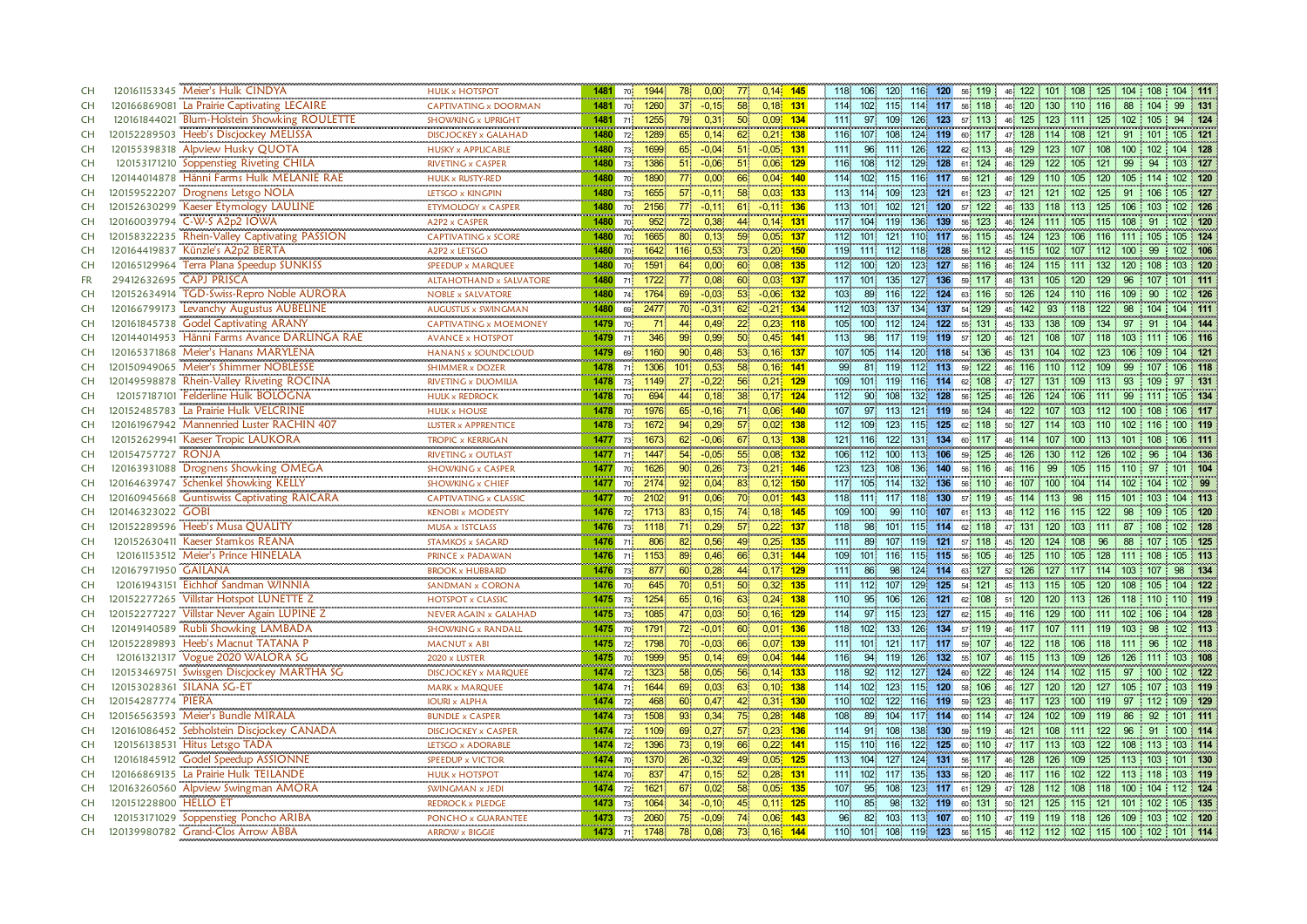| <b>CH</b> | 120161153345 Meier's Hulk CINDYA               | <b>HULK x HOTSPOT</b>                                         | 1481             | 70              | 1944            | 78.                                     | 0,00              | 77              | $0.14$ 145    |     | 118<br>106              | 120              | 116              | 120     | 56 119                 |                        |                    |           | 46 122 101 108 125 104     | 108       | 104 111                                                  |
|-----------|------------------------------------------------|---------------------------------------------------------------|------------------|-----------------|-----------------|-----------------------------------------|-------------------|-----------------|---------------|-----|-------------------------|------------------|------------------|---------|------------------------|------------------------|--------------------|-----------|----------------------------|-----------|----------------------------------------------------------|
| CH        | 120166869081 La Prairie Captivating LECAIRE    | CAPTIVATING x DOORMAN                                         | 1481             | 70              | 1260            |                                         | $-0.15$           | 58.             | $0,18$ 131    |     | 102 <sub>1</sub><br>114 | 115.             | 114              | 117     | 56 118                 |                        | 46 120 130 110 116 |           | 88                         |           | 99<br>131                                                |
| <b>CH</b> | 120161844021 Blum-Holstein Showking ROULETTE   | <b>SHOWKING x UPRIGHT</b>                                     | 1481             | 711             | 1255            | 79.                                     | 0,31              | 50 <sup>°</sup> | $0.09$ 134    |     | 111.<br>97              | 109              | 126              | 123     | 57 113                 |                        | 46 125 123 111 125 |           | 102                        | 105       | 94 124                                                   |
| <b>CH</b> | 120152289503 Heeb's Discjockey MELISSA         | <b>DISCJOCKEY x GALAHAD</b>                                   | 1480             | 72.             | 1289            | 65                                      | 0,14              | 62              | $0.21$ 138    |     | 116                     | 107 108          |                  | 124 119 | 60 117                 |                        |                    |           | 47 128 114 108 121 91      | 101       | 105 121                                                  |
| <b>CH</b> | 120155398318 Alpview Husky QUOTA               | <b>HUSKY x APPLICABLE</b>                                     | 1480             | 73              | 1699            | 65                                      | $-0,04$           |                 | 51 - 0,05 131 |     | 111                     | 96 111           |                  | 126 122 | 62 113                 |                        |                    |           | 48 129 123 107 108 100     | 102       | 104 128                                                  |
| <b>CH</b> | 120153171210 Soppenstieg Riveting CHILA        | <b>RIVETING x CASPER</b>                                      | 1480             | 73              | 1386            | 51                                      | $-0.06$           | 51              | 0,06          | 129 | 108<br>116              | 112 <sub>1</sub> | 129              | 128     | 61 124                 | 46 129                 | 122                | 105 121   | 99                         | 94        | 103 127                                                  |
| <b>CH</b> | 120144014878 Hänni Farms Hulk MELANIE RAE      | <br><b>HULK x RUSTY-RED</b>                                   | 1480             | 70              | 1890            | 77 <sub>1</sub>                         | 0,00              | 66              | 0,04 140      |     | $114$                   | $102$ 115        | 116 117          |         | 56 121                 |                        |                    |           | 46 129 110 105 120 105     | 114       | 102 120                                                  |
| <b>CH</b> | 120159522207 Drognens Letsgo NOLA              | LETSGO x KINGPIN                                              | 1480             | 73              | 1655            | 57 <sup>°</sup>                         | $-0,11$           | 58              | $0,03$ 133    |     | 113<br>114              | 109.             | 123              | 121     | 123<br>61.             | 47                     | 121 121 102 125    |           | - 91                       | 106       | 105 127                                                  |
| CH        | 120152630299 Kaeser Etymology LAULINE          | ETYMOLOGY x CASPER                                            | 1480             | <b>70</b>       | 2156            |                                         | $-0,11$           | 61              | $-0.11$ 136   |     | 113<br>101              | 102 <sub>3</sub> | 121              | 120     | 122<br>57              | 46                     | 133 118            | 113 125   | 106                        | 103       | 102 126                                                  |
| CH        | 120160039794 C-W-S A2p2 IOWA                   | A2P2 x CASPER                                                 | 1480             | 70              | 952             | 72 <sub>1</sub>                         | 0,38              | 44              | $0,14$ 131    |     | 104<br>117.             | 119              | 136              | 139     | 56 123                 |                        | 46 124 111         |           | 105 115 108                | 91        | 102 120                                                  |
| CH        | 120158322235 Rhein-Valley Captivating PASSION  | <b>CAPTIVATING x SCORE</b>                                    | 1480             | 70 l            | 1665            | 80                                      | 0.13              | 59              | $0.05$ 137    |     | 112 101                 | 121              |                  | 110 117 | 56 115                 |                        |                    |           | 45 124 123 106 116 111     | 105       | 105 124                                                  |
| CH        | 120164419837 Künzle's A2p2 BERTA               | A2P2 x LETSGO                                                 | 1480             | 70              | 1642            | 116                                     | 0.53              | 73              | $0,20$ 150    |     | 119<br>111              | 112.             |                  | 118 128 | 56, 112                |                        |                    |           | 45 115 102 107 112 100     | 99        | 102 106                                                  |
| CH        | 120165129964 Terra Plana Speedup SUNKISS       | SPEEDUP x MARQUEE                                             | 1480             | 70              | 1591            | 64.                                     | 0,00              | 60              | $0.08$ 135    |     | 112<br>100 <sub>1</sub> | 120              | 123 <sup>1</sup> | 127     | 56 116                 |                        |                    |           | 46 124 115 111 132 120     | 108       | 103 120                                                  |
| <b>FR</b> | 29412632695 CAPJ PRISCA                        | <b>ALTAHOTHAND x SALVATORE</b>                                | 1480             | 71.             | 1722            |                                         | 0,08              | 60              | $0,03$ 137    |     | 101<br>117              | 135              | 127              | 136     | 117<br>59              | 48 131                 | 105                | 120 129   | 96                         | 107       | 101 111                                                  |
| CH        | TGD-Swiss-Repro Noble AURORA<br>120152634914   | <br><b>NOBLE x SALVATORE</b>                                  | 1480             | 74              |                 |                                         | $-0,03$           | 53 <sup>°</sup> | $-0,06$       | 132 | 89<br>103.              | 116              | 122              | 124     | 116<br>63.             | 50 <sub>1</sub><br>126 | 124                | $110$ 116 | 109                        | 90        | 102 126                                                  |
| CH        | Levanchy Augustus AUBELINE<br>120166799173     | <br>AUGUSTUS x SWINGMAN                                       | $\frac{1}{1480}$ | 69              | 1764<br>2477    | $\begin{array}{c} 69 \\ 70 \end{array}$ | $-0,31$           | 62 <sub>1</sub> | $-0.21$ 134   |     | 103<br>112              | 137              |                  | 134 137 | 54, 129                | 45                     | 142 93             | 118 122   | 98                         | 104       | 104 111                                                  |
| <b>CH</b> | <b>Godel Captivating ARANY</b><br>120161845738 | ,,,,,,,,,,,,,,,,,,,,,,,,,,,,,,,,,,,<br>CAPTIVATING x MOEMONEY | 1479             | 70              | $\overline{71}$ | 44                                      | 0,49              | 22 <sub>1</sub> | $0,23$ 118    |     | 105                     | 100 112          | 124              | 122     | 55 131                 | 45 133 138             |                    | $109$ 134 | 97                         | 91        | 104 144                                                  |
| <b>CH</b> | 120144014953 Hänni Farms Avance DARLINGA RAE   | <b>AVANCE x HOTSPOT</b>                                       | mana a<br>1479   | 71.             | 346             |                                         | 0,99              | $\overline{50}$ | $0.45$ 141    |     | 98<br>113.              | 117              |                  | 119 119 | 57 120                 |                        | 46 121 108 107 118 |           | 103                        |           | 106 116                                                  |
| <b>CH</b> | 120165371868 Meier's Hanans MARYLENA           | <b>HANANS x SOUNDCLOUD</b>                                    | 1479             | 69              | 1160            |                                         | 0.48              | $\overline{53}$ | $0.16$ 137    |     | 105<br>107              | 114              | $120^{\circ}$    | 118     | 54 136                 |                        | 45 131 104 102 123 |           | 106                        | 109       | $104$ 121                                                |
| <b>CH</b> | 120150949065 Meier's Shimmer NOBLESSE          | <b>SHIMMER x DOZER</b>                                        | 1478             | 71.             | 1306            | 101                                     | 0,53              | 58              | $0,16$ 141    |     | 99<br>81                | 119              | 112              | 113     | 59 122                 |                        | 46 116 110 112 109 |           | 99                         | 107       | 106 118                                                  |
| <b>CH</b> | 120149598878 Rhein-Valley Riveting ROCINA      | RIVETING x DUOMILIA                                           | 1478             | $73\frac{1}{2}$ | 1149            | 27 <sup>1</sup>                         | $-0.22$           | 56.             | 0.21%         | 129 | 109<br>101              | 119.             | 116              | 114     | 108<br>62              | 47 127                 | 131                | 109 113   | 93                         |           | 131<br>97                                                |
| <b>CH</b> | 120157187101 Felderline Hulk BOLOGNA           | <b>HULK x REDROCK</b>                                         | 1478             | 70              | 694             | 44                                      | 0,18              | 38 <sup>°</sup> | $0,17$ 124    |     | 112                     | 90 108           | 132              | 128     | 56 125                 | 46 126                 | 124                | 106 111   | - 99                       | 111       | 105 134                                                  |
| <b>CH</b> | 120152485783 La Prairie Hulk VELCRINE          | <b>HULK x HOUSE</b>                                           | 1478             | 70 <sup>1</sup> | 1976            | 65                                      | $-0,16$           | 71              | 0,06          | 140 | 107<br>97               | 113              | 121              | 119     | 124<br>56 <sup>1</sup> | 122<br>46              | 107                | 103       | 112<br>100                 | 108       | 106 117                                                  |
| <b>CH</b> | 120161967942 Mannenried Luster RACHIN 407      | LUSTER x APPRENTICE                                           | 1478             | 73              | 1672            | 94                                      | 0,29              | 57 <sup>°</sup> | $0,02$ 138    |     | 109<br>112              | 123.             | 115              | 125     | 62 118                 | 50 <sub>1</sub>        |                    |           | 127 114 103 110 102        |           | 100 119                                                  |
| CH        | 120152629941 Kaeser Tropic LAUKORA             | <b>TROPIC x KERRIGAN</b>                                      | 1477             | 73              | 1673            | 62 <sub>1</sub>                         | $-0,06$           | 67              | $0,13$ 138    |     | 121 116                 | 122              |                  | 131 134 | 60 117                 |                        |                    |           | 48 114 107 100 113 101     | 108       | 106 111                                                  |
| <b>CH</b> | 120154757727 RONJA                             | <b>RIVETING x OUTLAST</b>                                     | 1477             | 711             | 1447            | 54                                      | $-0.05$           | 55 <sub>1</sub> | $0.08$ 132    |     | 106<br>112              | 100 <sup>1</sup> | 113              | 106     | 59 125                 | 46<br>126              | 130                | $112 -$   | 102<br>126                 | 96        | 104 136                                                  |
| CH        | 120163931088 Drognens Showking OMEGA           | SHOWKING x CASPER                                             | 1477             | 70              | 1626            | $90^{\circ}$                            | 0.26              | 73              | $0.21$ 146    |     | 123<br>123              | 108              | 136              | 140     | 56 116                 | 46 116 99              |                    |           | 105 115 110                | -97       | 101 104                                                  |
| CH        | 120164639747 Schenkel Showking KELLY           | <b>SHOWKING x CHIEF</b>                                       | 1477             | 70              | 2174            | 92                                      | 0,04              | 83              | $0,12$ 150    |     | 117                     | 105 114          | 132              | 136     | 56 110                 |                        |                    |           | 46 107 100 104 114 102     | 104       | 102 99                                                   |
| CH        | 120160945668 Guntiswiss Captivating RAICARA    | <b>CAPTIVATING x CLASSIC</b>                                  | 1477             | 70              | 2102            | 91                                      | 0,06              | 70              | $0.01$ 143    |     | 118 111 117 118         |                  |                  | 130     | 57 119                 |                        | 45 114 113         |           | 98 115 101                 | 103       | 104 113                                                  |
| <b>CH</b> | 120146323022 GOBI                              | <b>KENOBI x MODESTY</b>                                       | 1476             | 72              | 1713            | 83 <sup>1</sup>                         | 0,15              | 74              | 0,18 145      |     | 109<br>100              | 99               |                  |         | 110 107 61 113         |                        | 48 112 116 115 122 |           | 98                         | 109       | 105 120                                                  |
| CH        | 120152289596 Heeb's Musa QUALITY               | MUSA x 1STCLASS                                               | 1476             | 73              | 1118            |                                         | 0,29              | 57              | $0,22$ 137    |     | 118<br>98               | 101              | 115              | 114     | 62 118                 | 47 131 120             |                    | $103$ 111 | 87                         | 108       | 102 128                                                  |
| CH        | 120152630411 Kaeser Stamkos REANA              | <b>STAMKOS x SAGARD</b>                                       | 1476             | 71              | 806             | 82                                      | 0,56              | 49              | $0.25$ 135    |     | $111$<br>89             | 107              | 119              | 121     | 57 118                 | 45 120 124             |                    | 108 96    | 88                         | 107       | 105 125                                                  |
| <b>CH</b> | 120161153512 Meier's Prince HINELALA           | PRINCE x PADAWAN                                              | 1476             | 71              | 1153            | 89                                      | 0,46              | 66              | 0,31 144      |     | 109                     | 101 116          | 115              | 115     | 56 105                 |                        |                    |           | 46 125 110 105 128 111     | 108       | 105 113                                                  |
| <b>CH</b> | 120167971950 GAILANA                           | <b>BROOK x HUBBARD</b>                                        | 1476             | 73              | 877             | 60.                                     | 0,28              | 44              | $0,17$ 129    |     | 86<br>111               | 98               |                  | 124 114 | 63 127                 | 52 126 127             |                    |           | 117 114 103                | $\pm 107$ | 98 134                                                   |
| CH        | 120161943151 Eichhof Sandman WINNIA            | <b>SANDMAN x CORONA</b>                                       | 1476             | 70              | 645             |                                         | 0,51              | 50 <sup>°</sup> | $0.32$ 135    |     | 111<br>112              | 107              | 129              | 125     | 54 121                 |                        | 45 113 115 105 120 |           | 108                        | 105       | 104 122                                                  |
| <b>CH</b> | 120152277265 Villstar Hotspot LUNETTE Z        | <b>HOTSPOT x CLASSIC</b>                                      | 1475             | 73              | 1254            | 65                                      | 0,16              | 63              | $0,24$ 138    |     | 110<br>95 <sub>1</sub>  | 106              | 126              | 121     | 62 108                 |                        |                    |           | 51 120 120 113 126 118 110 |           | 110 119                                                  |
| <b>CH</b> | 120152277227 Villstar Never Again LUPINE Z     | NEVER AGAIN x GALAHAD                                         | 1475             | 73 <sup>1</sup> | 1085            | 47                                      | 0,03              | 50 <sub>1</sub> | $0,16$ 129    |     | 114.<br>97              | 115.             | 123              | 127     | 62 115                 |                        |                    |           | 49 116 129 100 111 102     | 106       | 104 128                                                  |
| <b>CH</b> | 120149140589 Rubli Showking LAMBADA            | <b>SHOWKING x RANDALL</b>                                     | 1475             | 70              | 1791            | $72^{\circ}$                            | $-0,01$           | 60              | $0,01$ 136    |     | 118<br>102 <sub>1</sub> | 133              | 126              | 134     | 57 119                 |                        |                    |           | 46 117 107 111 119 103     | 98        | 102 113                                                  |
| CH        | 120152289893 Heeb's Macnut TATANA P            | MACNUT x ABI                                                  | 1475             | 72              | 1798            |                                         | $-0.03$           | 66              | $0.07$ 139    |     | 111                     | 101 121          |                  | 117 117 | 59 107                 | 46 122 118             |                    |           | 106 118 111                | 96        | 102 118                                                  |
| <b>CH</b> | 120161321317 Vogue 2020 WALORA SG              | 2020 x LUSTER                                                 | 1475             | 70              | 1999            | 95 <sup>1</sup>                         | 0,14              | 69              | $0,04$ 144    |     | 116<br>94               | 119              | 126              | $132$   | 107<br>55.             |                        | 46 115 113         | 109 126   | 126                        | 111       | 103 108                                                  |
| <b>CH</b> | 120153469751 Swissgen Discjockey MARTHA SG     | <b>DISCJOCKEY x MARQUEE</b>                                   | 1474             | 72.             | 1323            | 58.                                     | 0,05              | 56              | $0,14$ 133    |     | 118                     | 92 112           | 127              | 124     | 60 122                 |                        |                    |           | 46 124 114 102 115 97      | 100       | 102 122                                                  |
| CH        | 120153028361 SILANA SG-ET                      | MARK x MARQUEE                                                | 1474             | 71              | 1644            | 69                                      | 0,03              | 63.             | $0,10$ 138    |     | 114<br>102              | 123              | 115              | 120     | 58 106                 | 127<br>46 <sup>1</sup> | 120                | 120 127   | 105                        | 107       | 103 119                                                  |
| CH        | 120154287774 PIERA                             | <b>IOURI x ALPHA</b>                                          | 1474             | 72              | 468             | $60^{\circ}$                            | 0.47              | 42 <sup>°</sup> | 0,31 130      |     | 102 <sub>1</sub><br>110 | 122.             | 116 119          |         | 59 123                 |                        | 46 117 123 100 119 |           | -97                        | 112       | 109 129                                                  |
| CH        | 120156563593 Meier's Bundle MIRALA             | <b>BUNDLE x CASPER</b>                                        | 1474             | 73              | 1508            | 93 <sup>°</sup>                         | 0.34 <sup>1</sup> | 75 <sub>1</sub> | $0.28$ 148    |     | 108<br>89               | 104.             | 117              | 114     | 60 114                 | 47 124 102             |                    | 109 119   | -86                        | 92        | 101 111                                                  |
| CH        | 120161086452 Sebholstein Discjockey CANADA     | <b>DISCJOCKEY x CASPER</b>                                    | 1474             | 72 <sup>1</sup> | 1109            | 69                                      | 0,27              | 57              | $0.23$ 136    |     | 114<br>91               | 108              | 138              | 130     | 59 119                 |                        | 46 121 108 111 122 |           | 96                         | 91        | 100 114                                                  |
| CH        | 120156138531 Hitus Letsgo TADA                 | LETSGO x ADORABLE                                             | 1474             | 72 <sup>1</sup> | 1396            | 73 <sup>°</sup>                         | 0.19              | 66              | $0,22$ 141    |     | 115                     | 110 116          | 122              | 125     | 60 110                 |                        |                    |           | 47 117 113 103 122 108     | 113       | 103 114                                                  |
| CH        | 120161845912 Godel Speedup ASSIONNE            | <b>SPEEDUP x VICTOR</b>                                       | 1474             | 70              | 1370            | 26                                      | $-0,32$           | 49              | $0.05 - 125$  |     | 104<br>113.             | 127              | 124              | 131     | 56 117                 | 46 128 126             |                    | 109 125   | 113                        | 103       | 101 130                                                  |
| CH        | 120166869135 La Prairie Hulk TEILANDE          | <b>HULK x HOTSPOT</b>                                         | 1474             | 70              | 837             | 47                                      | 0,15              | 52              | 0.28          | 131 | 111<br>102 <sub>2</sub> | 117              | 135              | 133     | 56 120                 | 46 117 116             |                    | 102       | 122<br>113                 | 118       | 103 119                                                  |
| <b>CH</b> | 120163260560 Alpview Swingman AMORA            | SWINGMAN x JEDI                                               | 1474             | 72 <sub>1</sub> | 1621            | 67.                                     | 0,02              | 58              | 0,05          | 135 | 107<br>95               | 108              | 123              | 117     | 61 129                 | 47 128 112 108 118     |                    |           | 100                        | 104       | 112 124                                                  |
| <b>CH</b> | 120151228800 HELLO ET                          | <b>REDROCK x PLEDGE</b>                                       | 1473             | 73              | 1064            | 34 <sup>°</sup>                         | $-0,10$           | 45              | $0.11$ 125    |     | 110<br>85               | 98               | 132              | 119     | 60 131                 | 50 121 125             |                    | 115 121   | 101                        | 102       | 105 135                                                  |
| <b>CH</b> | 120153171029 Soppenstieg Poncho ARIBA          | PONCHO x GUARANTEE                                            | 1473             | 73              | 2060            |                                         | $-0.09$           | 74              | 0.06          | 143 | 96<br>82.               | 103.             | 113              | 107     | 60 110                 |                        |                    |           | 47 119 119 118 126 109 103 |           | 102 120                                                  |
| <b>CH</b> | 120139980782 Grand-Clos Arrow ABBA             | <b>ARROW x BIGGIE</b>                                         |                  |                 | 1473 71 1748    | 78.                                     | 0,08              | 73              | $0,16$ 144    |     | 110                     |                  |                  |         |                        |                        |                    |           |                            |           | 101 108 119 123 56 115 46 112 12 102 115 100 102 101 114 |
|           |                                                |                                                               |                  |                 |                 |                                         |                   |                 |               |     |                         |                  |                  |         |                        |                        |                    |           |                            |           |                                                          |